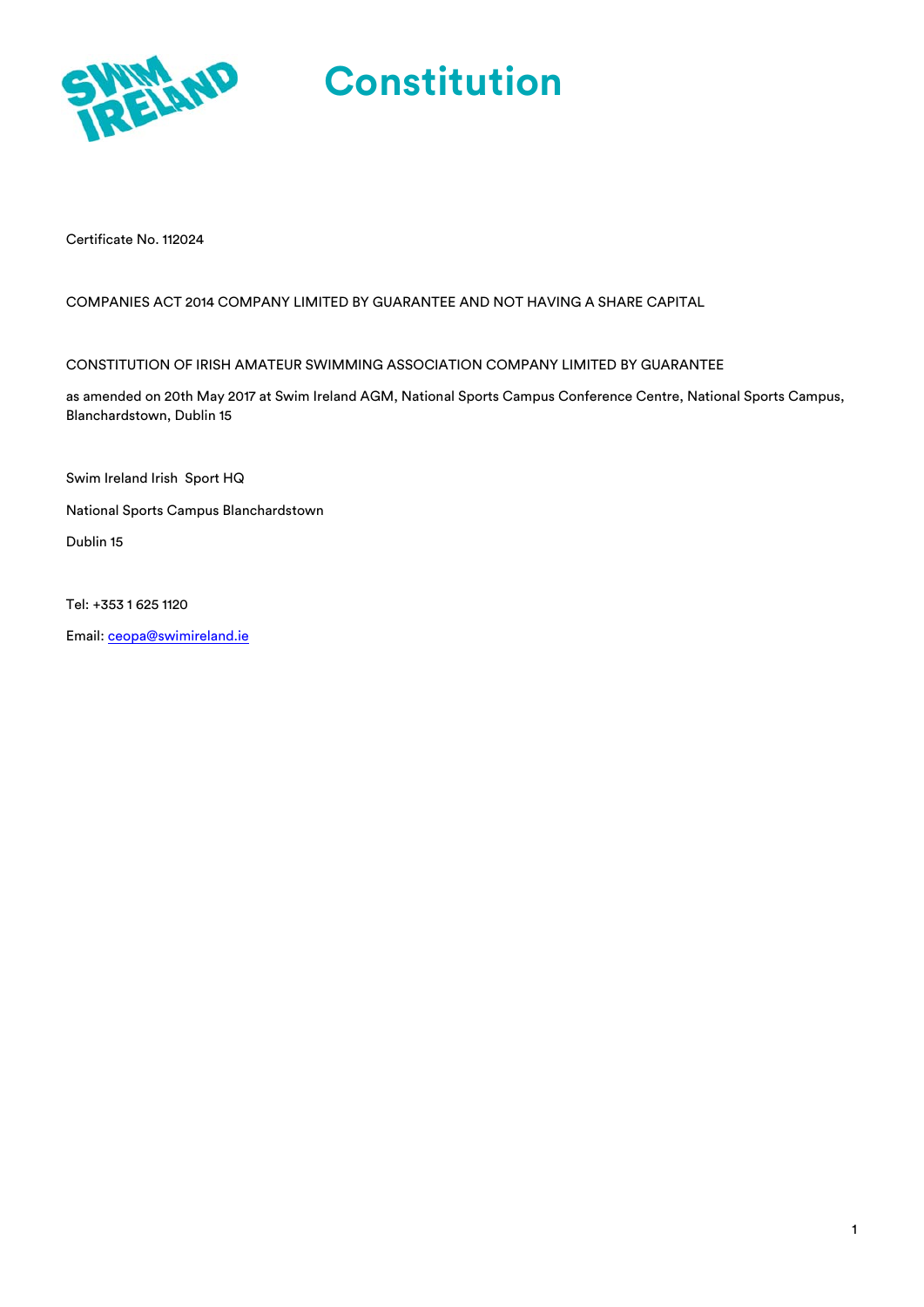

Certificate No. 112024

#### COMPANIES ACT 2014 COMPANY LIMITED BY GUARANTEE AND NOT HAVING A SHARE CAPITAL

#### CONSTITUTION OF IRISH AMATEUR SWIMMING ASSOCIATION COMPANY LIMITED BY GUARANTEE

as amended on 20th May 2017 at Swim Ireland AGM, National Sports Campus Conference Centre, National Sports Campus, Blanchardstown, Dublin 15

Swim Ireland Irish Sport HQ

National Sports Campus Blanchardstown

Dublin 15

Tel: +353 1 625 1120

Email: ceopa@swimireland.ie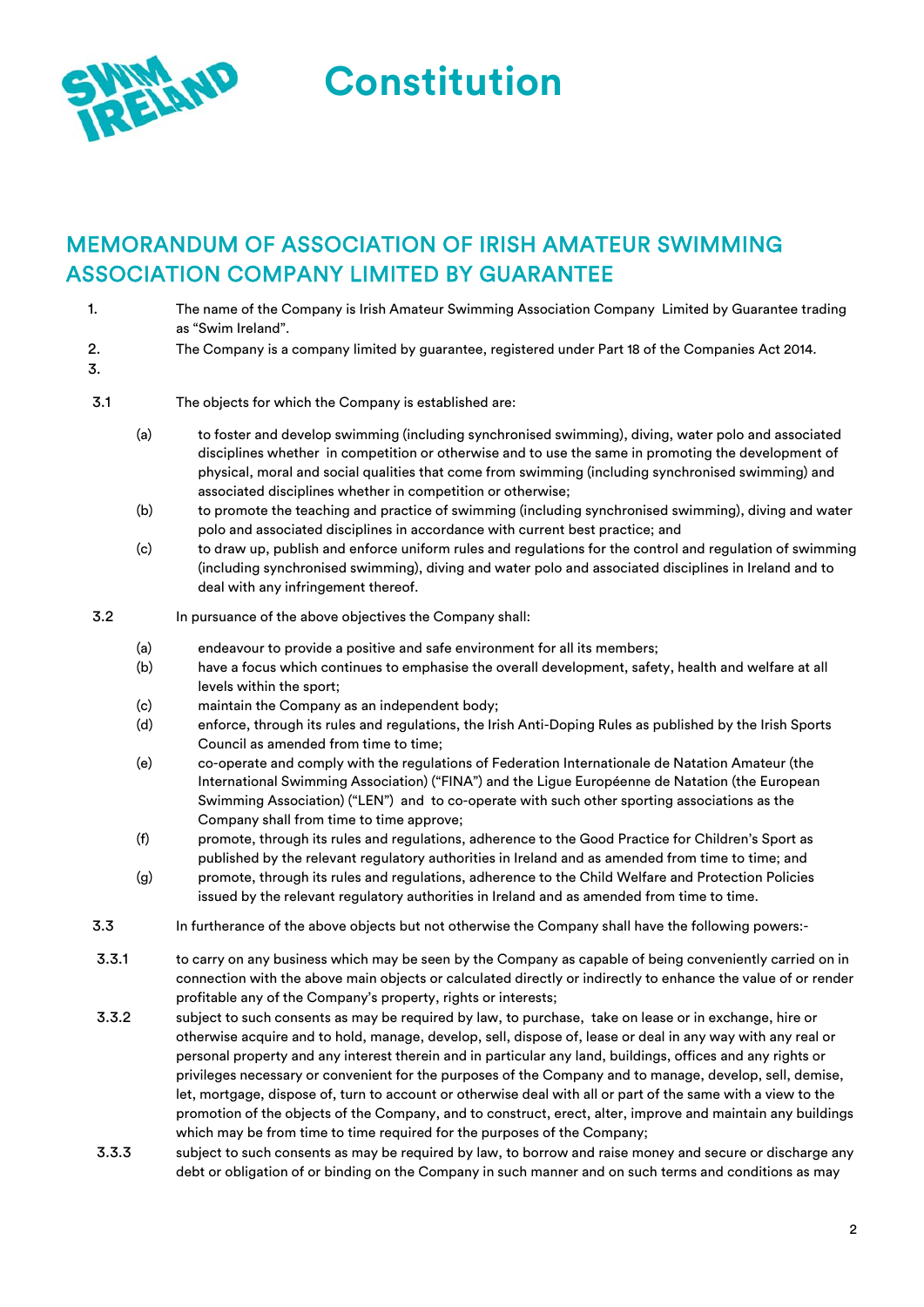

# MEMORANDUM OF ASSOCIATION OF IRISH AMATEUR SWIMMING ASSOCIATION COMPANY LIMITED BY GUARANTEE

- 1. The name of the Company is Irish Amateur Swimming Association Company Limited by Guarantee trading as "Swim Ireland".
- 2. The Company is a company limited by guarantee, registered under Part 18 of the Companies Act 2014.
- 3.
- 3.1 The objects for which the Company is established are:
	- (a) to foster and develop swimming (including synchronised swimming), diving, water polo and associated disciplines whether in competition or otherwise and to use the same in promoting the development of physical, moral and social qualities that come from swimming (including synchronised swimming) and associated disciplines whether in competition or otherwise;
	- (b) to promote the teaching and practice of swimming (including synchronised swimming), diving and water polo and associated disciplines in accordance with current best practice; and
	- (c) to draw up, publish and enforce uniform rules and regulations for the control and regulation of swimming (including synchronised swimming), diving and water polo and associated disciplines in Ireland and to deal with any infringement thereof.
- 3.2 In pursuance of the above objectives the Company shall:
	- (a) endeavour to provide a positive and safe environment for all its members;
	- (b) have a focus which continues to emphasise the overall development, safety, health and welfare at all levels within the sport;
	- (c) maintain the Company as an independent body;
	- (d) enforce, through its rules and regulations, the Irish Anti-Doping Rules as published by the Irish Sports Council as amended from time to time;
	- (e) co-operate and comply with the regulations of Federation Internationale de Natation Amateur (the International Swimming Association) ("FINA") and the Ligue Européenne de Natation (the European Swimming Association) ("LEN") and to co-operate with such other sporting associations as the Company shall from time to time approve;
	- (f) promote, through its rules and regulations, adherence to the Good Practice for Children's Sport as published by the relevant regulatory authorities in Ireland and as amended from time to time; and
	- (g) promote, through its rules and regulations, adherence to the Child Welfare and Protection Policies issued by the relevant regulatory authorities in Ireland and as amended from time to time.
- 3.3 In furtherance of the above objects but not otherwise the Company shall have the following powers:-
- 3.3.1 to carry on any business which may be seen by the Company as capable of being conveniently carried on in connection with the above main objects or calculated directly or indirectly to enhance the value of or render profitable any of the Company's property, rights or interests;
- 3.3.2 subject to such consents as may be required by law, to purchase, take on lease or in exchange, hire or otherwise acquire and to hold, manage, develop, sell, dispose of, lease or deal in any way with any real or personal property and any interest therein and in particular any land, buildings, offices and any rights or privileges necessary or convenient for the purposes of the Company and to manage, develop, sell, demise, let, mortgage, dispose of, turn to account or otherwise deal with all or part of the same with a view to the promotion of the objects of the Company, and to construct, erect, alter, improve and maintain any buildings which may be from time to time required for the purposes of the Company:
- 3.3.3 subject to such consents as may be required by law, to borrow and raise money and secure or discharge any debt or obligation of or binding on the Company in such manner and on such terms and conditions as may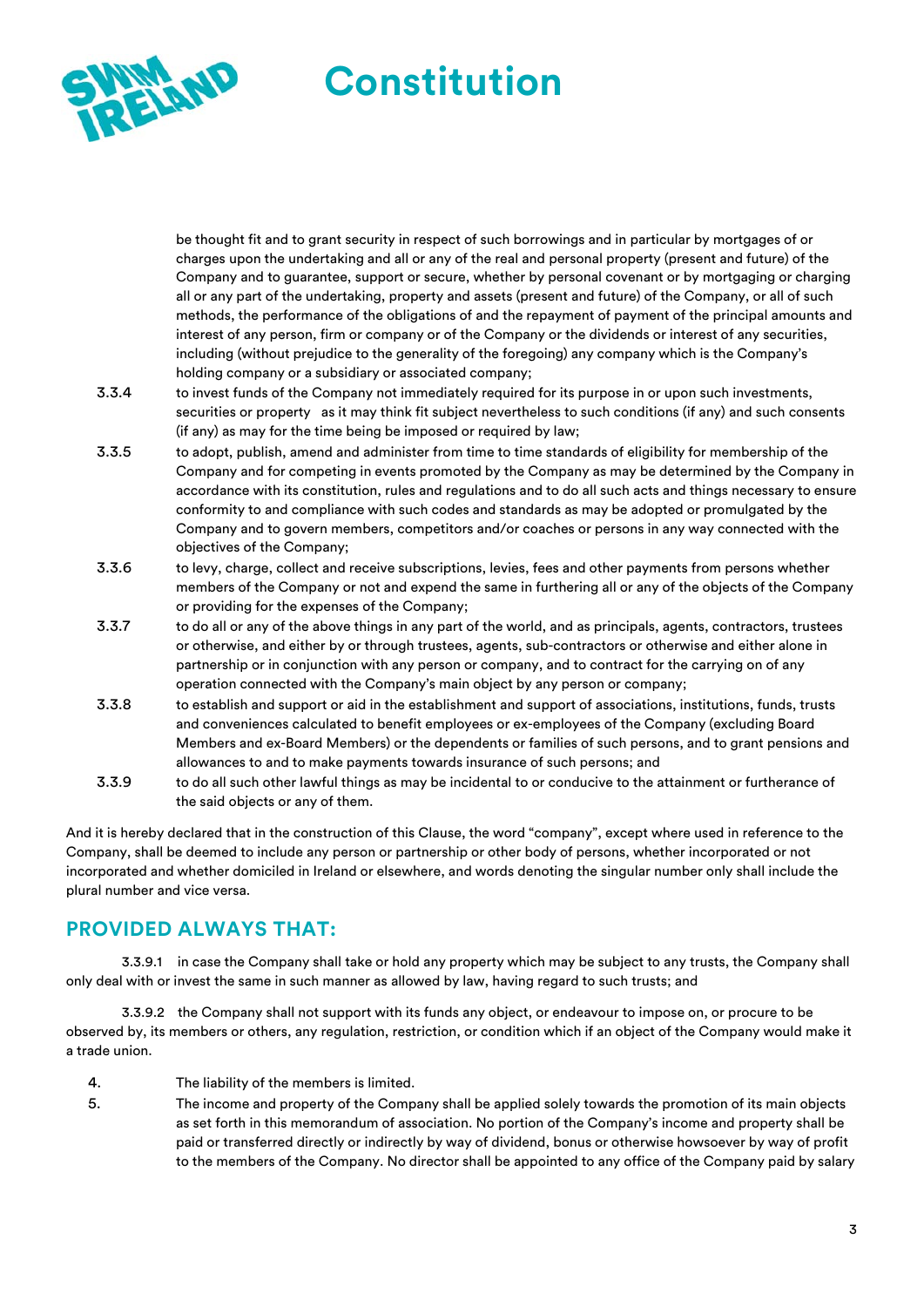

be thought fit and to grant security in respect of such borrowings and in particular by mortgages of or charges upon the undertaking and all or any of the real and personal property (present and future) of the Company and to guarantee, support or secure, whether by personal covenant or by mortgaging or charging all or any part of the undertaking, property and assets (present and future) of the Company, or all of such methods, the performance of the obligations of and the repayment of payment of the principal amounts and interest of any person, firm or company or of the Company or the dividends or interest of any securities, including (without prejudice to the generality of the foregoing) any company which is the Company's holding company or a subsidiary or associated company;

- 3.3.4 to invest funds of the Company not immediately required for its purpose in or upon such investments, securities or property as it may think fit subject nevertheless to such conditions (if any) and such consents (if any) as may for the time being be imposed or required by law;
- 3.3.5 to adopt, publish, amend and administer from time to time standards of eligibility for membership of the Company and for competing in events promoted by the Company as may be determined by the Company in accordance with its constitution, rules and regulations and to do all such acts and things necessary to ensure conformity to and compliance with such codes and standards as may be adopted or promulgated by the Company and to govern members, competitors and/or coaches or persons in any way connected with the objectives of the Company;
- 3.3.6 to levy, charge, collect and receive subscriptions, levies, fees and other payments from persons whether members of the Company or not and expend the same in furthering all or any of the objects of the Company or providing for the expenses of the Company;
- 3.3.7 to do all or any of the above things in any part of the world, and as principals, agents, contractors, trustees or otherwise, and either by or through trustees, agents, sub-contractors or otherwise and either alone in partnership or in conjunction with any person or company, and to contract for the carrying on of any operation connected with the Company's main object by any person or company;
- 3.3.8 to establish and support or aid in the establishment and support of associations, institutions, funds, trusts and conveniences calculated to benefit employees or ex-employees of the Company (excluding Board Members and ex-Board Members) or the dependents or families of such persons, and to grant pensions and allowances to and to make payments towards insurance of such persons; and
- 3.3.9 to do all such other lawful things as may be incidental to or conducive to the attainment or furtherance of the said objects or any of them.

And it is hereby declared that in the construction of this Clause, the word "company", except where used in reference to the Company, shall be deemed to include any person or partnership or other body of persons, whether incorporated or not incorporated and whether domiciled in Ireland or elsewhere, and words denoting the singular number only shall include the plural number and vice versa.

# **PROVIDED ALWAYS THAT:**

3.3.9.1 in case the Company shall take or hold any property which may be subject to any trusts, the Company shall only deal with or invest the same in such manner as allowed by law, having regard to such trusts; and

3.3.9.2 the Company shall not support with its funds any object, or endeavour to impose on, or procure to be observed by, its members or others, any regulation, restriction, or condition which if an object of the Company would make it a trade union.

- 4. The liability of the members is limited.
- 5. The income and property of the Company shall be applied solely towards the promotion of its main objects as set forth in this memorandum of association. No portion of the Company's income and property shall be paid or transferred directly or indirectly by way of dividend, bonus or otherwise howsoever by way of profit to the members of the Company. No director shall be appointed to any office of the Company paid by salary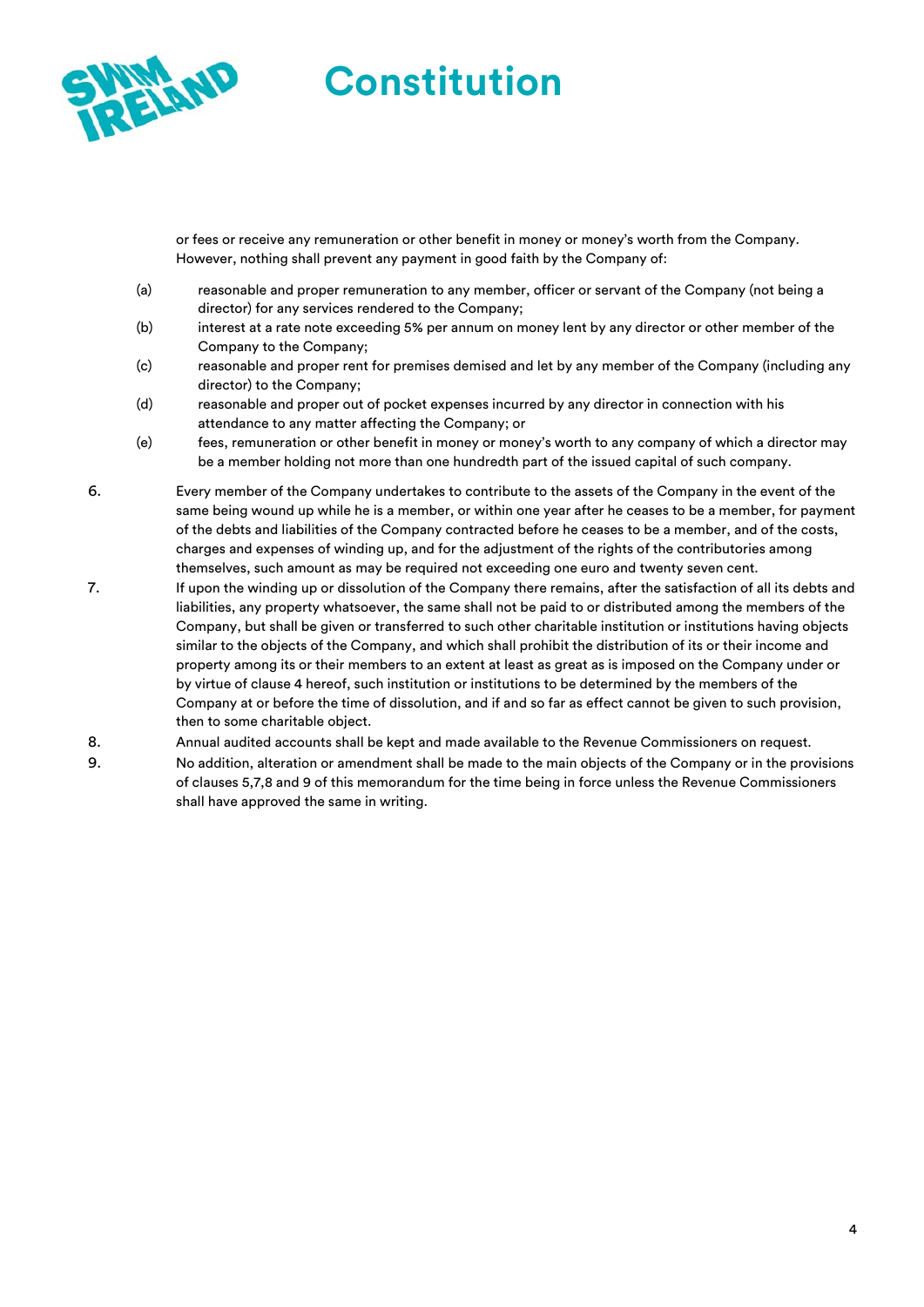

or fees or receive any remuneration or other benefit in money or money's worth from the Company. However, nothing shall prevent any payment in good faith by the Company of:

- (a) reasonable and proper remuneration to any member, officer or servant of the Company (not being a director) for any services rendered to the Company;
- (b) interest at a rate note exceeding 5% per annum on money lent by any director or other member of the Company to the Company;
- (c) reasonable and proper rent for premises demised and let by any member of the Company (including any director) to the Company;
- (d) reasonable and proper out of pocket expenses incurred by any director in connection with his attendance to any matter affecting the Company; or
- (e) fees, remuneration or other benefit in money or money's worth to any company of which a director may be a member holding not more than one hundredth part of the issued capital of such company.
- 6. Every member of the Company undertakes to contribute to the assets of the Company in the event of the same being wound up while he is a member, or within one year after he ceases to be a member, for payment of the debts and liabilities of the Company contracted before he ceases to be a member, and of the costs, charges and expenses of winding up, and for the adjustment of the rights of the contributories among themselves, such amount as may be required not exceeding one euro and twenty seven cent.
- 7. If upon the winding up or dissolution of the Company there remains, after the satisfaction of all its debts and liabilities, any property whatsoever, the same shall not be paid to or distributed among the members of the Company, but shall be given or transferred to such other charitable institution or institutions having objects similar to the objects of the Company, and which shall prohibit the distribution of its or their income and property among its or their members to an extent at least as great as is imposed on the Company under or by virtue of clause 4 hereof, such institution or institutions to be determined by the members of the Company at or before the time of dissolution, and if and so far as effect cannot be given to such provision, then to some charitable object.
- 8. Annual audited accounts shall be kept and made available to the Revenue Commissioners on request.
- 9. No addition, alteration or amendment shall be made to the main objects of the Company or in the provisions of clauses 5,7,8 and 9 of this memorandum for the time being in force unless the Revenue Commissioners shall have approved the same in writing.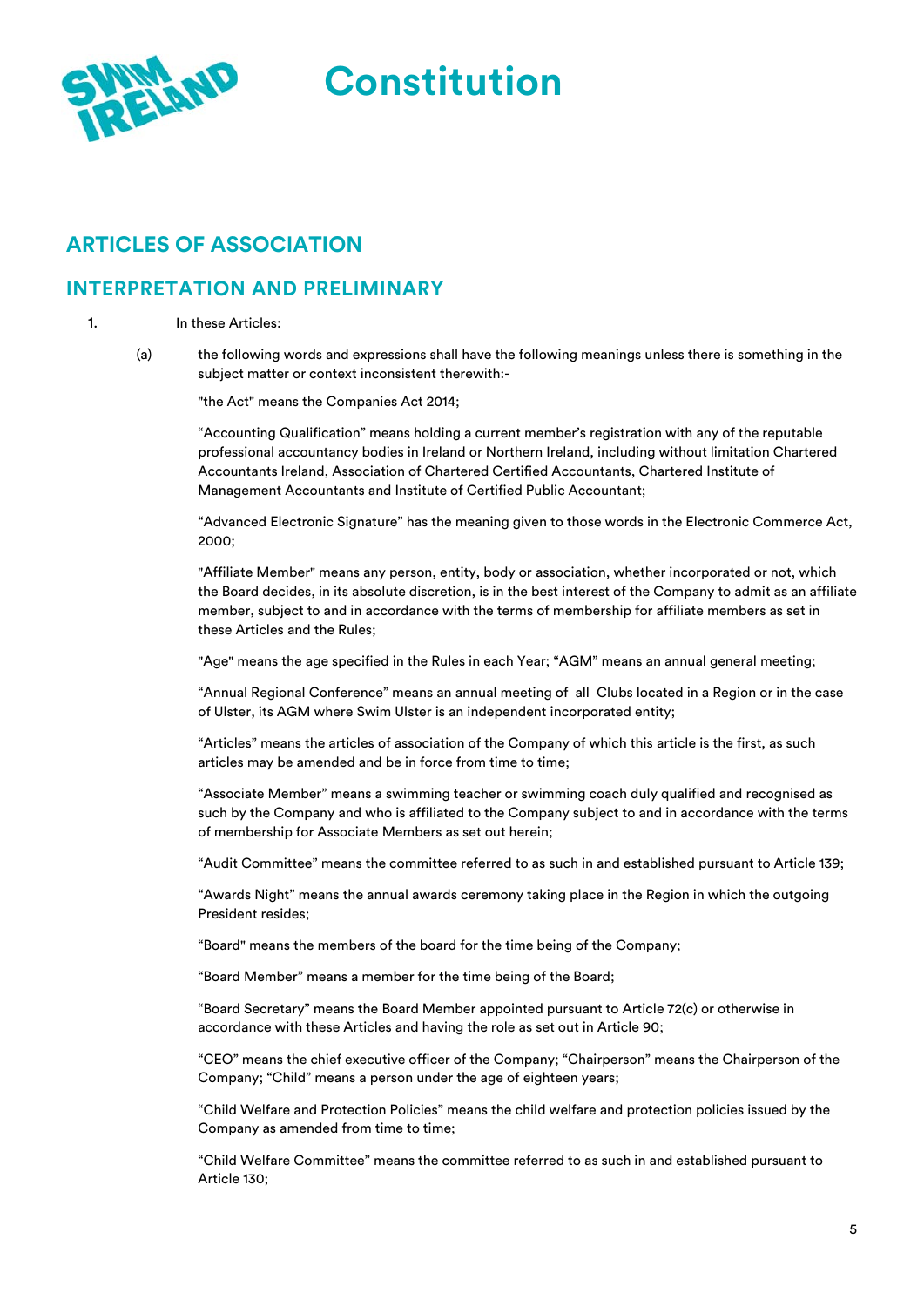

# **ARTICLES OF ASSOCIATION**

### **INTERPRETATION AND PRELIMINARY**

#### 1. In these Articles:

(a) the following words and expressions shall have the following meanings unless there is something in the subject matter or context inconsistent therewith:-

"the Act" means the Companies Act 2014;

"Accounting Qualification" means holding a current member's registration with any of the reputable professional accountancy bodies in Ireland or Northern Ireland, including without limitation Chartered Accountants Ireland, Association of Chartered Certified Accountants, Chartered Institute of Management Accountants and Institute of Certified Public Accountant;

"Advanced Electronic Signature" has the meaning given to those words in the Electronic Commerce Act, 2000;

"Affiliate Member" means any person, entity, body or association, whether incorporated or not, which the Board decides, in its absolute discretion, is in the best interest of the Company to admit as an affiliate member, subject to and in accordance with the terms of membership for affiliate members as set in these Articles and the Rules;

"Age" means the age specified in the Rules in each Year; "AGM" means an annual general meeting;

"Annual Regional Conference" means an annual meeting of all Clubs located in a Region or in the case of Ulster, its AGM where Swim Ulster is an independent incorporated entity;

"Articles" means the articles of association of the Company of which this article is the first, as such articles may be amended and be in force from time to time;

"Associate Member" means a swimming teacher or swimming coach duly qualified and recognised as such by the Company and who is affiliated to the Company subject to and in accordance with the terms of membership for Associate Members as set out herein;

"Audit Committee" means the committee referred to as such in and established pursuant to Article 139;

"Awards Night" means the annual awards ceremony taking place in the Region in which the outgoing President resides;

"Board" means the members of the board for the time being of the Company;

"Board Member" means a member for the time being of the Board;

"Board Secretary" means the Board Member appointed pursuant to Article 72(c) or otherwise in accordance with these Articles and having the role as set out in Article 90;

"CEO" means the chief executive officer of the Company; "Chairperson" means the Chairperson of the Company; "Child" means a person under the age of eighteen years;

"Child Welfare and Protection Policies" means the child welfare and protection policies issued by the Company as amended from time to time;

"Child Welfare Committee" means the committee referred to as such in and established pursuant to Article 130;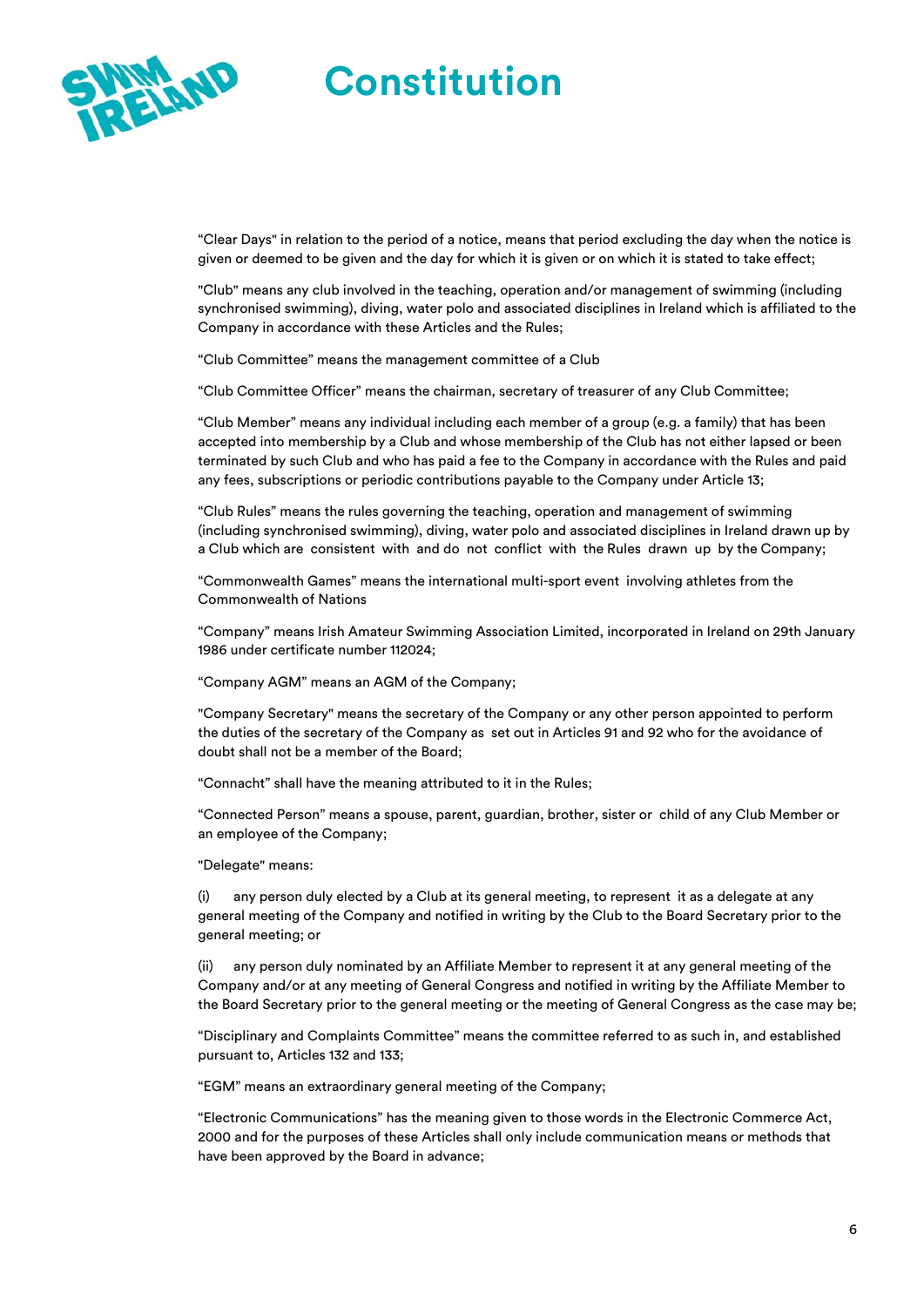

"Clear Days" in relation to the period of a notice, means that period excluding the day when the notice is given or deemed to be given and the day for which it is given or on which it is stated to take effect;

"Club" means any club involved in the teaching, operation and/or management of swimming (including synchronised swimming), diving, water polo and associated disciplines in Ireland which is affiliated to the Company in accordance with these Articles and the Rules;

"Club Committee" means the management committee of a Club

"Club Committee Officer" means the chairman, secretary of treasurer of any Club Committee;

"Club Member" means any individual including each member of a group (e.g. a family) that has been accepted into membership by a Club and whose membership of the Club has not either lapsed or been terminated by such Club and who has paid a fee to the Company in accordance with the Rules and paid any fees, subscriptions or periodic contributions payable to the Company under Article 13;

"Club Rules" means the rules governing the teaching, operation and management of swimming (including synchronised swimming), diving, water polo and associated disciplines in Ireland drawn up by a Club which are consistent with and do not conflict with the Rules drawn up by the Company;

"Commonwealth Games" means the international multi-sport event involving athletes from the Commonwealth of Nations

"Company" means Irish Amateur Swimming Association Limited, incorporated in Ireland on 29th January 1986 under certificate number 112024;

"Company AGM" means an AGM of the Company;

"Company Secretary" means the secretary of the Company or any other person appointed to perform the duties of the secretary of the Company as set out in Articles 91 and 92 who for the avoidance of doubt shall not be a member of the Board;

"Connacht" shall have the meaning attributed to it in the Rules;

"Connected Person" means a spouse, parent, guardian, brother, sister or child of any Club Member or an employee of the Company;

"Delegate" means:

(i) any person duly elected by a Club at its general meeting, to represent it as a delegate at any general meeting of the Company and notified in writing by the Club to the Board Secretary prior to the general meeting; or

(ii) any person duly nominated by an Affiliate Member to represent it at any general meeting of the Company and/or at any meeting of General Congress and notified in writing by the Affiliate Member to the Board Secretary prior to the general meeting or the meeting of General Congress as the case may be;

"Disciplinary and Complaints Committee" means the committee referred to as such in, and established pursuant to, Articles 132 and 133;

"EGM" means an extraordinary general meeting of the Company;

"Electronic Communications" has the meaning given to those words in the Electronic Commerce Act, 2000 and for the purposes of these Articles shall only include communication means or methods that have been approved by the Board in advance;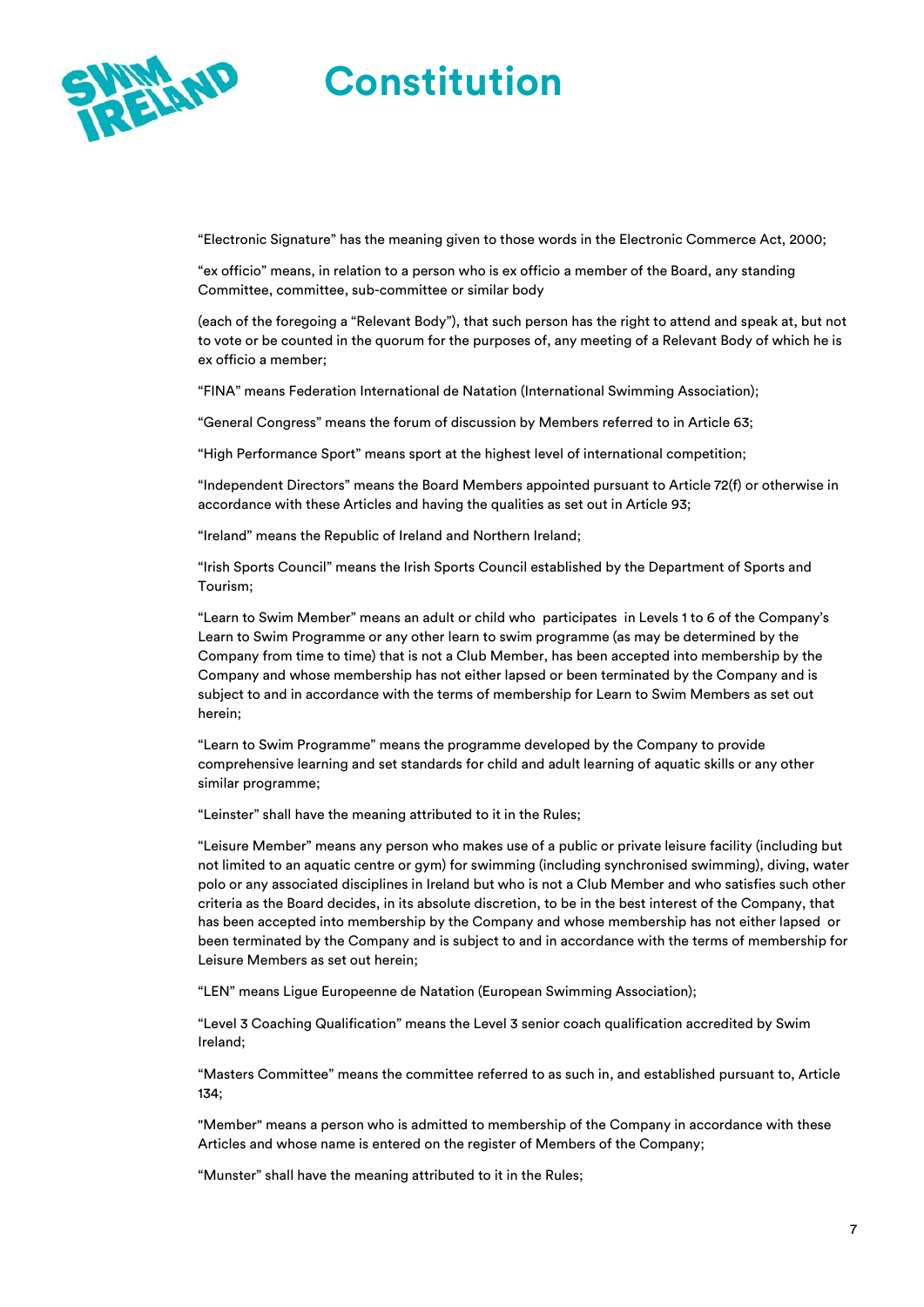

"Electronic Signature" has the meaning given to those words in the Electronic Commerce Act, 2000;

"ex officio" means, in relation to a person who is ex officio a member of the Board, any standing Committee, committee, sub-committee or similar body

(each of the foregoing a "Relevant Body"), that such person has the right to attend and speak at, but not to vote or be counted in the quorum for the purposes of, any meeting of a Relevant Body of which he is ex officio a member;

"FINA" means Federation International de Natation (International Swimming Association);

"General Congress" means the forum of discussion by Members referred to in Article 63;

"High Performance Sport" means sport at the highest level of international competition;

"Independent Directors" means the Board Members appointed pursuant to Article 72(f) or otherwise in accordance with these Articles and having the qualities as set out in Article 93;

"Ireland" means the Republic of Ireland and Northern Ireland;

"Irish Sports Council" means the Irish Sports Council established by the Department of Sports and Tourism;

"Learn to Swim Member" means an adult or child who participates in Levels 1 to 6 of the Company's Learn to Swim Programme or any other learn to swim programme (as may be determined by the Company from time to time) that is not a Club Member, has been accepted into membership by the Company and whose membership has not either lapsed or been terminated by the Company and is subject to and in accordance with the terms of membership for Learn to Swim Members as set out herein;

"Learn to Swim Programme" means the programme developed by the Company to provide comprehensive learning and set standards for child and adult learning of aquatic skills or any other similar programme;

"Leinster" shall have the meaning attributed to it in the Rules;

"Leisure Member" means any person who makes use of a public or private leisure facility (including but not limited to an aquatic centre or gym) for swimming (including synchronised swimming), diving, water polo or any associated disciplines in Ireland but who is not a Club Member and who satisfies such other criteria as the Board decides, in its absolute discretion, to be in the best interest of the Company, that has been accepted into membership by the Company and whose membership has not either lapsed or been terminated by the Company and is subject to and in accordance with the terms of membership for Leisure Members as set out herein;

"LEN" means Ligue Europeenne de Natation (European Swimming Association);

"Level 3 Coaching Qualification" means the Level 3 senior coach qualification accredited by Swim Ireland;

"Masters Committee" means the committee referred to as such in, and established pursuant to, Article 134;

"Member" means a person who is admitted to membership of the Company in accordance with these Articles and whose name is entered on the register of Members of the Company;

"Munster" shall have the meaning attributed to it in the Rules;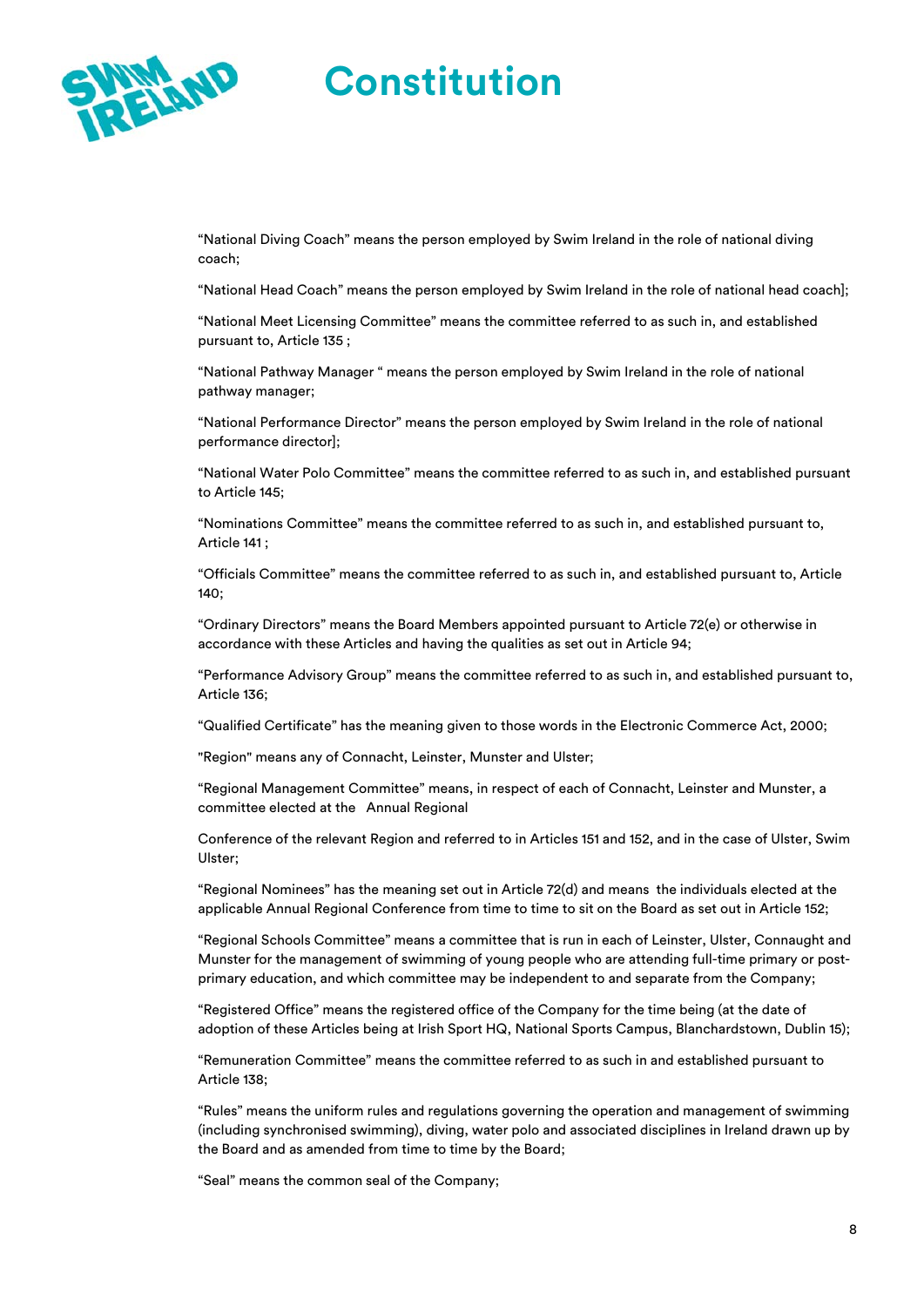

"National Diving Coach" means the person employed by Swim Ireland in the role of national diving coach;

"National Head Coach" means the person employed by Swim Ireland in the role of national head coach];

"National Meet Licensing Committee" means the committee referred to as such in, and established pursuant to, Article 135 ;

"National Pathway Manager " means the person employed by Swim Ireland in the role of national pathway manager;

"National Performance Director" means the person employed by Swim Ireland in the role of national performance director];

"National Water Polo Committee" means the committee referred to as such in, and established pursuant to Article 145;

"Nominations Committee" means the committee referred to as such in, and established pursuant to, Article 141 ;

"Officials Committee" means the committee referred to as such in, and established pursuant to, Article 140;

"Ordinary Directors" means the Board Members appointed pursuant to Article 72(e) or otherwise in accordance with these Articles and having the qualities as set out in Article 94;

"Performance Advisory Group" means the committee referred to as such in, and established pursuant to, Article 136;

"Qualified Certificate" has the meaning given to those words in the Electronic Commerce Act, 2000;

"Region" means any of Connacht, Leinster, Munster and Ulster;

"Regional Management Committee" means, in respect of each of Connacht, Leinster and Munster, a committee elected at the Annual Regional

Conference of the relevant Region and referred to in Articles 151 and 152, and in the case of Ulster, Swim Ulster;

"Regional Nominees" has the meaning set out in Article 72(d) and means the individuals elected at the applicable Annual Regional Conference from time to time to sit on the Board as set out in Article 152;

"Regional Schools Committee" means a committee that is run in each of Leinster, Ulster, Connaught and Munster for the management of swimming of young people who are attending full-time primary or postprimary education, and which committee may be independent to and separate from the Company;

"Registered Office" means the registered office of the Company for the time being (at the date of adoption of these Articles being at Irish Sport HQ, National Sports Campus, Blanchardstown, Dublin 15);

"Remuneration Committee" means the committee referred to as such in and established pursuant to Article 138;

"Rules" means the uniform rules and regulations governing the operation and management of swimming (including synchronised swimming), diving, water polo and associated disciplines in Ireland drawn up by the Board and as amended from time to time by the Board;

"Seal" means the common seal of the Company;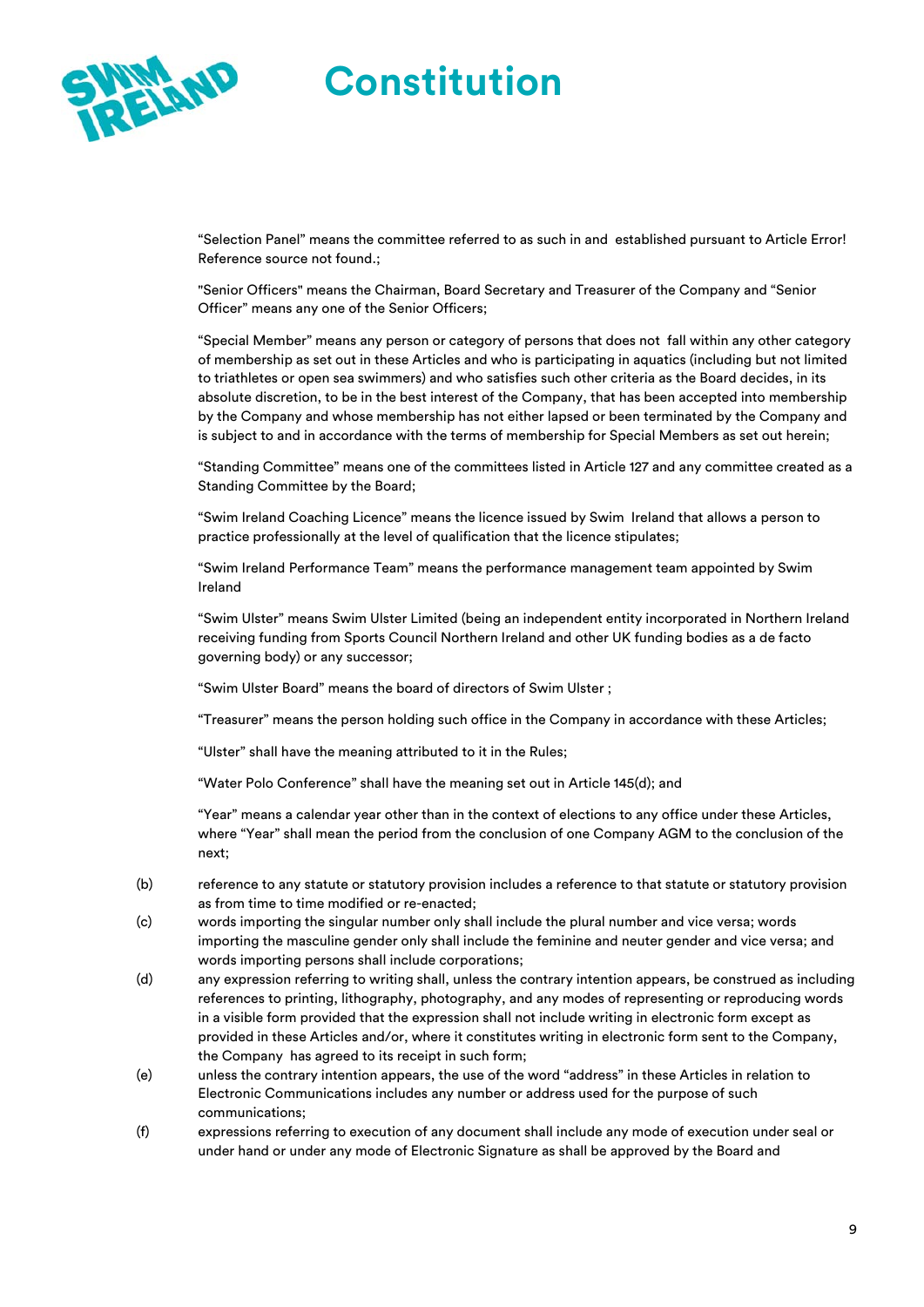

"Selection Panel" means the committee referred to as such in and established pursuant to Article Error! Reference source not found.;

"Senior Officers" means the Chairman, Board Secretary and Treasurer of the Company and "Senior Officer" means any one of the Senior Officers;

"Special Member" means any person or category of persons that does not fall within any other category of membership as set out in these Articles and who is participating in aquatics (including but not limited to triathletes or open sea swimmers) and who satisfies such other criteria as the Board decides, in its absolute discretion, to be in the best interest of the Company, that has been accepted into membership by the Company and whose membership has not either lapsed or been terminated by the Company and is subject to and in accordance with the terms of membership for Special Members as set out herein;

"Standing Committee" means one of the committees listed in Article 127 and any committee created as a Standing Committee by the Board;

"Swim Ireland Coaching Licence" means the licence issued by Swim Ireland that allows a person to practice professionally at the level of qualification that the licence stipulates;

"Swim Ireland Performance Team" means the performance management team appointed by Swim Ireland

"Swim Ulster" means Swim Ulster Limited (being an independent entity incorporated in Northern Ireland receiving funding from Sports Council Northern Ireland and other UK funding bodies as a de facto governing body) or any successor;

"Swim Ulster Board" means the board of directors of Swim Ulster ;

"Treasurer" means the person holding such office in the Company in accordance with these Articles;

"Ulster" shall have the meaning attributed to it in the Rules;

"Water Polo Conference" shall have the meaning set out in Article 145(d); and

"Year" means a calendar year other than in the context of elections to any office under these Articles, where "Year" shall mean the period from the conclusion of one Company AGM to the conclusion of the next;

- (b) reference to any statute or statutory provision includes a reference to that statute or statutory provision as from time to time modified or re-enacted;
- (c) words importing the singular number only shall include the plural number and vice versa; words importing the masculine gender only shall include the feminine and neuter gender and vice versa; and words importing persons shall include corporations;
- (d) any expression referring to writing shall, unless the contrary intention appears, be construed as including references to printing, lithography, photography, and any modes of representing or reproducing words in a visible form provided that the expression shall not include writing in electronic form except as provided in these Articles and/or, where it constitutes writing in electronic form sent to the Company, the Company has agreed to its receipt in such form;
- (e) unless the contrary intention appears, the use of the word "address" in these Articles in relation to Electronic Communications includes any number or address used for the purpose of such communications;
- (f) expressions referring to execution of any document shall include any mode of execution under seal or under hand or under any mode of Electronic Signature as shall be approved by the Board and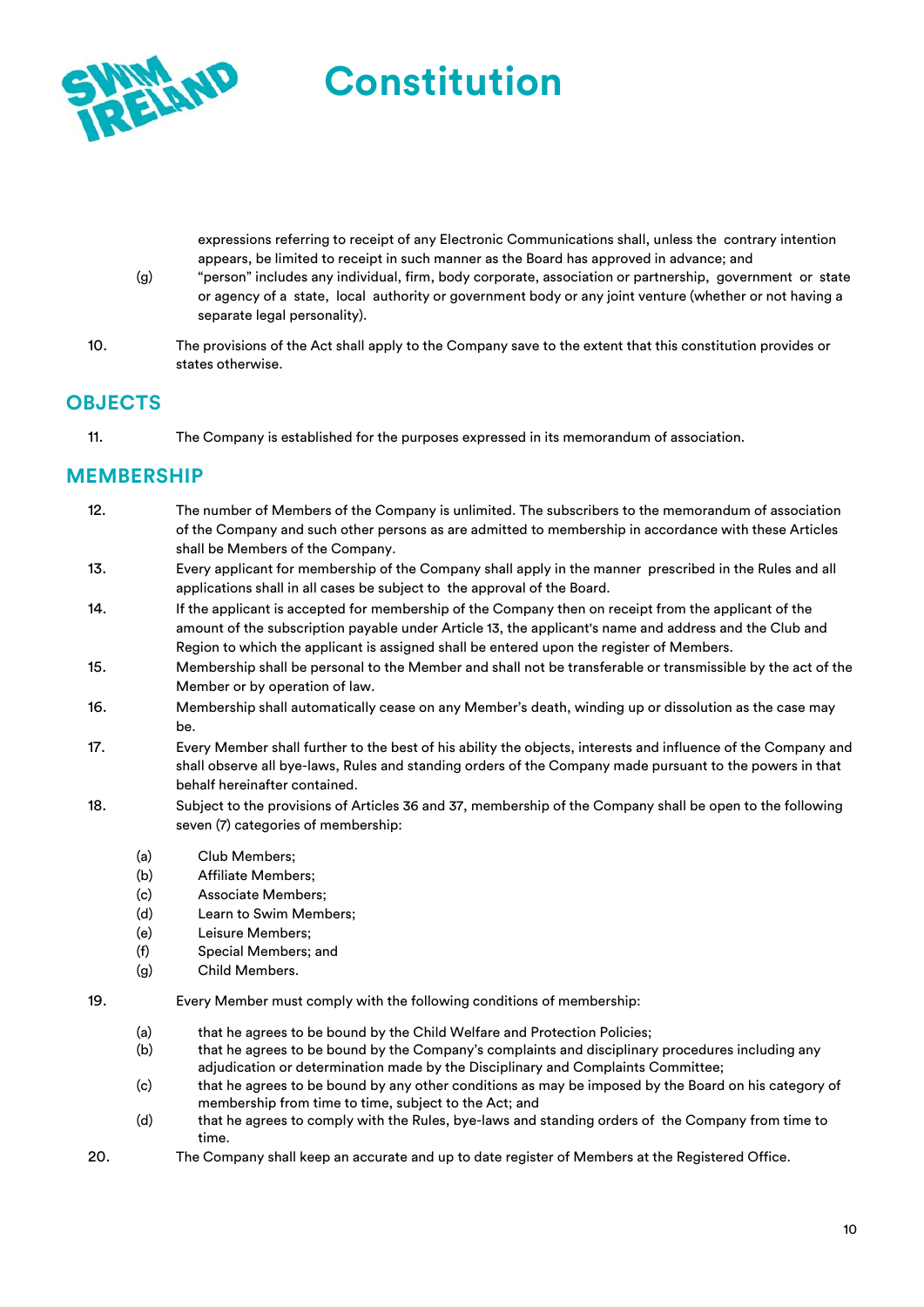

expressions referring to receipt of any Electronic Communications shall, unless the contrary intention appears, be limited to receipt in such manner as the Board has approved in advance; and

- (g) "person" includes any individual, firm, body corporate, association or partnership, government or state or agency of a state, local authority or government body or any joint venture (whether or not having a separate legal personality).
- 10. The provisions of the Act shall apply to the Company save to the extent that this constitution provides or states otherwise.

**Constitution** 

### **OBJECTS**

11. The Company is established for the purposes expressed in its memorandum of association.

# **MEMBERSHIP**

- 12. The number of Members of the Company is unlimited. The subscribers to the memorandum of association of the Company and such other persons as are admitted to membership in accordance with these Articles shall be Members of the Company.
- 13. Every applicant for membership of the Company shall apply in the manner prescribed in the Rules and all applications shall in all cases be subject to the approval of the Board.
- 14. If the applicant is accepted for membership of the Company then on receipt from the applicant of the amount of the subscription payable under Article 13, the applicant's name and address and the Club and Region to which the applicant is assigned shall be entered upon the register of Members.
- 15. Membership shall be personal to the Member and shall not be transferable or transmissible by the act of the Member or by operation of law.
- 16. Membership shall automatically cease on any Member's death, winding up or dissolution as the case may be.
- 17. Every Member shall further to the best of his ability the objects, interests and influence of the Company and shall observe all bye-laws, Rules and standing orders of the Company made pursuant to the powers in that behalf hereinafter contained.
- 18. Subject to the provisions of Articles 36 and 37, membership of the Company shall be open to the following seven (7) categories of membership:
	- (a) Club Members;
	- (b) Affiliate Members;
	- (c) Associate Members;
	- (d) Learn to Swim Members;
	- (e) Leisure Members;
	- (f) Special Members; and
	- (g) Child Members.
- 19. Every Member must comply with the following conditions of membership:
	- (a) that he agrees to be bound by the Child Welfare and Protection Policies;
	- (b) that he agrees to be bound by the Company's complaints and disciplinary procedures including any adjudication or determination made by the Disciplinary and Complaints Committee;
	- (c) that he agrees to be bound by any other conditions as may be imposed by the Board on his category of membership from time to time, subject to the Act; and
	- (d) that he agrees to comply with the Rules, bye-laws and standing orders of the Company from time to time.
- 20. The Company shall keep an accurate and up to date register of Members at the Registered Office.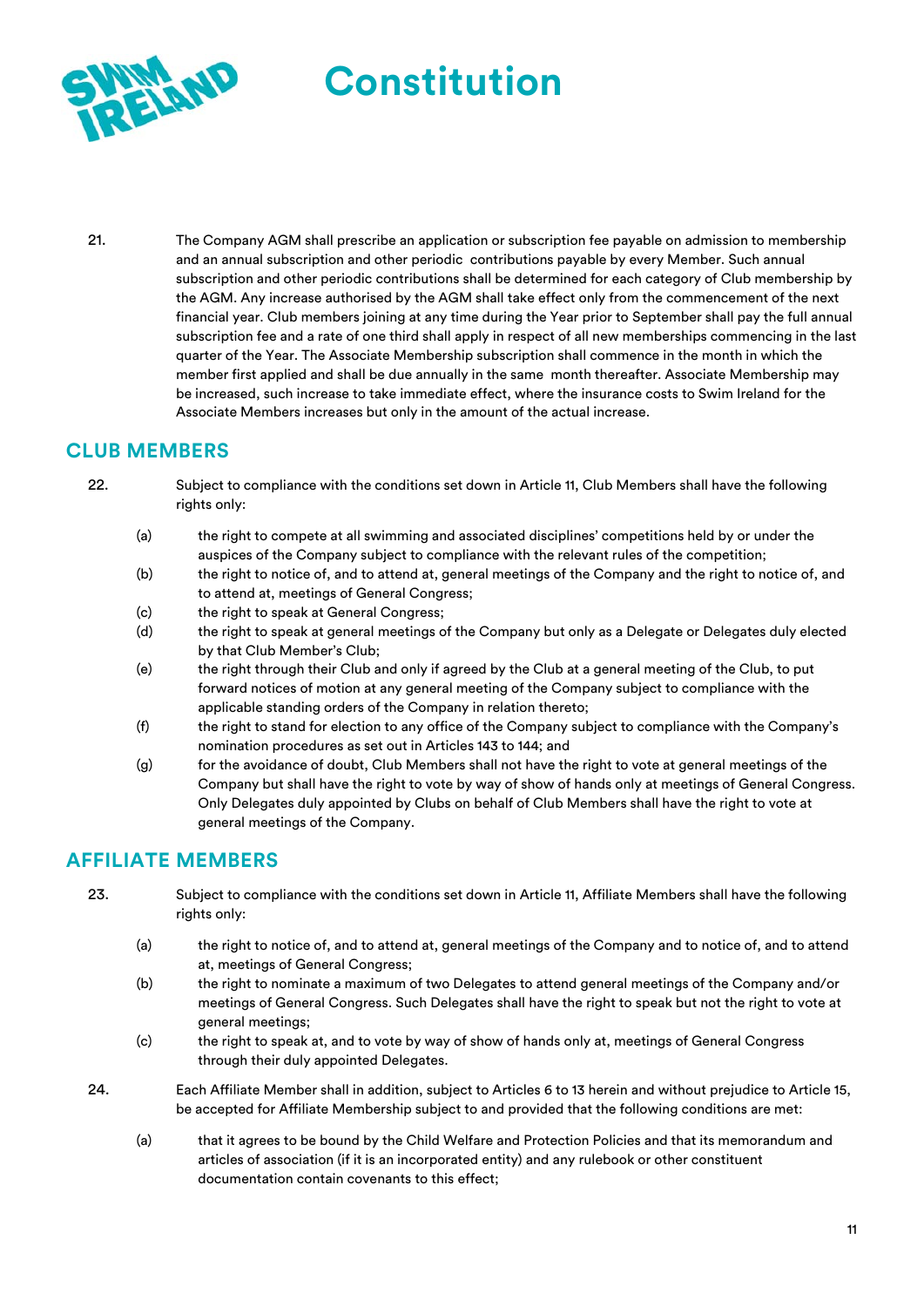

21. The Company AGM shall prescribe an application or subscription fee payable on admission to membership and an annual subscription and other periodic contributions payable by every Member. Such annual subscription and other periodic contributions shall be determined for each category of Club membership by the AGM. Any increase authorised by the AGM shall take effect only from the commencement of the next financial year. Club members joining at any time during the Year prior to September shall pay the full annual subscription fee and a rate of one third shall apply in respect of all new memberships commencing in the last quarter of the Year. The Associate Membership subscription shall commence in the month in which the member first applied and shall be due annually in the same month thereafter. Associate Membership may be increased, such increase to take immediate effect, where the insurance costs to Swim Ireland for the Associate Members increases but only in the amount of the actual increase.

### **CLUB MEMBERS**

- 22. Subject to compliance with the conditions set down in Article 11, Club Members shall have the following rights only:
	- (a) the right to compete at all swimming and associated disciplines' competitions held by or under the auspices of the Company subject to compliance with the relevant rules of the competition;
	- (b) the right to notice of, and to attend at, general meetings of the Company and the right to notice of, and to attend at, meetings of General Congress;
	- (c) the right to speak at General Congress;
	- (d) the right to speak at general meetings of the Company but only as a Delegate or Delegates duly elected by that Club Member's Club;
	- (e) the right through their Club and only if agreed by the Club at a general meeting of the Club, to put forward notices of motion at any general meeting of the Company subject to compliance with the applicable standing orders of the Company in relation thereto;
	- (f) the right to stand for election to any office of the Company subject to compliance with the Company's nomination procedures as set out in Articles 143 to 144; and
	- (g) for the avoidance of doubt, Club Members shall not have the right to vote at general meetings of the Company but shall have the right to vote by way of show of hands only at meetings of General Congress. Only Delegates duly appointed by Clubs on behalf of Club Members shall have the right to vote at general meetings of the Company.

### **AFFILIATE MEMBERS**

- 23. Subject to compliance with the conditions set down in Article 11, Affiliate Members shall have the following rights only:
	- (a) the right to notice of, and to attend at, general meetings of the Company and to notice of, and to attend at, meetings of General Congress;
	- (b) the right to nominate a maximum of two Delegates to attend general meetings of the Company and/or meetings of General Congress. Such Delegates shall have the right to speak but not the right to vote at general meetings;
	- (c) the right to speak at, and to vote by way of show of hands only at, meetings of General Congress through their duly appointed Delegates.
- 24. Each Affiliate Member shall in addition, subject to Articles 6 to 13 herein and without prejudice to Article 15, be accepted for Affiliate Membership subject to and provided that the following conditions are met:
	- (a) that it agrees to be bound by the Child Welfare and Protection Policies and that its memorandum and articles of association (if it is an incorporated entity) and any rulebook or other constituent documentation contain covenants to this effect;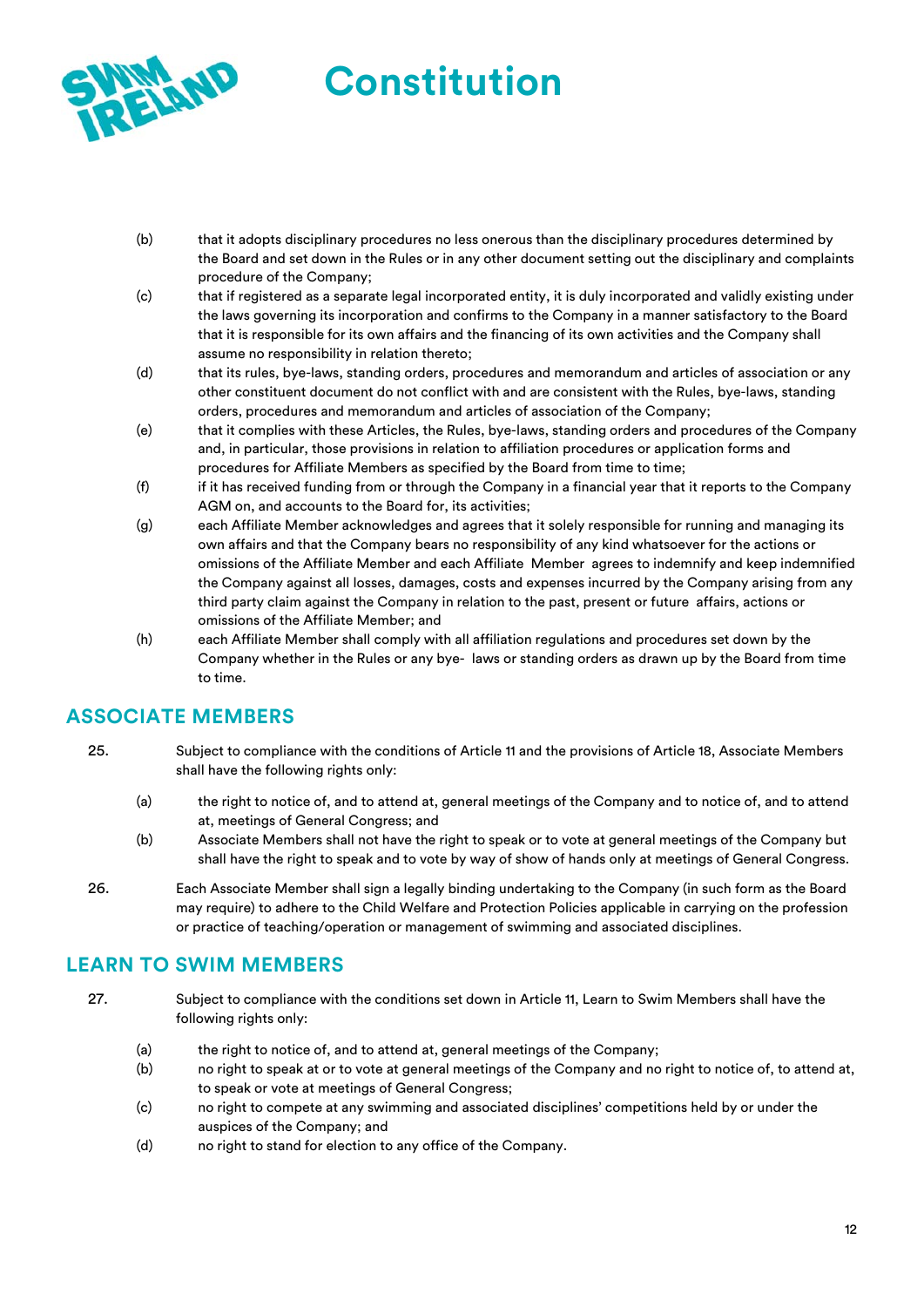

- (b) that it adopts disciplinary procedures no less onerous than the disciplinary procedures determined by the Board and set down in the Rules or in any other document setting out the disciplinary and complaints procedure of the Company;
- (c) that if registered as a separate legal incorporated entity, it is duly incorporated and validly existing under the laws governing its incorporation and confirms to the Company in a manner satisfactory to the Board that it is responsible for its own affairs and the financing of its own activities and the Company shall assume no responsibility in relation thereto;
- (d) that its rules, bye-laws, standing orders, procedures and memorandum and articles of association or any other constituent document do not conflict with and are consistent with the Rules, bye-laws, standing orders, procedures and memorandum and articles of association of the Company;
- (e) that it complies with these Articles, the Rules, bye-laws, standing orders and procedures of the Company and, in particular, those provisions in relation to affiliation procedures or application forms and procedures for Affiliate Members as specified by the Board from time to time;
- (f) if it has received funding from or through the Company in a financial year that it reports to the Company AGM on, and accounts to the Board for, its activities;
- (g) each Affiliate Member acknowledges and agrees that it solely responsible for running and managing its own affairs and that the Company bears no responsibility of any kind whatsoever for the actions or omissions of the Affiliate Member and each Affiliate Member agrees to indemnify and keep indemnified the Company against all losses, damages, costs and expenses incurred by the Company arising from any third party claim against the Company in relation to the past, present or future affairs, actions or omissions of the Affiliate Member; and
- (h) each Affiliate Member shall comply with all affiliation regulations and procedures set down by the Company whether in the Rules or any bye- laws or standing orders as drawn up by the Board from time to time.

# **ASSOCIATE MEMBERS**

- 25. Subject to compliance with the conditions of Article 11 and the provisions of Article 18, Associate Members shall have the following rights only:
	- (a) the right to notice of, and to attend at, general meetings of the Company and to notice of, and to attend at, meetings of General Congress; and
	- (b) Associate Members shall not have the right to speak or to vote at general meetings of the Company but shall have the right to speak and to vote by way of show of hands only at meetings of General Congress.
- 26. Each Associate Member shall sign a legally binding undertaking to the Company (in such form as the Board may require) to adhere to the Child Welfare and Protection Policies applicable in carrying on the profession or practice of teaching/operation or management of swimming and associated disciplines.

# **LEARN TO SWIM MEMBERS**

- 27. Subject to compliance with the conditions set down in Article 11, Learn to Swim Members shall have the following rights only:
	- (a) the right to notice of, and to attend at, general meetings of the Company;
	- (b) no right to speak at or to vote at general meetings of the Company and no right to notice of, to attend at, to speak or vote at meetings of General Congress;
	- (c) no right to compete at any swimming and associated disciplines' competitions held by or under the auspices of the Company; and
	- (d) no right to stand for election to any office of the Company.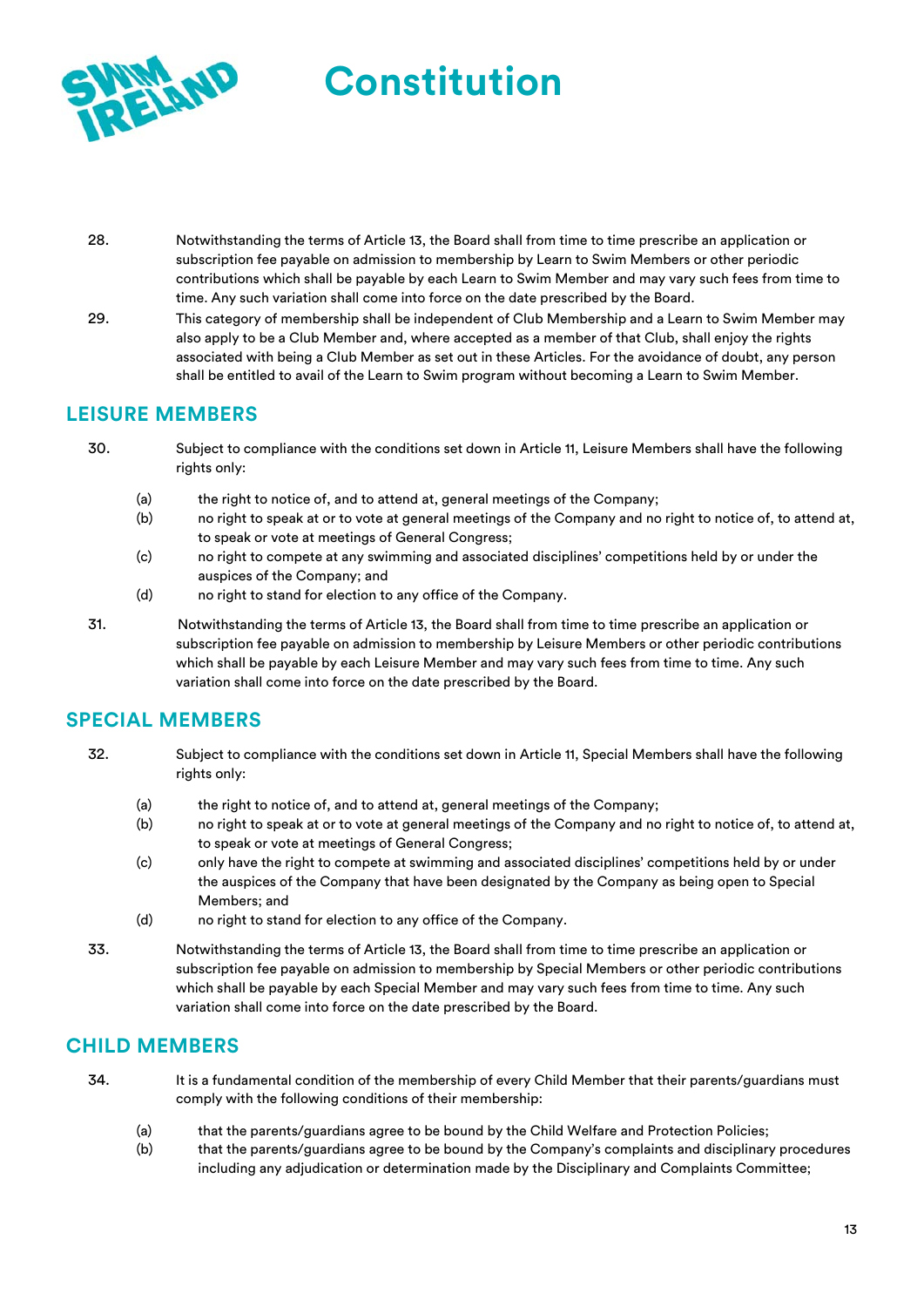

- 28. Notwithstanding the terms of Article 13, the Board shall from time to time prescribe an application or subscription fee payable on admission to membership by Learn to Swim Members or other periodic contributions which shall be payable by each Learn to Swim Member and may vary such fees from time to time. Any such variation shall come into force on the date prescribed by the Board.
- 29. This category of membership shall be independent of Club Membership and a Learn to Swim Member may also apply to be a Club Member and, where accepted as a member of that Club, shall enjoy the rights associated with being a Club Member as set out in these Articles. For the avoidance of doubt, any person shall be entitled to avail of the Learn to Swim program without becoming a Learn to Swim Member.

# **LEISURE MEMBERS**

- 30. Subject to compliance with the conditions set down in Article 11, Leisure Members shall have the following rights only:
	- (a) the right to notice of, and to attend at, general meetings of the Company;
	- (b) no right to speak at or to vote at general meetings of the Company and no right to notice of, to attend at, to speak or vote at meetings of General Congress;
	- (c) no right to compete at any swimming and associated disciplines' competitions held by or under the auspices of the Company; and
	- (d) no right to stand for election to any office of the Company.
- 31. Notwithstanding the terms of Article 13, the Board shall from time to time prescribe an application or subscription fee payable on admission to membership by Leisure Members or other periodic contributions which shall be payable by each Leisure Member and may vary such fees from time to time. Any such variation shall come into force on the date prescribed by the Board.

### **SPECIAL MEMBERS**

- 32. Subject to compliance with the conditions set down in Article 11, Special Members shall have the following rights only:
	- (a) the right to notice of, and to attend at, general meetings of the Company;
	- (b) no right to speak at or to vote at general meetings of the Company and no right to notice of, to attend at, to speak or vote at meetings of General Congress;
	- (c) only have the right to compete at swimming and associated disciplines' competitions held by or under the auspices of the Company that have been designated by the Company as being open to Special Members; and
	- (d) no right to stand for election to any office of the Company.
- 33. Notwithstanding the terms of Article 13, the Board shall from time to time prescribe an application or subscription fee payable on admission to membership by Special Members or other periodic contributions which shall be payable by each Special Member and may vary such fees from time to time. Any such variation shall come into force on the date prescribed by the Board.

### **CHILD MEMBERS**

- 34. It is a fundamental condition of the membership of every Child Member that their parents/guardians must comply with the following conditions of their membership:
	- (a) that the parents/guardians agree to be bound by the Child Welfare and Protection Policies;
	- (b) that the parents/guardians agree to be bound by the Company's complaints and disciplinary procedures including any adjudication or determination made by the Disciplinary and Complaints Committee;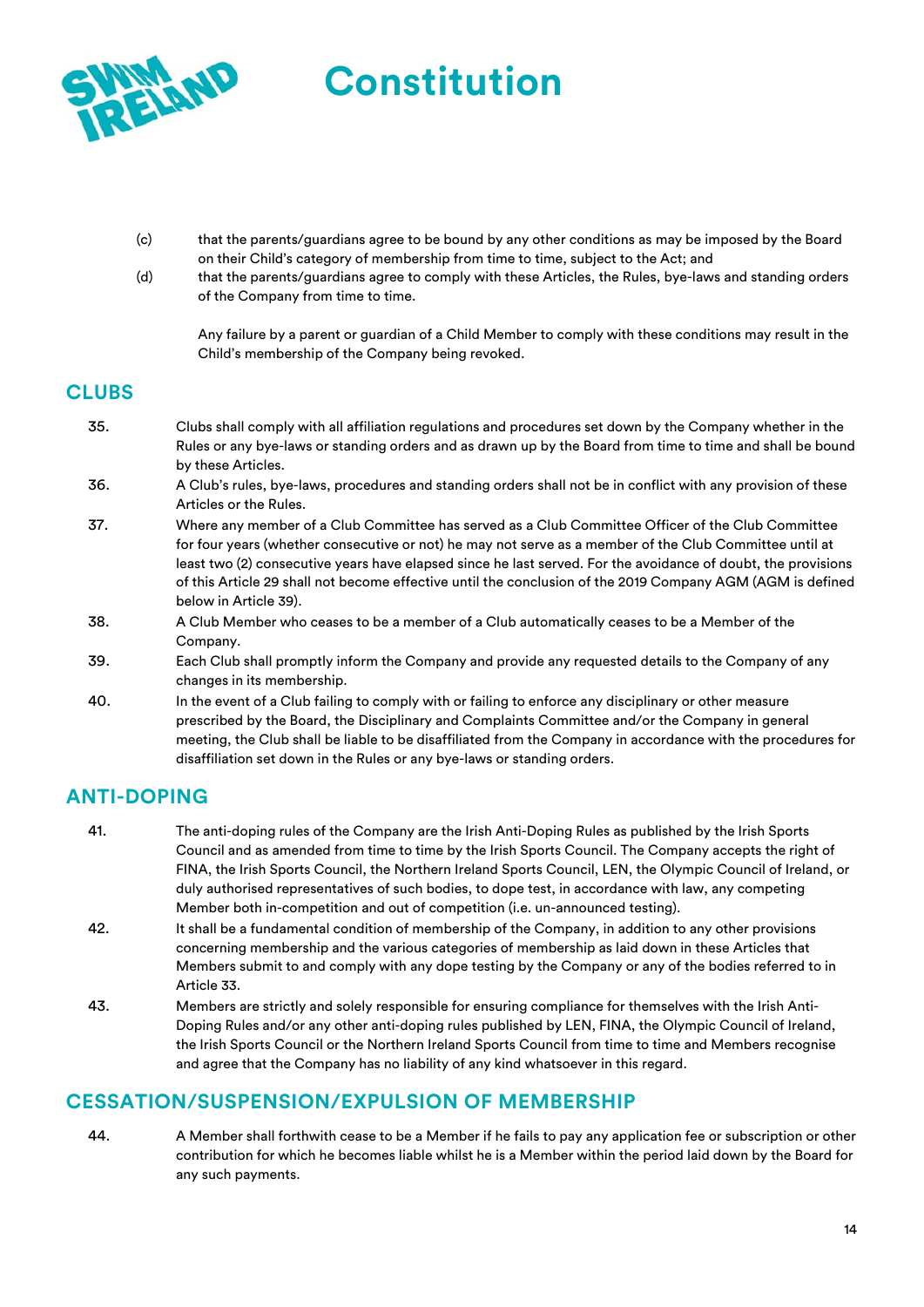

- (c) that the parents/guardians agree to be bound by any other conditions as may be imposed by the Board on their Child's category of membership from time to time, subject to the Act; and
- (d) that the parents/guardians agree to comply with these Articles, the Rules, bye-laws and standing orders of the Company from time to time.

Any failure by a parent or guardian of a Child Member to comply with these conditions may result in the Child's membership of the Company being revoked.

# **CLUBS**

- 35. Clubs shall comply with all affiliation regulations and procedures set down by the Company whether in the Rules or any bye-laws or standing orders and as drawn up by the Board from time to time and shall be bound by these Articles.
- 36. A Club's rules, bye-laws, procedures and standing orders shall not be in conflict with any provision of these Articles or the Rules.
- 37. Where any member of a Club Committee has served as a Club Committee Officer of the Club Committee for four years (whether consecutive or not) he may not serve as a member of the Club Committee until at least two (2) consecutive years have elapsed since he last served. For the avoidance of doubt, the provisions of this Article 29 shall not become effective until the conclusion of the 2019 Company AGM (AGM is defined below in Article 39).
- 38. A Club Member who ceases to be a member of a Club automatically ceases to be a Member of the Company.
- 39. Each Club shall promptly inform the Company and provide any requested details to the Company of any changes in its membership.
- 40. In the event of a Club failing to comply with or failing to enforce any disciplinary or other measure prescribed by the Board, the Disciplinary and Complaints Committee and/or the Company in general meeting, the Club shall be liable to be disaffiliated from the Company in accordance with the procedures for disaffiliation set down in the Rules or any bye-laws or standing orders.

# **ANTI-DOPING**

- 41. The anti-doping rules of the Company are the Irish Anti-Doping Rules as published by the Irish Sports Council and as amended from time to time by the Irish Sports Council. The Company accepts the right of FINA, the Irish Sports Council, the Northern Ireland Sports Council, LEN, the Olympic Council of Ireland, or duly authorised representatives of such bodies, to dope test, in accordance with law, any competing Member both in-competition and out of competition (i.e. un-announced testing).
- 42. It shall be a fundamental condition of membership of the Company, in addition to any other provisions concerning membership and the various categories of membership as laid down in these Articles that Members submit to and comply with any dope testing by the Company or any of the bodies referred to in Article 33.
- 43. Members are strictly and solely responsible for ensuring compliance for themselves with the Irish Anti-Doping Rules and/or any other anti-doping rules published by LEN, FINA, the Olympic Council of Ireland, the Irish Sports Council or the Northern Ireland Sports Council from time to time and Members recognise and agree that the Company has no liability of any kind whatsoever in this regard.

### **CESSATION/SUSPENSION/EXPULSION OF MEMBERSHIP**

44. A Member shall forthwith cease to be a Member if he fails to pay any application fee or subscription or other contribution for which he becomes liable whilst he is a Member within the period laid down by the Board for any such payments.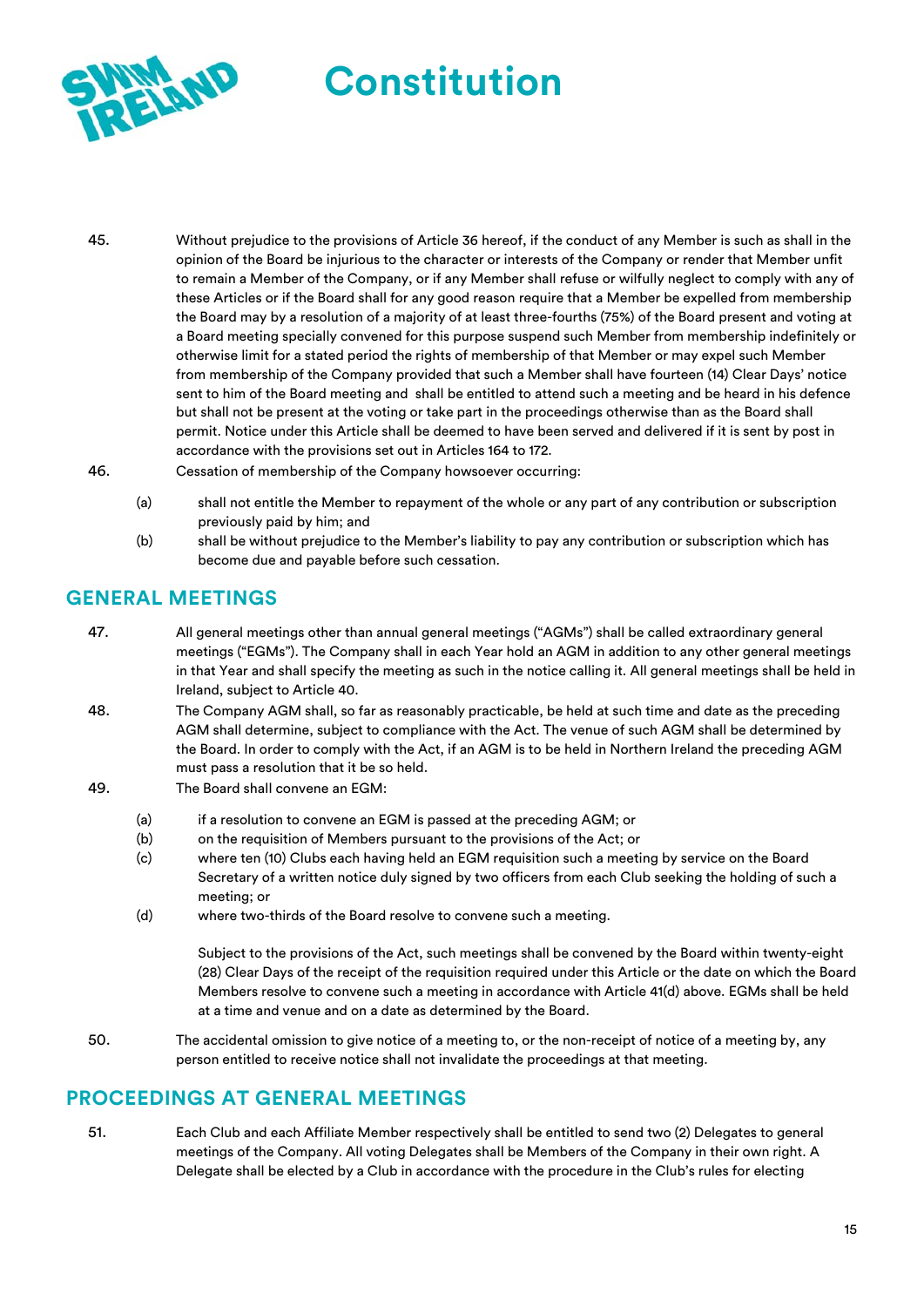

- 45. Without prejudice to the provisions of Article 36 hereof, if the conduct of any Member is such as shall in the opinion of the Board be injurious to the character or interests of the Company or render that Member unfit to remain a Member of the Company, or if any Member shall refuse or wilfully neglect to comply with any of these Articles or if the Board shall for any good reason require that a Member be expelled from membership the Board may by a resolution of a majority of at least three-fourths (75%) of the Board present and voting at a Board meeting specially convened for this purpose suspend such Member from membership indefinitely or otherwise limit for a stated period the rights of membership of that Member or may expel such Member from membership of the Company provided that such a Member shall have fourteen (14) Clear Days' notice sent to him of the Board meeting and shall be entitled to attend such a meeting and be heard in his defence but shall not be present at the voting or take part in the proceedings otherwise than as the Board shall permit. Notice under this Article shall be deemed to have been served and delivered if it is sent by post in accordance with the provisions set out in Articles 164 to 172.
- 46. Cessation of membership of the Company howsoever occurring:
	- (a) shall not entitle the Member to repayment of the whole or any part of any contribution or subscription previously paid by him; and
	- (b) shall be without prejudice to the Member's liability to pay any contribution or subscription which has become due and payable before such cessation.

#### **GENERAL MEETINGS**

- 47. All general meetings other than annual general meetings ("AGMs") shall be called extraordinary general meetings ("EGMs"). The Company shall in each Year hold an AGM in addition to any other general meetings in that Year and shall specify the meeting as such in the notice calling it. All general meetings shall be held in Ireland, subject to Article 40.
- 48. The Company AGM shall, so far as reasonably practicable, be held at such time and date as the preceding AGM shall determine, subject to compliance with the Act. The venue of such AGM shall be determined by the Board. In order to comply with the Act, if an AGM is to be held in Northern Ireland the preceding AGM must pass a resolution that it be so held.
- 49. The Board shall convene an EGM:
	- (a) if a resolution to convene an EGM is passed at the preceding AGM; or
	- (b) on the requisition of Members pursuant to the provisions of the Act; or
	- (c) where ten (10) Clubs each having held an EGM requisition such a meeting by service on the Board Secretary of a written notice duly signed by two officers from each Club seeking the holding of such a meeting; or
	- (d) where two-thirds of the Board resolve to convene such a meeting.

Subject to the provisions of the Act, such meetings shall be convened by the Board within twenty-eight (28) Clear Days of the receipt of the requisition required under this Article or the date on which the Board Members resolve to convene such a meeting in accordance with Article 41(d) above. EGMs shall be held at a time and venue and on a date as determined by the Board.

50. The accidental omission to give notice of a meeting to, or the non-receipt of notice of a meeting by, any person entitled to receive notice shall not invalidate the proceedings at that meeting.

### **PROCEEDINGS AT GENERAL MEETINGS**

51. Each Club and each Affiliate Member respectively shall be entitled to send two (2) Delegates to general meetings of the Company. All voting Delegates shall be Members of the Company in their own right. A Delegate shall be elected by a Club in accordance with the procedure in the Club's rules for electing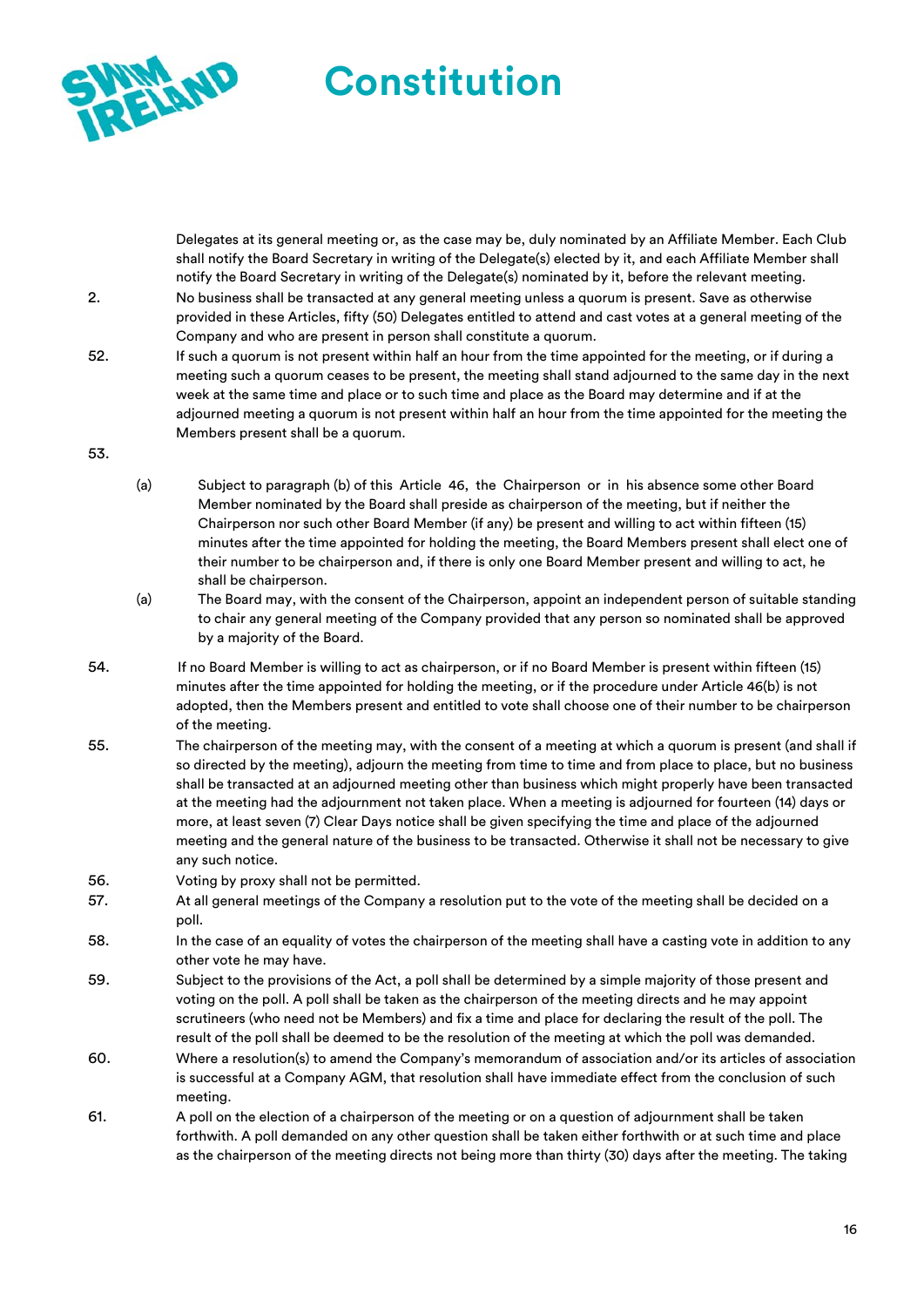

Delegates at its general meeting or, as the case may be, duly nominated by an Affiliate Member. Each Club shall notify the Board Secretary in writing of the Delegate(s) elected by it, and each Affiliate Member shall notify the Board Secretary in writing of the Delegate(s) nominated by it, before the relevant meeting.

- 2. No business shall be transacted at any general meeting unless a quorum is present. Save as otherwise provided in these Articles, fifty (50) Delegates entitled to attend and cast votes at a general meeting of the Company and who are present in person shall constitute a quorum.
- 52. If such a quorum is not present within half an hour from the time appointed for the meeting, or if during a meeting such a quorum ceases to be present, the meeting shall stand adjourned to the same day in the next week at the same time and place or to such time and place as the Board may determine and if at the adjourned meeting a quorum is not present within half an hour from the time appointed for the meeting the Members present shall be a quorum.
- 53.
- (a) Subject to paragraph (b) of this Article 46, the Chairperson or in his absence some other Board Member nominated by the Board shall preside as chairperson of the meeting, but if neither the Chairperson nor such other Board Member (if any) be present and willing to act within fifteen (15) minutes after the time appointed for holding the meeting, the Board Members present shall elect one of their number to be chairperson and, if there is only one Board Member present and willing to act, he shall be chairperson.
- (a) The Board may, with the consent of the Chairperson, appoint an independent person of suitable standing to chair any general meeting of the Company provided that any person so nominated shall be approved by a majority of the Board.
- 54. If no Board Member is willing to act as chairperson, or if no Board Member is present within fifteen (15) minutes after the time appointed for holding the meeting, or if the procedure under Article 46(b) is not adopted, then the Members present and entitled to vote shall choose one of their number to be chairperson of the meeting.
- 55. The chairperson of the meeting may, with the consent of a meeting at which a quorum is present (and shall if so directed by the meeting), adjourn the meeting from time to time and from place to place, but no business shall be transacted at an adjourned meeting other than business which might properly have been transacted at the meeting had the adjournment not taken place. When a meeting is adjourned for fourteen (14) days or more, at least seven (7) Clear Days notice shall be given specifying the time and place of the adjourned meeting and the general nature of the business to be transacted. Otherwise it shall not be necessary to give any such notice.
- 56. Voting by proxy shall not be permitted.
- 57. At all general meetings of the Company a resolution put to the vote of the meeting shall be decided on a poll.
- 58. In the case of an equality of votes the chairperson of the meeting shall have a casting vote in addition to any other vote he may have.
- 59. Subject to the provisions of the Act, a poll shall be determined by a simple majority of those present and voting on the poll. A poll shall be taken as the chairperson of the meeting directs and he may appoint scrutineers (who need not be Members) and fix a time and place for declaring the result of the poll. The result of the poll shall be deemed to be the resolution of the meeting at which the poll was demanded.
- 60. Where a resolution(s) to amend the Company's memorandum of association and/or its articles of association is successful at a Company AGM, that resolution shall have immediate effect from the conclusion of such meeting.
- 61. A poll on the election of a chairperson of the meeting or on a question of adjournment shall be taken forthwith. A poll demanded on any other question shall be taken either forthwith or at such time and place as the chairperson of the meeting directs not being more than thirty (30) days after the meeting. The taking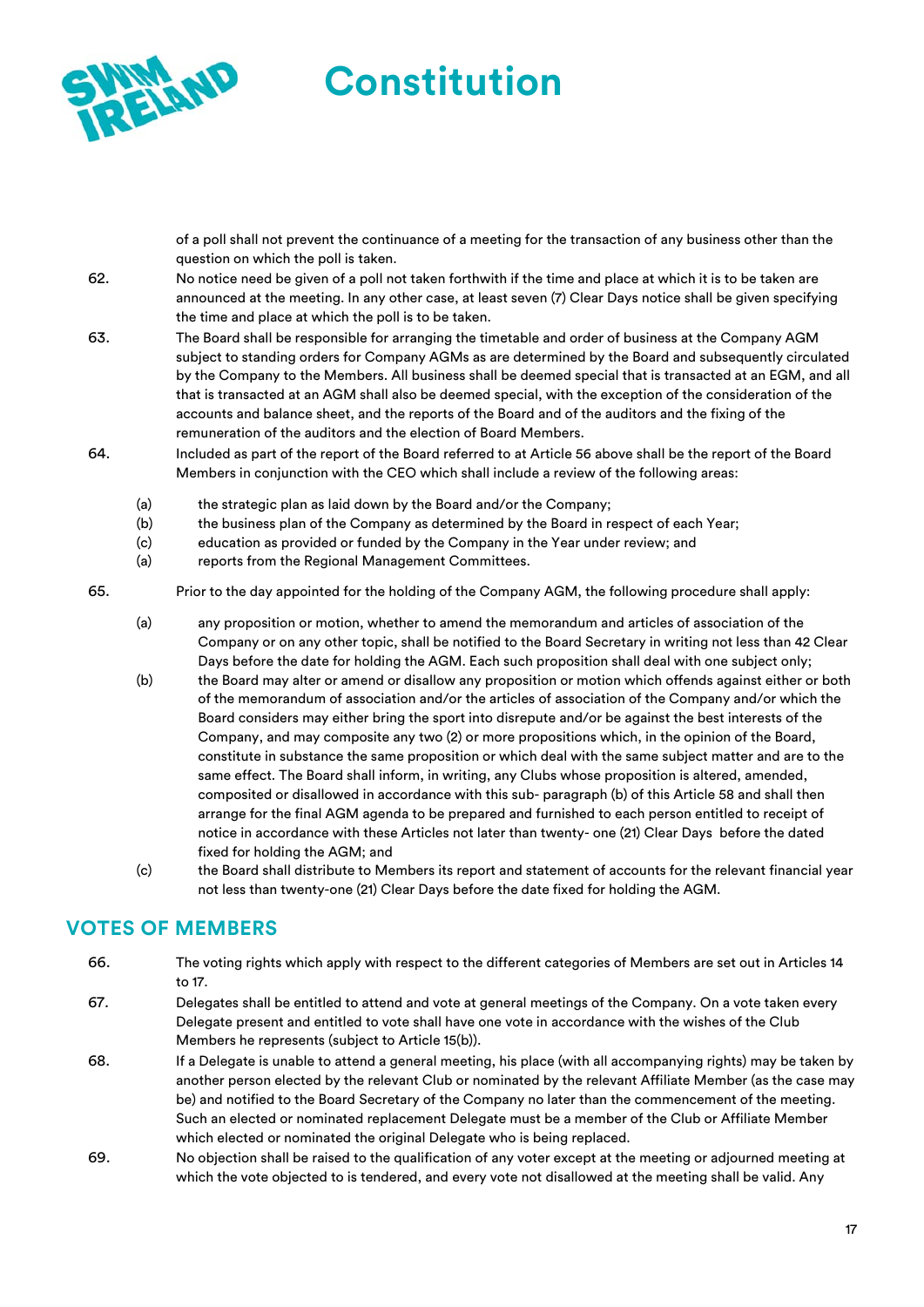

of a poll shall not prevent the continuance of a meeting for the transaction of any business other than the question on which the poll is taken.

- 62. No notice need be given of a poll not taken forthwith if the time and place at which it is to be taken are announced at the meeting. In any other case, at least seven (7) Clear Days notice shall be given specifying the time and place at which the poll is to be taken.
- 63. The Board shall be responsible for arranging the timetable and order of business at the Company AGM subject to standing orders for Company AGMs as are determined by the Board and subsequently circulated by the Company to the Members. All business shall be deemed special that is transacted at an EGM, and all that is transacted at an AGM shall also be deemed special, with the exception of the consideration of the accounts and balance sheet, and the reports of the Board and of the auditors and the fixing of the remuneration of the auditors and the election of Board Members.
- 64. Included as part of the report of the Board referred to at Article 56 above shall be the report of the Board Members in conjunction with the CEO which shall include a review of the following areas:
	- (a) the strategic plan as laid down by the Board and/or the Company;
	- (b) the business plan of the Company as determined by the Board in respect of each Year;
	- (c) education as provided or funded by the Company in the Year under review; and
	- (a) reports from the Regional Management Committees.

65. Prior to the day appointed for the holding of the Company AGM, the following procedure shall apply:

- (a) any proposition or motion, whether to amend the memorandum and articles of association of the Company or on any other topic, shall be notified to the Board Secretary in writing not less than 42 Clear Days before the date for holding the AGM. Each such proposition shall deal with one subject only;
- (b) the Board may alter or amend or disallow any proposition or motion which offends against either or both of the memorandum of association and/or the articles of association of the Company and/or which the Board considers may either bring the sport into disrepute and/or be against the best interests of the Company, and may composite any two (2) or more propositions which, in the opinion of the Board, constitute in substance the same proposition or which deal with the same subject matter and are to the same effect. The Board shall inform, in writing, any Clubs whose proposition is altered, amended, composited or disallowed in accordance with this sub- paragraph (b) of this Article 58 and shall then arrange for the final AGM agenda to be prepared and furnished to each person entitled to receipt of notice in accordance with these Articles not later than twenty- one (21) Clear Days before the dated fixed for holding the AGM; and
- (c) the Board shall distribute to Members its report and statement of accounts for the relevant financial year not less than twenty-one (21) Clear Days before the date fixed for holding the AGM.

# **VOTES OF MEMBERS**

- 66. The voting rights which apply with respect to the different categories of Members are set out in Articles 14 to 17.
- 67. Delegates shall be entitled to attend and vote at general meetings of the Company. On a vote taken every Delegate present and entitled to vote shall have one vote in accordance with the wishes of the Club Members he represents (subject to Article 15(b)).
- 68. If a Delegate is unable to attend a general meeting, his place (with all accompanying rights) may be taken by another person elected by the relevant Club or nominated by the relevant Affiliate Member (as the case may be) and notified to the Board Secretary of the Company no later than the commencement of the meeting. Such an elected or nominated replacement Delegate must be a member of the Club or Affiliate Member which elected or nominated the original Delegate who is being replaced.
- 69. No objection shall be raised to the qualification of any voter except at the meeting or adjourned meeting at which the vote objected to is tendered, and every vote not disallowed at the meeting shall be valid. Any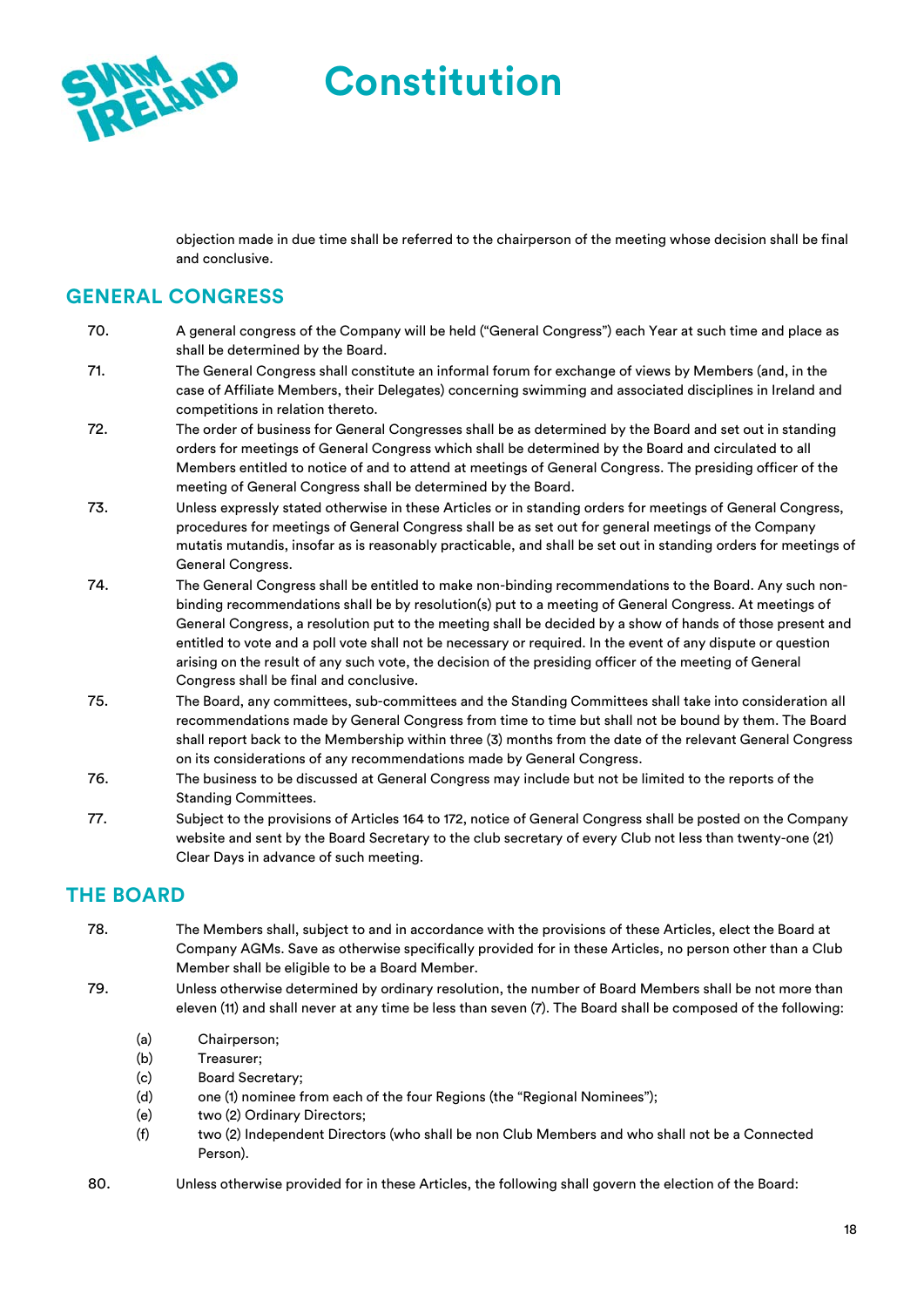

objection made in due time shall be referred to the chairperson of the meeting whose decision shall be final and conclusive.

# **GENERAL CONGRESS**

- 70. A general congress of the Company will be held ("General Congress") each Year at such time and place as shall be determined by the Board.
- 71. The General Congress shall constitute an informal forum for exchange of views by Members (and, in the case of Affiliate Members, their Delegates) concerning swimming and associated disciplines in Ireland and competitions in relation thereto.
- 72. The order of business for General Congresses shall be as determined by the Board and set out in standing orders for meetings of General Congress which shall be determined by the Board and circulated to all Members entitled to notice of and to attend at meetings of General Congress. The presiding officer of the meeting of General Congress shall be determined by the Board.
- 73. Unless expressly stated otherwise in these Articles or in standing orders for meetings of General Congress, procedures for meetings of General Congress shall be as set out for general meetings of the Company mutatis mutandis, insofar as is reasonably practicable, and shall be set out in standing orders for meetings of General Congress.
- 74. The General Congress shall be entitled to make non-binding recommendations to the Board. Any such nonbinding recommendations shall be by resolution(s) put to a meeting of General Congress. At meetings of General Congress, a resolution put to the meeting shall be decided by a show of hands of those present and entitled to vote and a poll vote shall not be necessary or required. In the event of any dispute or question arising on the result of any such vote, the decision of the presiding officer of the meeting of General Congress shall be final and conclusive.
- 75. The Board, any committees, sub-committees and the Standing Committees shall take into consideration all recommendations made by General Congress from time to time but shall not be bound by them. The Board shall report back to the Membership within three (3) months from the date of the relevant General Congress on its considerations of any recommendations made by General Congress.
- 76. The business to be discussed at General Congress may include but not be limited to the reports of the Standing Committees.
- 77. Subject to the provisions of Articles 164 to 172, notice of General Congress shall be posted on the Company website and sent by the Board Secretary to the club secretary of every Club not less than twenty-one (21) Clear Days in advance of such meeting.

# **THE BOARD**

- 78. The Members shall, subject to and in accordance with the provisions of these Articles, elect the Board at Company AGMs. Save as otherwise specifically provided for in these Articles, no person other than a Club Member shall be eligible to be a Board Member.
- 79. Unless otherwise determined by ordinary resolution, the number of Board Members shall be not more than eleven (11) and shall never at any time be less than seven (7). The Board shall be composed of the following:
	- (a) Chairperson;
	- (b) Treasurer;
	- (c) Board Secretary;
	- (d) one (1) nominee from each of the four Regions (the "Regional Nominees");
	- (e) two (2) Ordinary Directors;
	- (f) two (2) Independent Directors (who shall be non Club Members and who shall not be a Connected Person).
- 80. Unless otherwise provided for in these Articles, the following shall govern the election of the Board: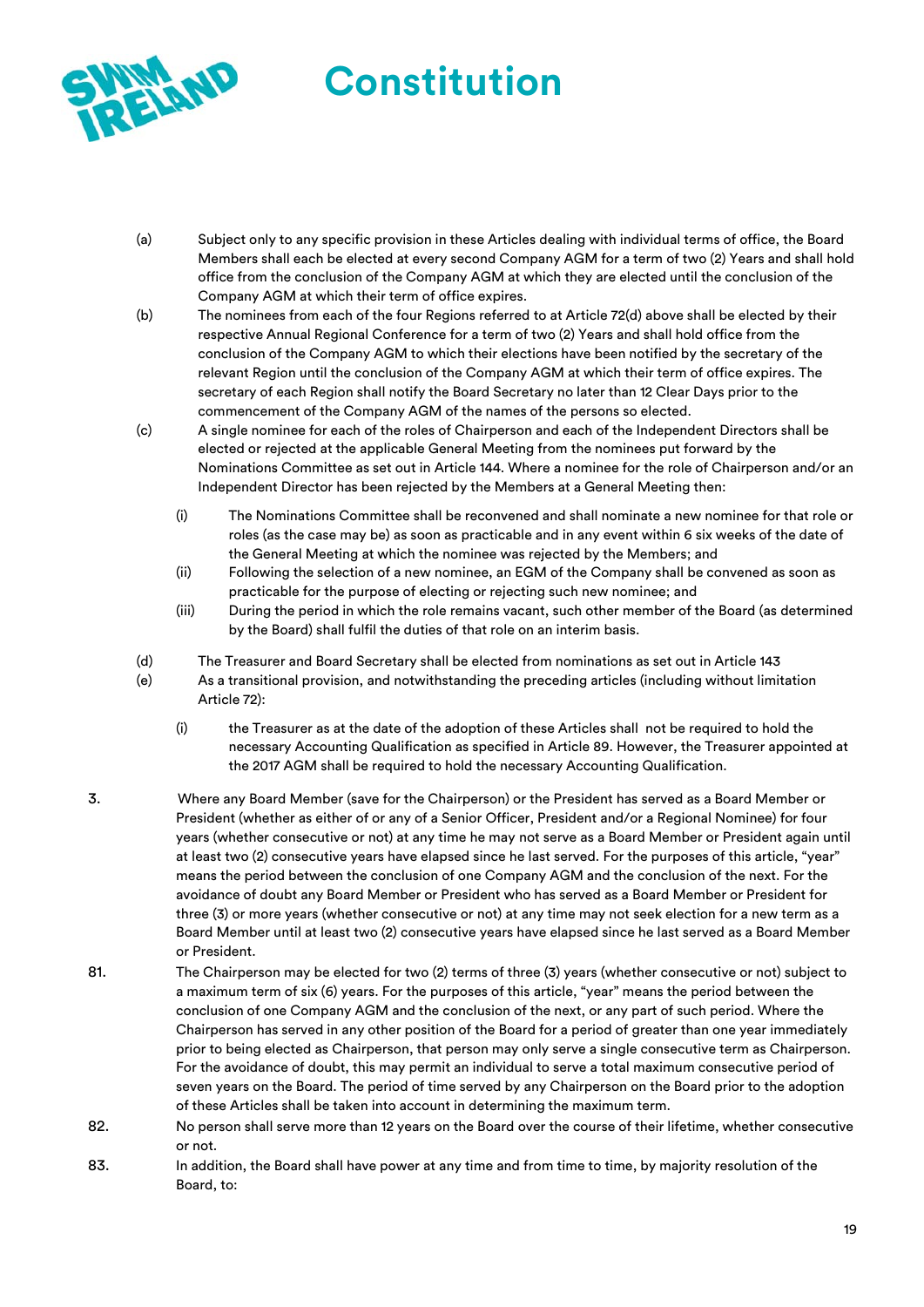

- (a) Subject only to any specific provision in these Articles dealing with individual terms of office, the Board Members shall each be elected at every second Company AGM for a term of two (2) Years and shall hold office from the conclusion of the Company AGM at which they are elected until the conclusion of the Company AGM at which their term of office expires.
- (b) The nominees from each of the four Regions referred to at Article 72(d) above shall be elected by their respective Annual Regional Conference for a term of two (2) Years and shall hold office from the conclusion of the Company AGM to which their elections have been notified by the secretary of the relevant Region until the conclusion of the Company AGM at which their term of office expires. The secretary of each Region shall notify the Board Secretary no later than 12 Clear Days prior to the commencement of the Company AGM of the names of the persons so elected.
- (c) A single nominee for each of the roles of Chairperson and each of the Independent Directors shall be elected or rejected at the applicable General Meeting from the nominees put forward by the Nominations Committee as set out in Article 144. Where a nominee for the role of Chairperson and/or an Independent Director has been rejected by the Members at a General Meeting then:
	- (i) The Nominations Committee shall be reconvened and shall nominate a new nominee for that role or roles (as the case may be) as soon as practicable and in any event within 6 six weeks of the date of the General Meeting at which the nominee was rejected by the Members; and
	- (ii) Following the selection of a new nominee, an EGM of the Company shall be convened as soon as practicable for the purpose of electing or rejecting such new nominee; and
	- (iii) During the period in which the role remains vacant, such other member of the Board (as determined by the Board) shall fulfil the duties of that role on an interim basis.
- (d) The Treasurer and Board Secretary shall be elected from nominations as set out in Article 143
- (e) As a transitional provision, and notwithstanding the preceding articles (including without limitation Article 72):
	- (i) the Treasurer as at the date of the adoption of these Articles shall not be required to hold the necessary Accounting Qualification as specified in Article 89. However, the Treasurer appointed at the 2017 AGM shall be required to hold the necessary Accounting Qualification.
- 3. Where any Board Member (save for the Chairperson) or the President has served as a Board Member or President (whether as either of or any of a Senior Officer, President and/or a Regional Nominee) for four years (whether consecutive or not) at any time he may not serve as a Board Member or President again until at least two (2) consecutive years have elapsed since he last served. For the purposes of this article, "year" means the period between the conclusion of one Company AGM and the conclusion of the next. For the avoidance of doubt any Board Member or President who has served as a Board Member or President for three (3) or more years (whether consecutive or not) at any time may not seek election for a new term as a Board Member until at least two (2) consecutive years have elapsed since he last served as a Board Member or President.
- 81. The Chairperson may be elected for two (2) terms of three (3) years (whether consecutive or not) subject to a maximum term of six (6) years. For the purposes of this article, "year" means the period between the conclusion of one Company AGM and the conclusion of the next, or any part of such period. Where the Chairperson has served in any other position of the Board for a period of greater than one year immediately prior to being elected as Chairperson, that person may only serve a single consecutive term as Chairperson. For the avoidance of doubt, this may permit an individual to serve a total maximum consecutive period of seven years on the Board. The period of time served by any Chairperson on the Board prior to the adoption of these Articles shall be taken into account in determining the maximum term.
- 82. No person shall serve more than 12 years on the Board over the course of their lifetime, whether consecutive or not.
- 83. In addition, the Board shall have power at any time and from time to time, by majority resolution of the Board, to: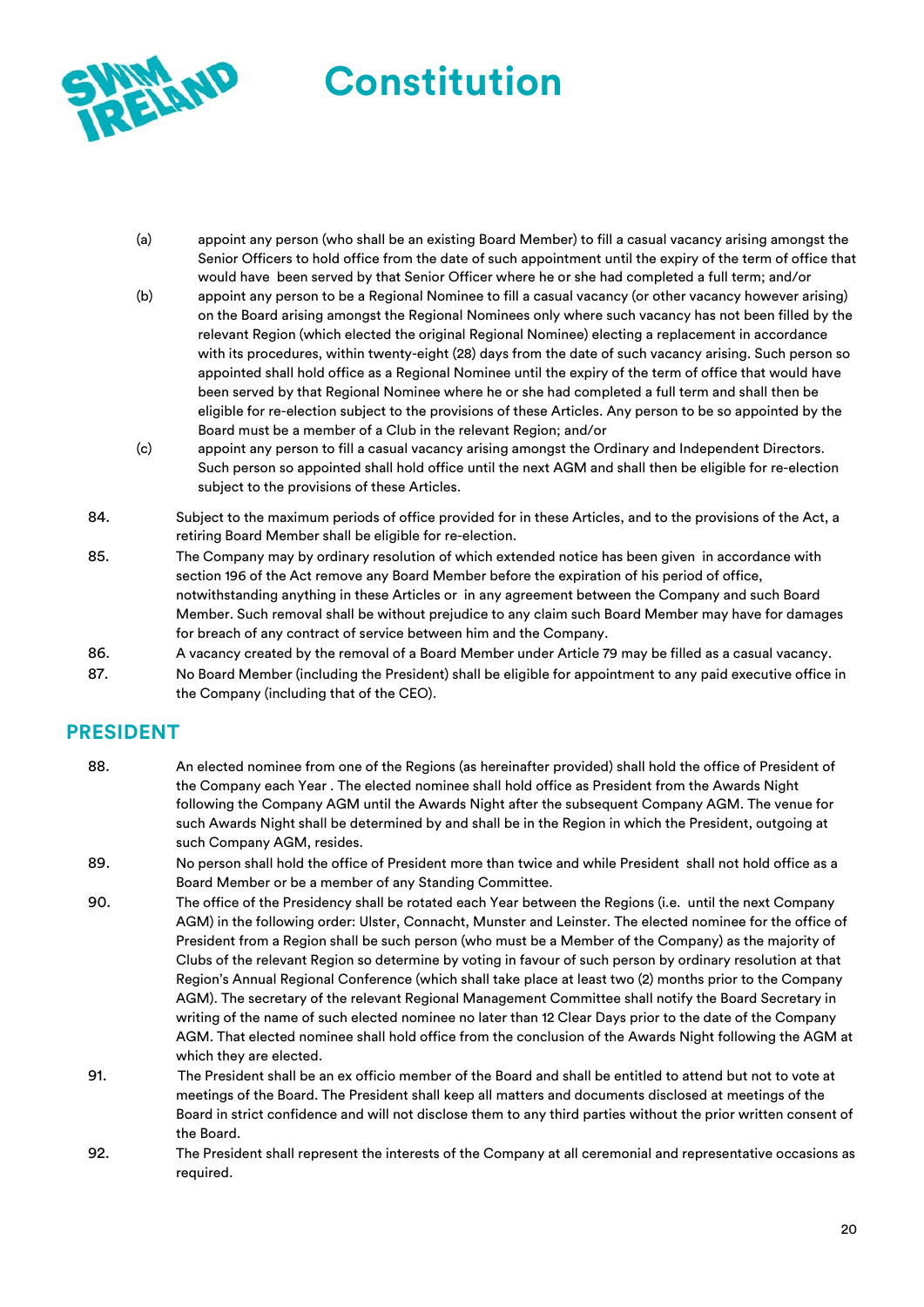

- (a) appoint any person (who shall be an existing Board Member) to fill a casual vacancy arising amongst the Senior Officers to hold office from the date of such appointment until the expiry of the term of office that would have been served by that Senior Officer where he or she had completed a full term; and/or
- (b) appoint any person to be a Regional Nominee to fill a casual vacancy (or other vacancy however arising) on the Board arising amongst the Regional Nominees only where such vacancy has not been filled by the relevant Region (which elected the original Regional Nominee) electing a replacement in accordance with its procedures, within twenty-eight (28) days from the date of such vacancy arising. Such person so appointed shall hold office as a Regional Nominee until the expiry of the term of office that would have been served by that Regional Nominee where he or she had completed a full term and shall then be eligible for re-election subject to the provisions of these Articles. Any person to be so appointed by the Board must be a member of a Club in the relevant Region; and/or
- (c) appoint any person to fill a casual vacancy arising amongst the Ordinary and Independent Directors. Such person so appointed shall hold office until the next AGM and shall then be eligible for re-election subject to the provisions of these Articles.
- 84. Subject to the maximum periods of office provided for in these Articles, and to the provisions of the Act, a retiring Board Member shall be eligible for re-election.
- 85. The Company may by ordinary resolution of which extended notice has been given in accordance with section 196 of the Act remove any Board Member before the expiration of his period of office, notwithstanding anything in these Articles or in any agreement between the Company and such Board Member. Such removal shall be without prejudice to any claim such Board Member may have for damages for breach of any contract of service between him and the Company.
- 86. A vacancy created by the removal of a Board Member under Article 79 may be filled as a casual vacancy.
- 87. No Board Member (including the President) shall be eligible for appointment to any paid executive office in the Company (including that of the CEO).

# **PRESIDENT**

- 88. An elected nominee from one of the Regions (as hereinafter provided) shall hold the office of President of the Company each Year . The elected nominee shall hold office as President from the Awards Night following the Company AGM until the Awards Night after the subsequent Company AGM. The venue for such Awards Night shall be determined by and shall be in the Region in which the President, outgoing at such Company AGM, resides.
- 89. No person shall hold the office of President more than twice and while President shall not hold office as a Board Member or be a member of any Standing Committee.
- 90. The office of the Presidency shall be rotated each Year between the Regions (i.e. until the next Company AGM) in the following order: Ulster, Connacht, Munster and Leinster. The elected nominee for the office of President from a Region shall be such person (who must be a Member of the Company) as the majority of Clubs of the relevant Region so determine by voting in favour of such person by ordinary resolution at that Region's Annual Regional Conference (which shall take place at least two (2) months prior to the Company AGM). The secretary of the relevant Regional Management Committee shall notify the Board Secretary in writing of the name of such elected nominee no later than 12 Clear Days prior to the date of the Company AGM. That elected nominee shall hold office from the conclusion of the Awards Night following the AGM at which they are elected.
- 91. The President shall be an ex officio member of the Board and shall be entitled to attend but not to vote at meetings of the Board. The President shall keep all matters and documents disclosed at meetings of the Board in strict confidence and will not disclose them to any third parties without the prior written consent of the Board.
- 92. The President shall represent the interests of the Company at all ceremonial and representative occasions as required.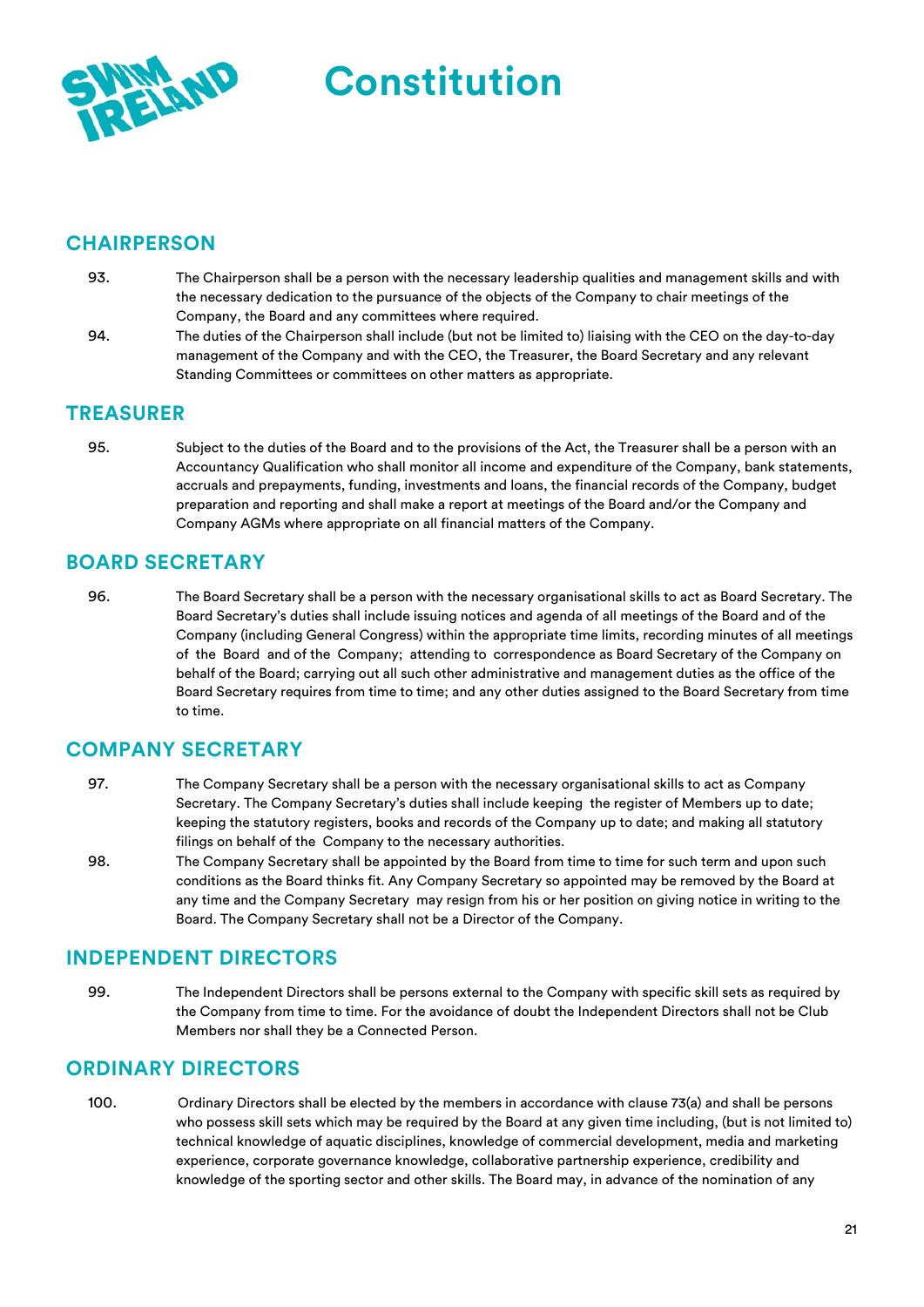

### **CHAIRPERSON**

- 93. The Chairperson shall be a person with the necessary leadership qualities and management skills and with the necessary dedication to the pursuance of the objects of the Company to chair meetings of the Company, the Board and any committees where required.
- 94. The duties of the Chairperson shall include (but not be limited to) liaising with the CEO on the day-to-day management of the Company and with the CEO, the Treasurer, the Board Secretary and any relevant Standing Committees or committees on other matters as appropriate.

### **TREASURER**

95. Subject to the duties of the Board and to the provisions of the Act, the Treasurer shall be a person with an Accountancy Qualification who shall monitor all income and expenditure of the Company, bank statements, accruals and prepayments, funding, investments and loans, the financial records of the Company, budget preparation and reporting and shall make a report at meetings of the Board and/or the Company and Company AGMs where appropriate on all financial matters of the Company.

### **BOARD SECRETARY**

96. The Board Secretary shall be a person with the necessary organisational skills to act as Board Secretary. The Board Secretary's duties shall include issuing notices and agenda of all meetings of the Board and of the Company (including General Congress) within the appropriate time limits, recording minutes of all meetings of the Board and of the Company; attending to correspondence as Board Secretary of the Company on behalf of the Board; carrying out all such other administrative and management duties as the office of the Board Secretary requires from time to time; and any other duties assigned to the Board Secretary from time to time.

### **COMPANY SECRETARY**

- 97. The Company Secretary shall be a person with the necessary organisational skills to act as Company Secretary. The Company Secretary's duties shall include keeping the register of Members up to date; keeping the statutory registers, books and records of the Company up to date; and making all statutory filings on behalf of the Company to the necessary authorities.
- 98. The Company Secretary shall be appointed by the Board from time to time for such term and upon such conditions as the Board thinks fit. Any Company Secretary so appointed may be removed by the Board at any time and the Company Secretary may resign from his or her position on giving notice in writing to the Board. The Company Secretary shall not be a Director of the Company.

### **INDEPENDENT DIRECTORS**

99. The Independent Directors shall be persons external to the Company with specific skill sets as required by the Company from time to time. For the avoidance of doubt the Independent Directors shall not be Club Members nor shall they be a Connected Person.

### **ORDINARY DIRECTORS**

100. Ordinary Directors shall be elected by the members in accordance with clause 73(a) and shall be persons who possess skill sets which may be required by the Board at any given time including, (but is not limited to) technical knowledge of aquatic disciplines, knowledge of commercial development, media and marketing experience, corporate governance knowledge, collaborative partnership experience, credibility and knowledge of the sporting sector and other skills. The Board may, in advance of the nomination of any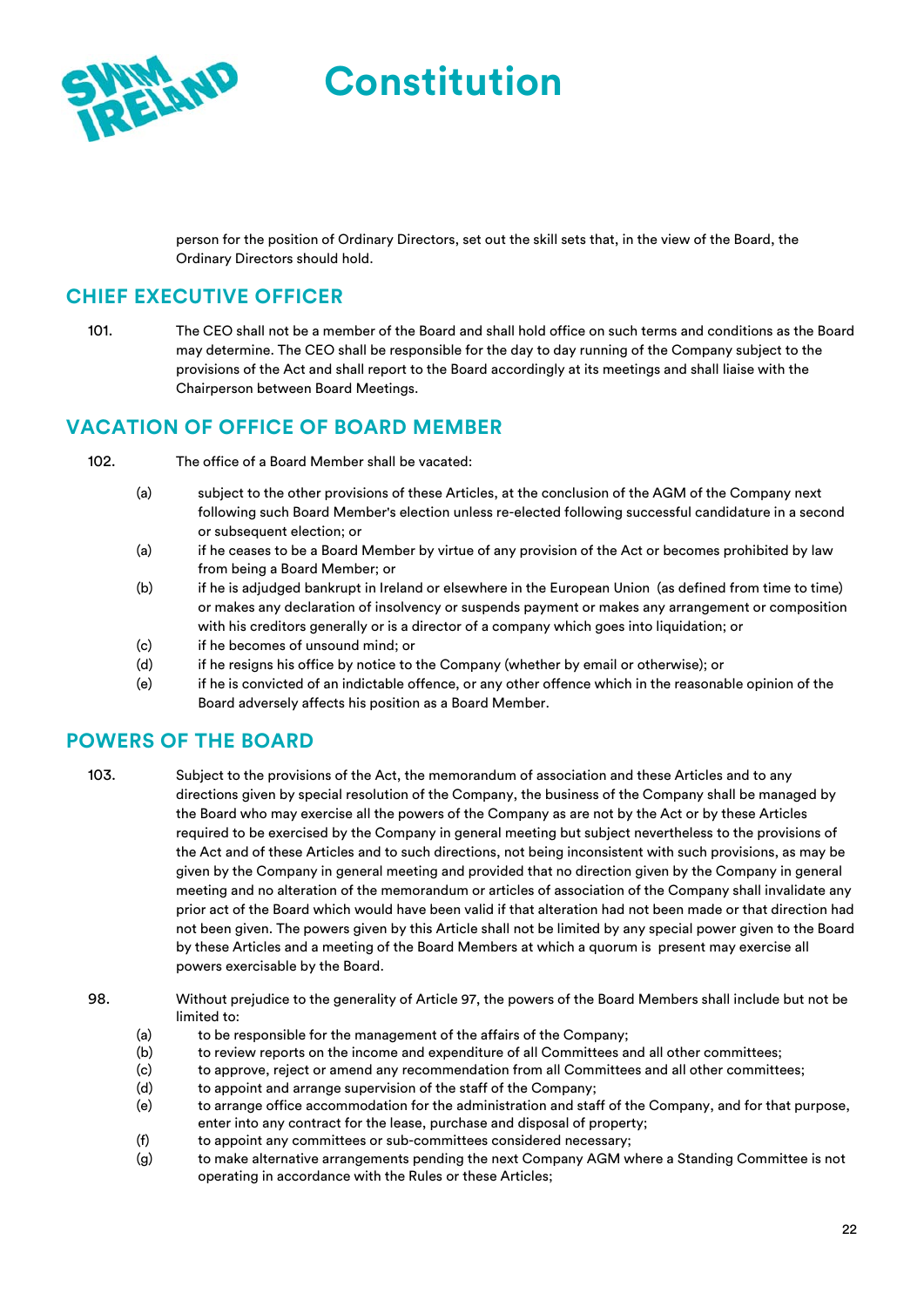person for the position of Ordinary Directors, set out the skill sets that, in the view of the Board, the Ordinary Directors should hold.

# **CHIEF EXECUTIVE OFFICER**

101. The CEO shall not be a member of the Board and shall hold office on such terms and conditions as the Board may determine. The CEO shall be responsible for the day to day running of the Company subject to the provisions of the Act and shall report to the Board accordingly at its meetings and shall liaise with the Chairperson between Board Meetings.

### **VACATION OF OFFICE OF BOARD MEMBER**

- 102. The office of a Board Member shall be vacated:
	- (a) subject to the other provisions of these Articles, at the conclusion of the AGM of the Company next following such Board Member's election unless re-elected following successful candidature in a second or subsequent election; or
	- (a) if he ceases to be a Board Member by virtue of any provision of the Act or becomes prohibited by law from being a Board Member; or
	- (b) if he is adjudged bankrupt in Ireland or elsewhere in the European Union (as defined from time to time) or makes any declaration of insolvency or suspends payment or makes any arrangement or composition with his creditors generally or is a director of a company which goes into liquidation; or
	- (c) if he becomes of unsound mind; or
	- (d) if he resigns his office by notice to the Company (whether by email or otherwise); or
	- (e) if he is convicted of an indictable offence, or any other offence which in the reasonable opinion of the Board adversely affects his position as a Board Member.

# **POWERS OF THE BOARD**

103. Subject to the provisions of the Act, the memorandum of association and these Articles and to any directions given by special resolution of the Company, the business of the Company shall be managed by the Board who may exercise all the powers of the Company as are not by the Act or by these Articles required to be exercised by the Company in general meeting but subject nevertheless to the provisions of the Act and of these Articles and to such directions, not being inconsistent with such provisions, as may be given by the Company in general meeting and provided that no direction given by the Company in general meeting and no alteration of the memorandum or articles of association of the Company shall invalidate any prior act of the Board which would have been valid if that alteration had not been made or that direction had not been given. The powers given by this Article shall not be limited by any special power given to the Board by these Articles and a meeting of the Board Members at which a quorum is present may exercise all powers exercisable by the Board.

- 98. Without prejudice to the generality of Article 97, the powers of the Board Members shall include but not be limited to:
	- (a) to be responsible for the management of the affairs of the Company;
	- (b) to review reports on the income and expenditure of all Committees and all other committees;
	- (c) to approve, reject or amend any recommendation from all Committees and all other committees;
	- (d) to appoint and arrange supervision of the staff of the Company;
	- (e) to arrange office accommodation for the administration and staff of the Company, and for that purpose, enter into any contract for the lease, purchase and disposal of property;
	- (f) to appoint any committees or sub-committees considered necessary;
	- (g) to make alternative arrangements pending the next Company AGM where a Standing Committee is not operating in accordance with the Rules or these Articles;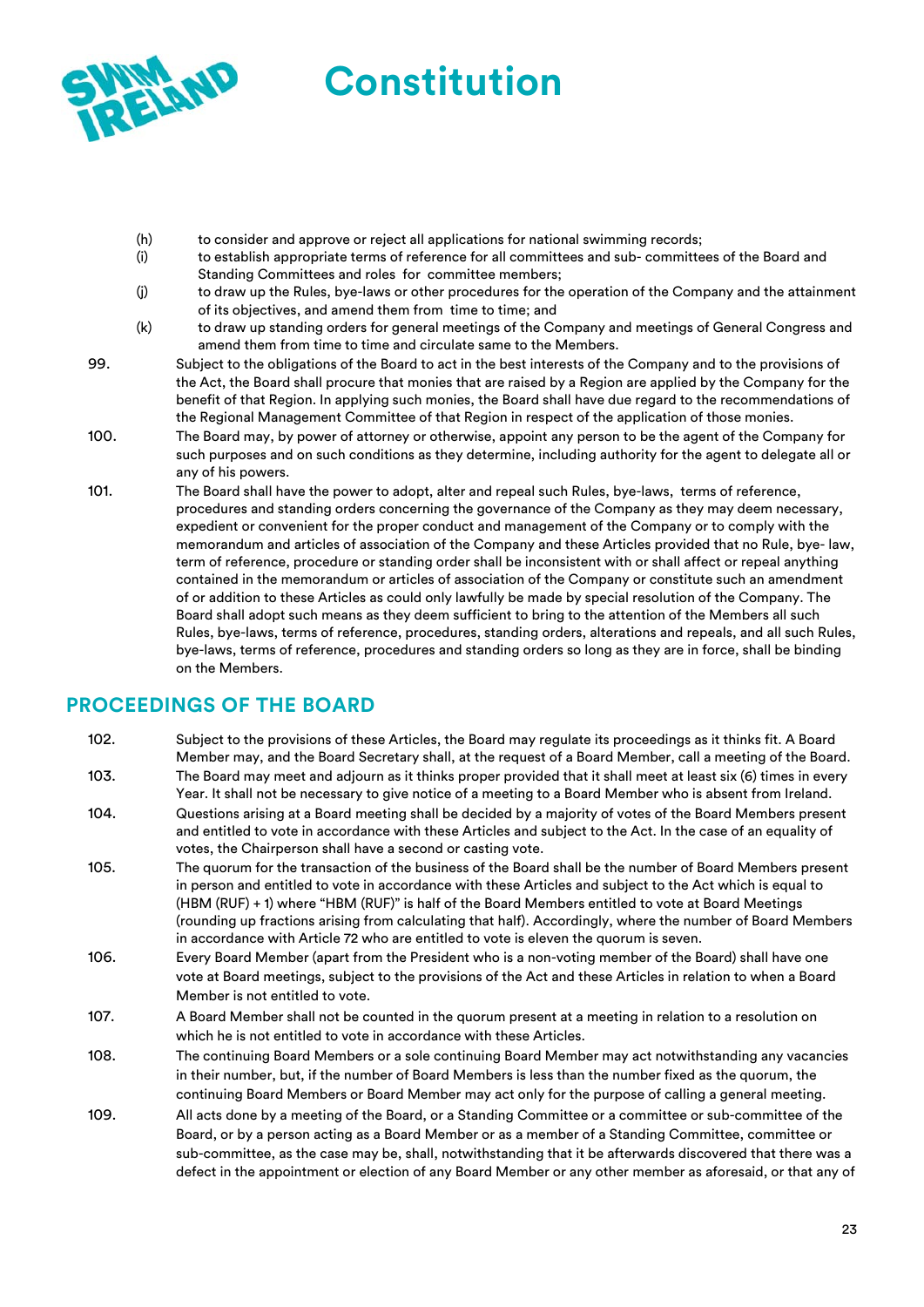

- (h) to consider and approve or reject all applications for national swimming records;
- (i) to establish appropriate terms of reference for all committees and sub- committees of the Board and Standing Committees and roles for committee members;
- (j) to draw up the Rules, bye-laws or other procedures for the operation of the Company and the attainment of its objectives, and amend them from time to time; and
- (k) to draw up standing orders for general meetings of the Company and meetings of General Congress and amend them from time to time and circulate same to the Members.
- 99. Subject to the obligations of the Board to act in the best interests of the Company and to the provisions of the Act, the Board shall procure that monies that are raised by a Region are applied by the Company for the benefit of that Region. In applying such monies, the Board shall have due regard to the recommendations of the Regional Management Committee of that Region in respect of the application of those monies.
- 100. The Board may, by power of attorney or otherwise, appoint any person to be the agent of the Company for such purposes and on such conditions as they determine, including authority for the agent to delegate all or any of his powers.
- 101. The Board shall have the power to adopt, alter and repeal such Rules, bye-laws, terms of reference, procedures and standing orders concerning the governance of the Company as they may deem necessary, expedient or convenient for the proper conduct and management of the Company or to comply with the memorandum and articles of association of the Company and these Articles provided that no Rule, bye- law, term of reference, procedure or standing order shall be inconsistent with or shall affect or repeal anything contained in the memorandum or articles of association of the Company or constitute such an amendment of or addition to these Articles as could only lawfully be made by special resolution of the Company. The Board shall adopt such means as they deem sufficient to bring to the attention of the Members all such Rules, bye-laws, terms of reference, procedures, standing orders, alterations and repeals, and all such Rules, bye-laws, terms of reference, procedures and standing orders so long as they are in force, shall be binding on the Members.

# **PROCEEDINGS OF THE BOARD**

- 102. Subject to the provisions of these Articles, the Board may regulate its proceedings as it thinks fit. A Board Member may, and the Board Secretary shall, at the request of a Board Member, call a meeting of the Board. 103. The Board may meet and adjourn as it thinks proper provided that it shall meet at least six (6) times in every
- Year. It shall not be necessary to give notice of a meeting to a Board Member who is absent from Ireland. 104. Questions arising at a Board meeting shall be decided by a majority of votes of the Board Members present and entitled to vote in accordance with these Articles and subject to the Act. In the case of an equality of votes, the Chairperson shall have a second or casting vote.
- 105. The quorum for the transaction of the business of the Board shall be the number of Board Members present in person and entitled to vote in accordance with these Articles and subject to the Act which is equal to (HBM (RUF) + 1) where "HBM (RUF)" is half of the Board Members entitled to vote at Board Meetings (rounding up fractions arising from calculating that half). Accordingly, where the number of Board Members in accordance with Article 72 who are entitled to vote is eleven the quorum is seven.
- 106. Every Board Member (apart from the President who is a non-voting member of the Board) shall have one vote at Board meetings, subject to the provisions of the Act and these Articles in relation to when a Board Member is not entitled to vote.
- 107. A Board Member shall not be counted in the quorum present at a meeting in relation to a resolution on which he is not entitled to vote in accordance with these Articles.
- 108. The continuing Board Members or a sole continuing Board Member may act notwithstanding any vacancies in their number, but, if the number of Board Members is less than the number fixed as the quorum, the continuing Board Members or Board Member may act only for the purpose of calling a general meeting.
- 109. All acts done by a meeting of the Board, or a Standing Committee or a committee or sub-committee of the Board, or by a person acting as a Board Member or as a member of a Standing Committee, committee or sub-committee, as the case may be, shall, notwithstanding that it be afterwards discovered that there was a defect in the appointment or election of any Board Member or any other member as aforesaid, or that any of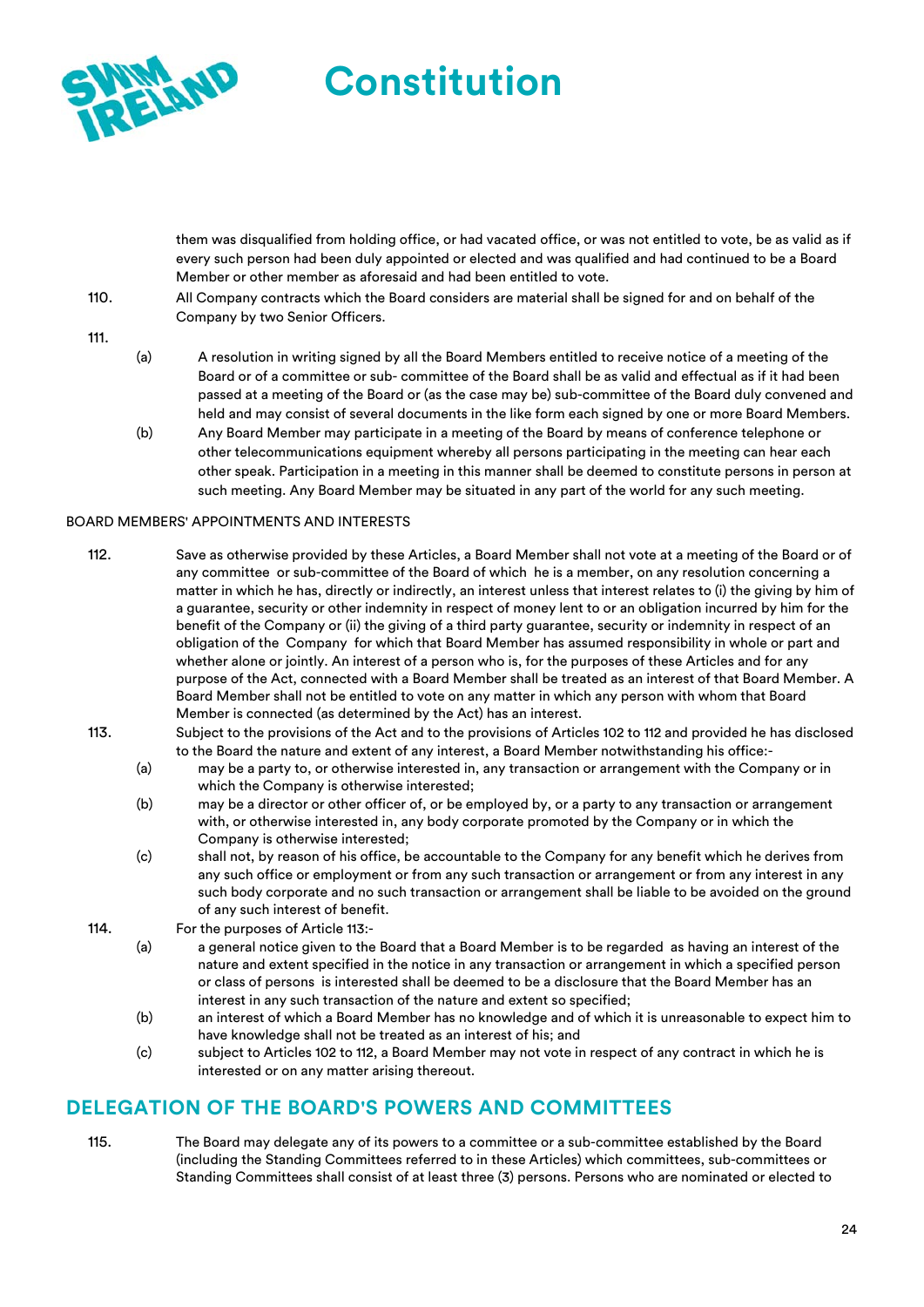

them was disqualified from holding office, or had vacated office, or was not entitled to vote, be as valid as if every such person had been duly appointed or elected and was qualified and had continued to be a Board Member or other member as aforesaid and had been entitled to vote.

- 110. All Company contracts which the Board considers are material shall be signed for and on behalf of the Company by two Senior Officers.
- 111.
- (a) A resolution in writing signed by all the Board Members entitled to receive notice of a meeting of the Board or of a committee or sub- committee of the Board shall be as valid and effectual as if it had been passed at a meeting of the Board or (as the case may be) sub-committee of the Board duly convened and held and may consist of several documents in the like form each signed by one or more Board Members.
- (b) Any Board Member may participate in a meeting of the Board by means of conference telephone or other telecommunications equipment whereby all persons participating in the meeting can hear each other speak. Participation in a meeting in this manner shall be deemed to constitute persons in person at such meeting. Any Board Member may be situated in any part of the world for any such meeting.

#### BOARD MEMBERS' APPOINTMENTS AND INTERESTS

- 112. Save as otherwise provided by these Articles, a Board Member shall not vote at a meeting of the Board or of any committee or sub-committee of the Board of which he is a member, on any resolution concerning a matter in which he has, directly or indirectly, an interest unless that interest relates to (i) the giving by him of a guarantee, security or other indemnity in respect of money lent to or an obligation incurred by him for the benefit of the Company or (ii) the giving of a third party guarantee, security or indemnity in respect of an obligation of the Company for which that Board Member has assumed responsibility in whole or part and whether alone or jointly. An interest of a person who is, for the purposes of these Articles and for any purpose of the Act, connected with a Board Member shall be treated as an interest of that Board Member. A Board Member shall not be entitled to vote on any matter in which any person with whom that Board Member is connected (as determined by the Act) has an interest.
- 113. Subject to the provisions of the Act and to the provisions of Articles 102 to 112 and provided he has disclosed to the Board the nature and extent of any interest, a Board Member notwithstanding his office:-
	- (a) may be a party to, or otherwise interested in, any transaction or arrangement with the Company or in which the Company is otherwise interested;
	- (b) may be a director or other officer of, or be employed by, or a party to any transaction or arrangement with, or otherwise interested in, any body corporate promoted by the Company or in which the Company is otherwise interested;
	- (c) shall not, by reason of his office, be accountable to the Company for any benefit which he derives from any such office or employment or from any such transaction or arrangement or from any interest in any such body corporate and no such transaction or arrangement shall be liable to be avoided on the ground of any such interest of benefit.
- 114. For the purposes of Article 113:-
	- (a) a general notice given to the Board that a Board Member is to be regarded as having an interest of the nature and extent specified in the notice in any transaction or arrangement in which a specified person or class of persons is interested shall be deemed to be a disclosure that the Board Member has an interest in any such transaction of the nature and extent so specified;
	- (b) an interest of which a Board Member has no knowledge and of which it is unreasonable to expect him to have knowledge shall not be treated as an interest of his; and
	- (c) subject to Articles 102 to 112, a Board Member may not vote in respect of any contract in which he is interested or on any matter arising thereout.

### **DELEGATION OF THE BOARD'S POWERS AND COMMITTEES**

115. The Board may delegate any of its powers to a committee or a sub-committee established by the Board (including the Standing Committees referred to in these Articles) which committees, sub-committees or Standing Committees shall consist of at least three (3) persons. Persons who are nominated or elected to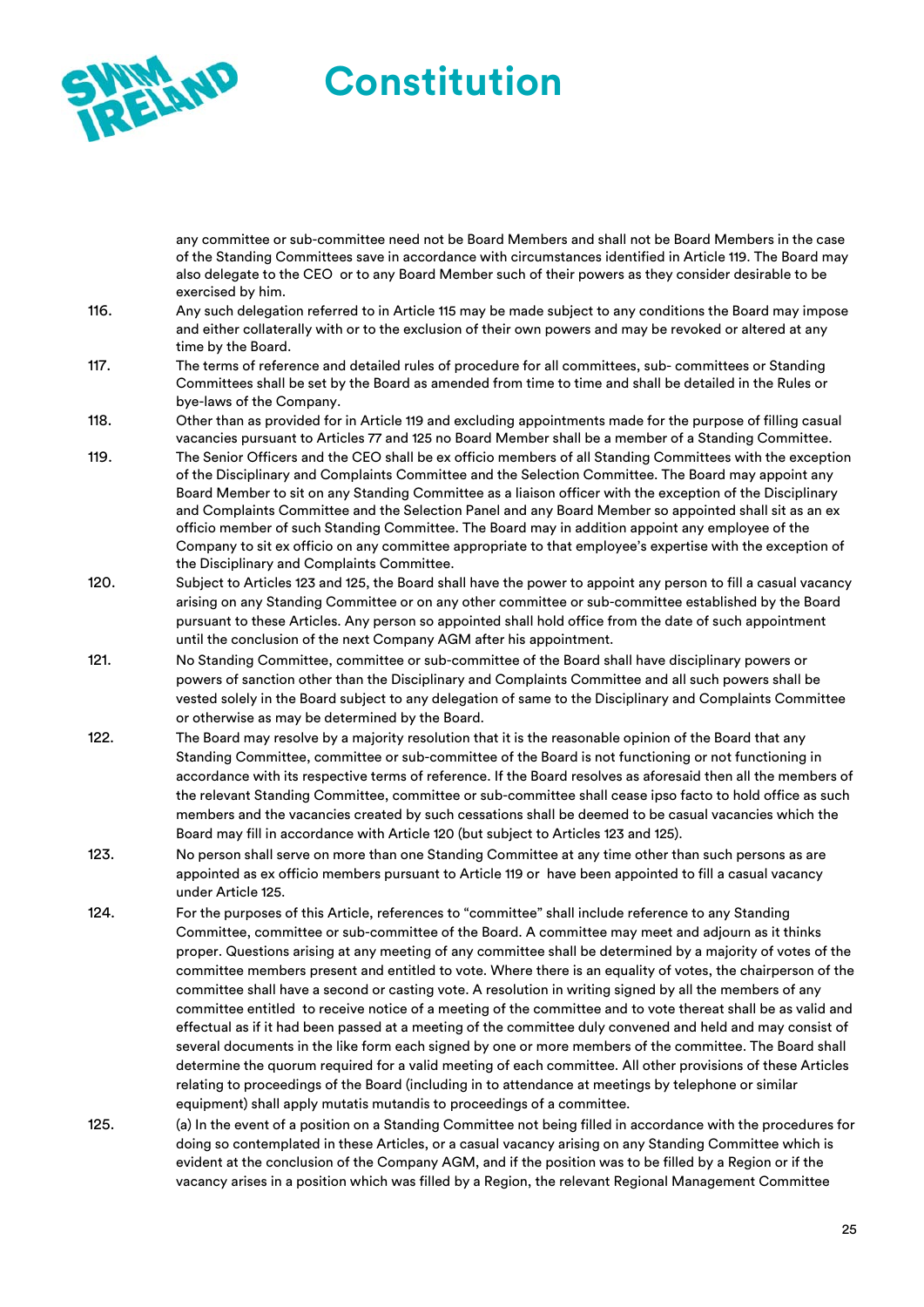

any committee or sub-committee need not be Board Members and shall not be Board Members in the case of the Standing Committees save in accordance with circumstances identified in Article 119. The Board may also delegate to the CEO or to any Board Member such of their powers as they consider desirable to be exercised by him.

- 116. Any such delegation referred to in Article 115 may be made subject to any conditions the Board may impose and either collaterally with or to the exclusion of their own powers and may be revoked or altered at any time by the Board.
- 117. The terms of reference and detailed rules of procedure for all committees, sub- committees or Standing Committees shall be set by the Board as amended from time to time and shall be detailed in the Rules or bye-laws of the Company.
- 118. Other than as provided for in Article 119 and excluding appointments made for the purpose of filling casual vacancies pursuant to Articles 77 and 125 no Board Member shall be a member of a Standing Committee.
- 119. The Senior Officers and the CEO shall be ex officio members of all Standing Committees with the exception of the Disciplinary and Complaints Committee and the Selection Committee. The Board may appoint any Board Member to sit on any Standing Committee as a liaison officer with the exception of the Disciplinary and Complaints Committee and the Selection Panel and any Board Member so appointed shall sit as an ex officio member of such Standing Committee. The Board may in addition appoint any employee of the Company to sit ex officio on any committee appropriate to that employee's expertise with the exception of the Disciplinary and Complaints Committee.
- 120. Subject to Articles 123 and 125, the Board shall have the power to appoint any person to fill a casual vacancy arising on any Standing Committee or on any other committee or sub-committee established by the Board pursuant to these Articles. Any person so appointed shall hold office from the date of such appointment until the conclusion of the next Company AGM after his appointment.
- 121. No Standing Committee, committee or sub-committee of the Board shall have disciplinary powers or powers of sanction other than the Disciplinary and Complaints Committee and all such powers shall be vested solely in the Board subject to any delegation of same to the Disciplinary and Complaints Committee or otherwise as may be determined by the Board.
- 122. The Board may resolve by a majority resolution that it is the reasonable opinion of the Board that any Standing Committee, committee or sub-committee of the Board is not functioning or not functioning in accordance with its respective terms of reference. If the Board resolves as aforesaid then all the members of the relevant Standing Committee, committee or sub-committee shall cease ipso facto to hold office as such members and the vacancies created by such cessations shall be deemed to be casual vacancies which the Board may fill in accordance with Article 120 (but subject to Articles 123 and 125).
- 123. No person shall serve on more than one Standing Committee at any time other than such persons as are appointed as ex officio members pursuant to Article 119 or have been appointed to fill a casual vacancy under Article 125.
- 124. For the purposes of this Article, references to "committee" shall include reference to any Standing Committee, committee or sub-committee of the Board. A committee may meet and adjourn as it thinks proper. Questions arising at any meeting of any committee shall be determined by a majority of votes of the committee members present and entitled to vote. Where there is an equality of votes, the chairperson of the committee shall have a second or casting vote. A resolution in writing signed by all the members of any committee entitled to receive notice of a meeting of the committee and to vote thereat shall be as valid and effectual as if it had been passed at a meeting of the committee duly convened and held and may consist of several documents in the like form each signed by one or more members of the committee. The Board shall determine the quorum required for a valid meeting of each committee. All other provisions of these Articles relating to proceedings of the Board (including in to attendance at meetings by telephone or similar equipment) shall apply mutatis mutandis to proceedings of a committee.
- 125. (a) In the event of a position on a Standing Committee not being filled in accordance with the procedures for doing so contemplated in these Articles, or a casual vacancy arising on any Standing Committee which is evident at the conclusion of the Company AGM, and if the position was to be filled by a Region or if the vacancy arises in a position which was filled by a Region, the relevant Regional Management Committee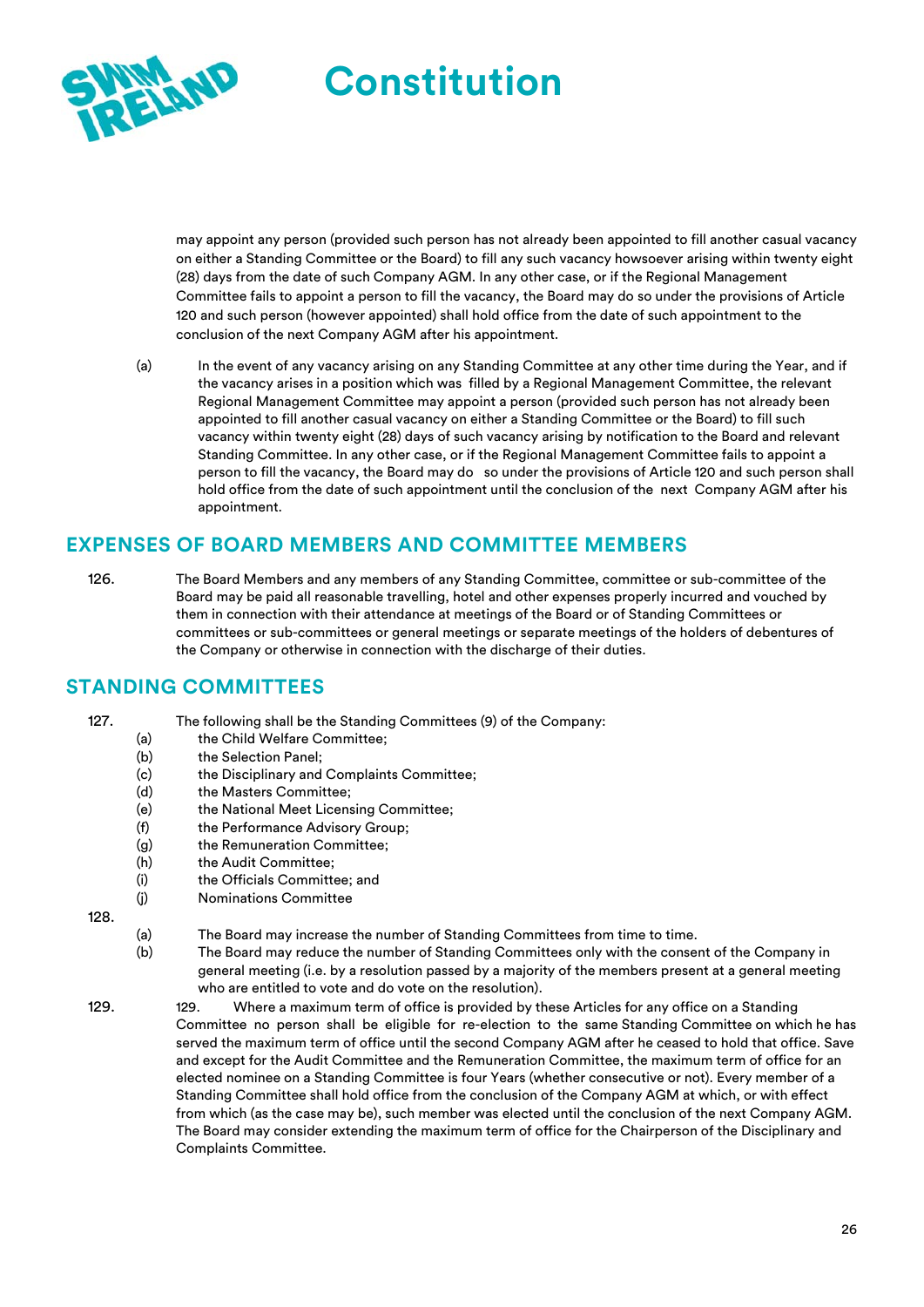

may appoint any person (provided such person has not already been appointed to fill another casual vacancy on either a Standing Committee or the Board) to fill any such vacancy howsoever arising within twenty eight (28) days from the date of such Company AGM. In any other case, or if the Regional Management Committee fails to appoint a person to fill the vacancy, the Board may do so under the provisions of Article 120 and such person (however appointed) shall hold office from the date of such appointment to the conclusion of the next Company AGM after his appointment.

(a) In the event of any vacancy arising on any Standing Committee at any other time during the Year, and if the vacancy arises in a position which was filled by a Regional Management Committee, the relevant Regional Management Committee may appoint a person (provided such person has not already been appointed to fill another casual vacancy on either a Standing Committee or the Board) to fill such vacancy within twenty eight (28) days of such vacancy arising by notification to the Board and relevant Standing Committee. In any other case, or if the Regional Management Committee fails to appoint a person to fill the vacancy, the Board may do so under the provisions of Article 120 and such person shall hold office from the date of such appointment until the conclusion of the next Company AGM after his appointment.

# **EXPENSES OF BOARD MEMBERS AND COMMITTEE MEMBERS**

126. The Board Members and any members of any Standing Committee, committee or sub-committee of the Board may be paid all reasonable travelling, hotel and other expenses properly incurred and vouched by them in connection with their attendance at meetings of the Board or of Standing Committees or committees or sub-committees or general meetings or separate meetings of the holders of debentures of the Company or otherwise in connection with the discharge of their duties.

# **STANDING COMMITTEES**

- 127. The following shall be the Standing Committees (9) of the Company:
	- (a) the Child Welfare Committee;
	- (b) the Selection Panel;
	- (c) the Disciplinary and Complaints Committee;
	- (d) the Masters Committee;
	- (e) the National Meet Licensing Committee;
	- (f) the Performance Advisory Group;
	- (g) the Remuneration Committee;
	- (h) the Audit Committee;
	- (i) the Officials Committee; and
	- (j) Nominations Committee

128.

- (a) The Board may increase the number of Standing Committees from time to time.
- (b) The Board may reduce the number of Standing Committees only with the consent of the Company in general meeting (i.e. by a resolution passed by a majority of the members present at a general meeting who are entitled to vote and do vote on the resolution).
- 129. 129. Where a maximum term of office is provided by these Articles for any office on a Standing Committee no person shall be eligible for re-election to the same Standing Committee on which he has served the maximum term of office until the second Company AGM after he ceased to hold that office. Save and except for the Audit Committee and the Remuneration Committee, the maximum term of office for an elected nominee on a Standing Committee is four Years (whether consecutive or not). Every member of a Standing Committee shall hold office from the conclusion of the Company AGM at which, or with effect from which (as the case may be), such member was elected until the conclusion of the next Company AGM. The Board may consider extending the maximum term of office for the Chairperson of the Disciplinary and Complaints Committee.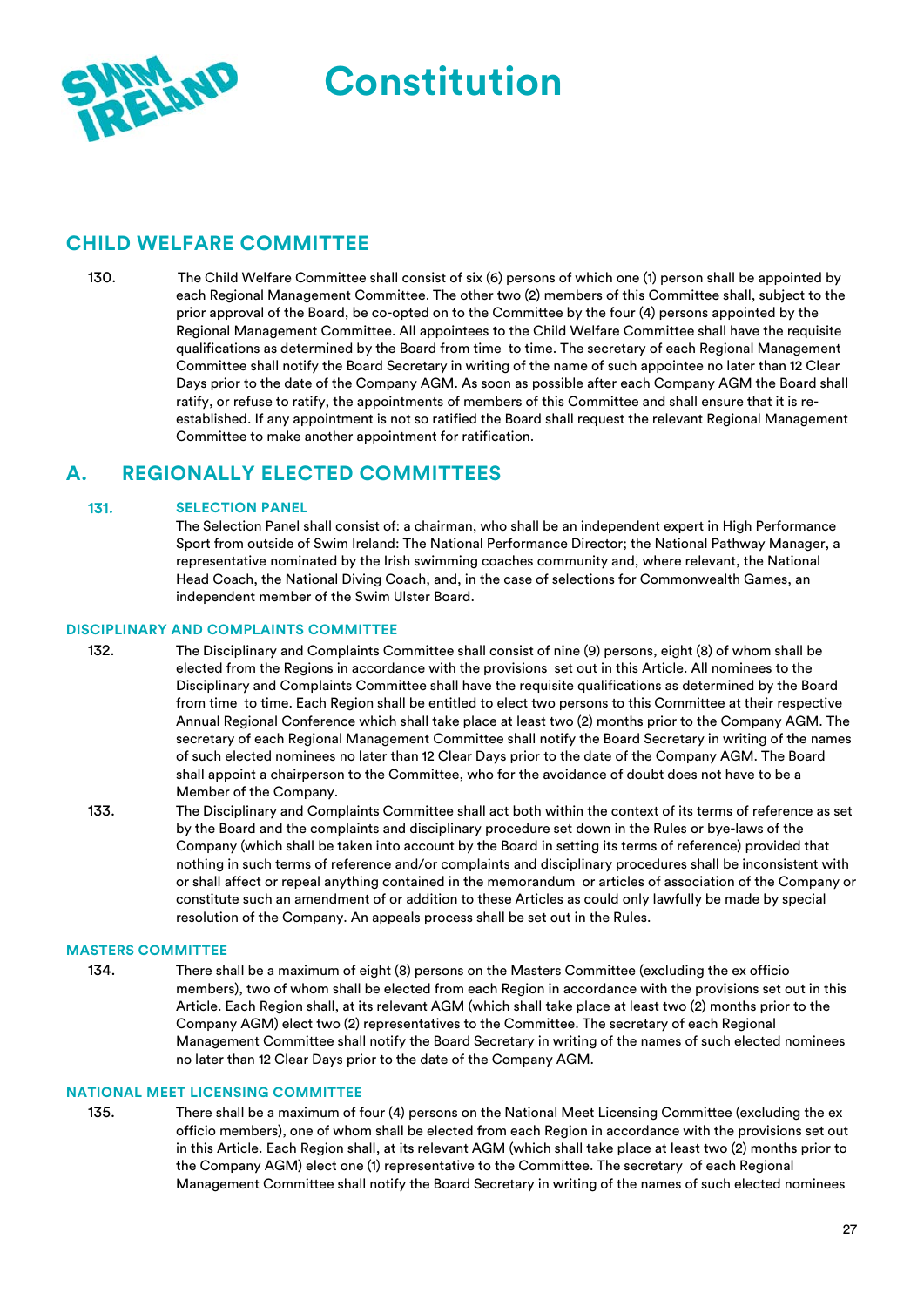



#### **CHILD WELFARE COMMITTEE**

130. The Child Welfare Committee shall consist of six (6) persons of which one (1) person shall be appointed by each Regional Management Committee. The other two (2) members of this Committee shall, subject to the prior approval of the Board, be co-opted on to the Committee by the four (4) persons appointed by the Regional Management Committee. All appointees to the Child Welfare Committee shall have the requisite qualifications as determined by the Board from time to time. The secretary of each Regional Management Committee shall notify the Board Secretary in writing of the name of such appointee no later than 12 Clear Days prior to the date of the Company AGM. As soon as possible after each Company AGM the Board shall ratify, or refuse to ratify, the appointments of members of this Committee and shall ensure that it is reestablished. If any appointment is not so ratified the Board shall request the relevant Regional Management Committee to make another appointment for ratification.

# **A. REGIONALLY ELECTED COMMITTEES**

#### 131. **SELECTION PANEL**

The Selection Panel shall consist of: a chairman, who shall be an independent expert in High Performance Sport from outside of Swim Ireland: The National Performance Director; the National Pathway Manager, a representative nominated by the Irish swimming coaches community and, where relevant, the National Head Coach, the National Diving Coach, and, in the case of selections for Commonwealth Games, an independent member of the Swim Ulster Board.

#### **DISCIPLINARY AND COMPLAINTS COMMITTEE**

- 132. The Disciplinary and Complaints Committee shall consist of nine (9) persons, eight (8) of whom shall be elected from the Regions in accordance with the provisions set out in this Article. All nominees to the Disciplinary and Complaints Committee shall have the requisite qualifications as determined by the Board from time to time. Each Region shall be entitled to elect two persons to this Committee at their respective Annual Regional Conference which shall take place at least two (2) months prior to the Company AGM. The secretary of each Regional Management Committee shall notify the Board Secretary in writing of the names of such elected nominees no later than 12 Clear Days prior to the date of the Company AGM. The Board shall appoint a chairperson to the Committee, who for the avoidance of doubt does not have to be a Member of the Company.
- 133. The Disciplinary and Complaints Committee shall act both within the context of its terms of reference as set by the Board and the complaints and disciplinary procedure set down in the Rules or bye-laws of the Company (which shall be taken into account by the Board in setting its terms of reference) provided that nothing in such terms of reference and/or complaints and disciplinary procedures shall be inconsistent with or shall affect or repeal anything contained in the memorandum or articles of association of the Company or constitute such an amendment of or addition to these Articles as could only lawfully be made by special resolution of the Company. An appeals process shall be set out in the Rules.

#### **MASTERS COMMITTEE**

134. There shall be a maximum of eight (8) persons on the Masters Committee (excluding the ex officio members), two of whom shall be elected from each Region in accordance with the provisions set out in this Article. Each Region shall, at its relevant AGM (which shall take place at least two (2) months prior to the Company AGM) elect two (2) representatives to the Committee. The secretary of each Regional Management Committee shall notify the Board Secretary in writing of the names of such elected nominees no later than 12 Clear Days prior to the date of the Company AGM.

#### **NATIONAL MEET LICENSING COMMITTEE**

135. There shall be a maximum of four (4) persons on the National Meet Licensing Committee (excluding the ex officio members), one of whom shall be elected from each Region in accordance with the provisions set out in this Article. Each Region shall, at its relevant AGM (which shall take place at least two (2) months prior to the Company AGM) elect one (1) representative to the Committee. The secretary of each Regional Management Committee shall notify the Board Secretary in writing of the names of such elected nominees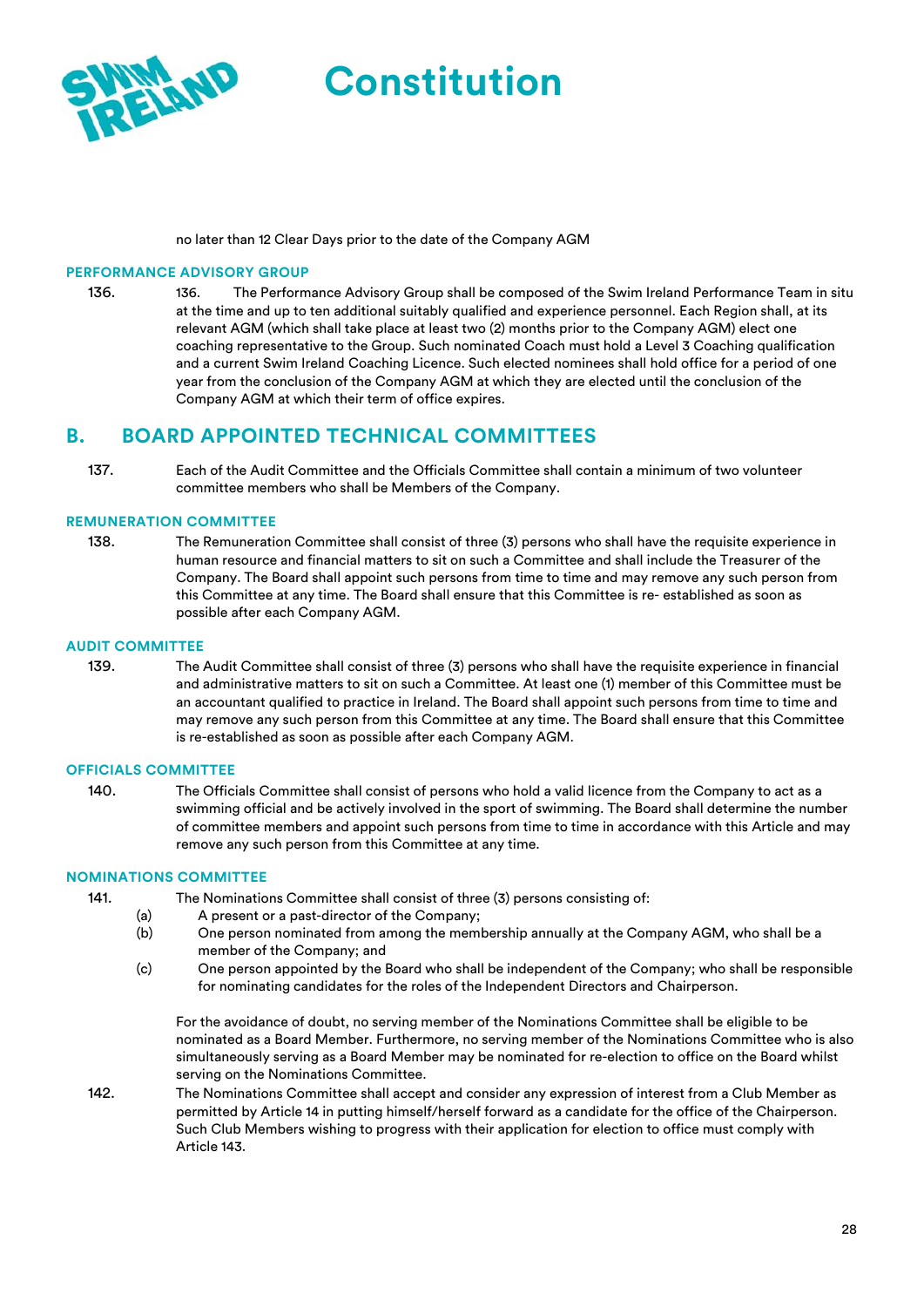

no later than 12 Clear Days prior to the date of the Company AGM

#### **PERFORMANCE ADVISORY GROUP**

136. 136. The Performance Advisory Group shall be composed of the Swim Ireland Performance Team in situ at the time and up to ten additional suitably qualified and experience personnel. Each Region shall, at its relevant AGM (which shall take place at least two (2) months prior to the Company AGM) elect one coaching representative to the Group. Such nominated Coach must hold a Level 3 Coaching qualification and a current Swim Ireland Coaching Licence. Such elected nominees shall hold office for a period of one year from the conclusion of the Company AGM at which they are elected until the conclusion of the Company AGM at which their term of office expires.

#### **B. BOARD APPOINTED TECHNICAL COMMITTEES**

137. Each of the Audit Committee and the Officials Committee shall contain a minimum of two volunteer committee members who shall be Members of the Company.

#### **REMUNERATION COMMITTEE**

138. The Remuneration Committee shall consist of three (3) persons who shall have the requisite experience in human resource and financial matters to sit on such a Committee and shall include the Treasurer of the Company. The Board shall appoint such persons from time to time and may remove any such person from this Committee at any time. The Board shall ensure that this Committee is re- established as soon as possible after each Company AGM.

#### **AUDIT COMMITTEE**

139. The Audit Committee shall consist of three (3) persons who shall have the requisite experience in financial and administrative matters to sit on such a Committee. At least one (1) member of this Committee must be an accountant qualified to practice in Ireland. The Board shall appoint such persons from time to time and may remove any such person from this Committee at any time. The Board shall ensure that this Committee is re-established as soon as possible after each Company AGM.

#### **OFFICIALS COMMITTEE**

140. The Officials Committee shall consist of persons who hold a valid licence from the Company to act as a swimming official and be actively involved in the sport of swimming. The Board shall determine the number of committee members and appoint such persons from time to time in accordance with this Article and may remove any such person from this Committee at any time.

#### **NOMINATIONS COMMITTEE**

- 141. The Nominations Committee shall consist of three (3) persons consisting of:
	- (a) A present or a past-director of the Company;
	- (b) One person nominated from among the membership annually at the Company AGM, who shall be a member of the Company; and
	- (c) One person appointed by the Board who shall be independent of the Company; who shall be responsible for nominating candidates for the roles of the Independent Directors and Chairperson.

For the avoidance of doubt, no serving member of the Nominations Committee shall be eligible to be nominated as a Board Member. Furthermore, no serving member of the Nominations Committee who is also simultaneously serving as a Board Member may be nominated for re-election to office on the Board whilst serving on the Nominations Committee.

142. The Nominations Committee shall accept and consider any expression of interest from a Club Member as permitted by Article 14 in putting himself/herself forward as a candidate for the office of the Chairperson. Such Club Members wishing to progress with their application for election to office must comply with Article 143.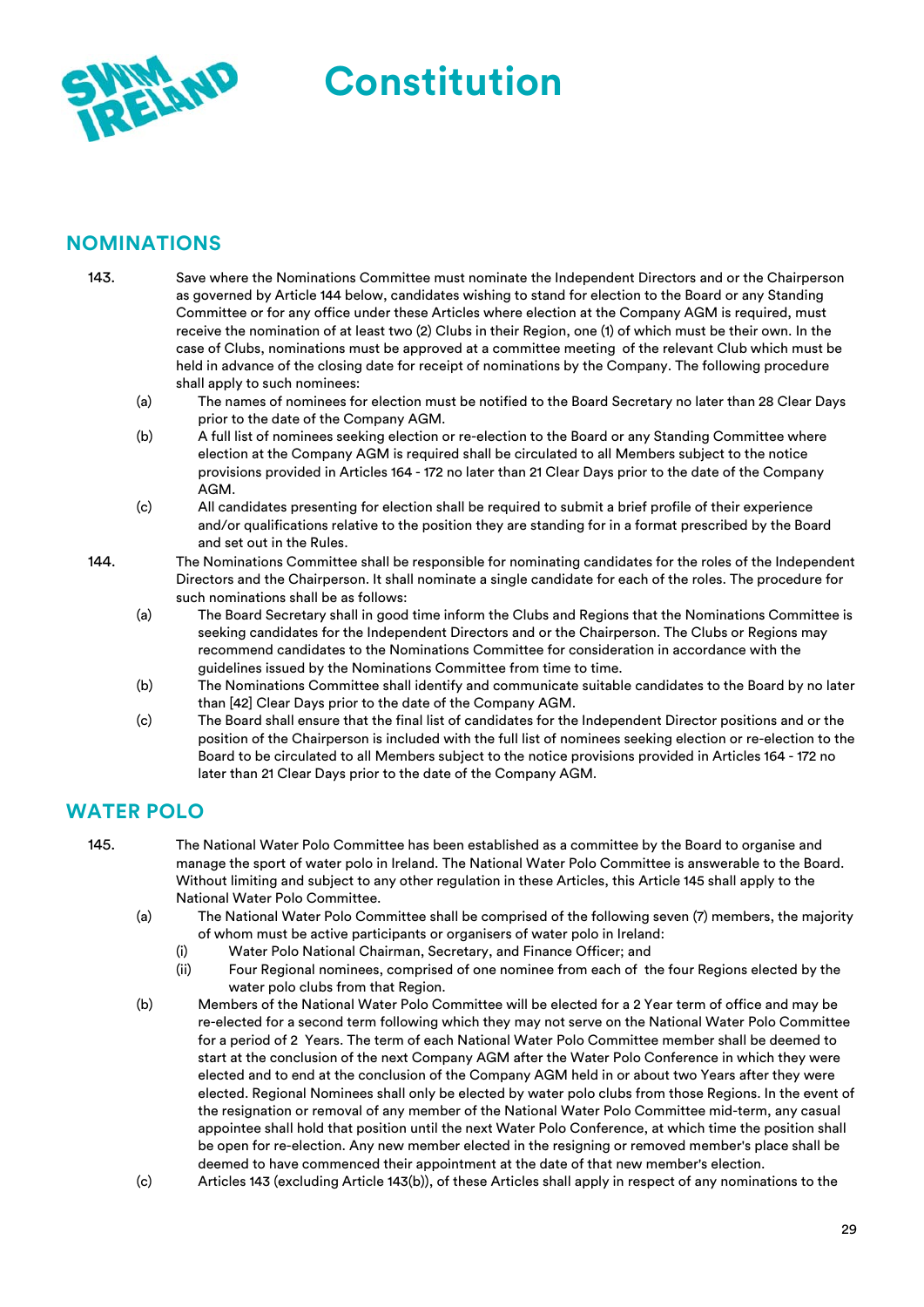

# **NOMINATIONS**

- 143. Save where the Nominations Committee must nominate the Independent Directors and or the Chairperson as governed by Article 144 below, candidates wishing to stand for election to the Board or any Standing Committee or for any office under these Articles where election at the Company AGM is required, must receive the nomination of at least two (2) Clubs in their Region, one (1) of which must be their own. In the case of Clubs, nominations must be approved at a committee meeting of the relevant Club which must be held in advance of the closing date for receipt of nominations by the Company. The following procedure shall apply to such nominees:
	- (a) The names of nominees for election must be notified to the Board Secretary no later than 28 Clear Days prior to the date of the Company AGM.
	- (b) A full list of nominees seeking election or re-election to the Board or any Standing Committee where election at the Company AGM is required shall be circulated to all Members subject to the notice provisions provided in Articles 164 - 172 no later than 21 Clear Days prior to the date of the Company **AGM**
	- (c) All candidates presenting for election shall be required to submit a brief profile of their experience and/or qualifications relative to the position they are standing for in a format prescribed by the Board and set out in the Rules.
- 144. The Nominations Committee shall be responsible for nominating candidates for the roles of the Independent Directors and the Chairperson. It shall nominate a single candidate for each of the roles. The procedure for such nominations shall be as follows:
	- (a) The Board Secretary shall in good time inform the Clubs and Regions that the Nominations Committee is seeking candidates for the Independent Directors and or the Chairperson. The Clubs or Regions may recommend candidates to the Nominations Committee for consideration in accordance with the guidelines issued by the Nominations Committee from time to time.
	- (b) The Nominations Committee shall identify and communicate suitable candidates to the Board by no later than [42] Clear Days prior to the date of the Company AGM.
	- (c) The Board shall ensure that the final list of candidates for the Independent Director positions and or the position of the Chairperson is included with the full list of nominees seeking election or re-election to the Board to be circulated to all Members subject to the notice provisions provided in Articles 164 - 172 no later than 21 Clear Days prior to the date of the Company AGM.

# **WATER POLO**

- 145. The National Water Polo Committee has been established as a committee by the Board to organise and manage the sport of water polo in Ireland. The National Water Polo Committee is answerable to the Board. Without limiting and subject to any other regulation in these Articles, this Article 145 shall apply to the National Water Polo Committee.
	- (a) The National Water Polo Committee shall be comprised of the following seven (7) members, the majority of whom must be active participants or organisers of water polo in Ireland:
		- (i) Water Polo National Chairman, Secretary, and Finance Officer; and
		- (ii) Four Regional nominees, comprised of one nominee from each of the four Regions elected by the water polo clubs from that Region.
	- (b) Members of the National Water Polo Committee will be elected for a 2 Year term of office and may be re-elected for a second term following which they may not serve on the National Water Polo Committee for a period of 2 Years. The term of each National Water Polo Committee member shall be deemed to start at the conclusion of the next Company AGM after the Water Polo Conference in which they were elected and to end at the conclusion of the Company AGM held in or about two Years after they were elected. Regional Nominees shall only be elected by water polo clubs from those Regions. In the event of the resignation or removal of any member of the National Water Polo Committee mid-term, any casual appointee shall hold that position until the next Water Polo Conference, at which time the position shall be open for re-election. Any new member elected in the resigning or removed member's place shall be deemed to have commenced their appointment at the date of that new member's election.
	- (c) Articles 143 (excluding Article 143(b)), of these Articles shall apply in respect of any nominations to the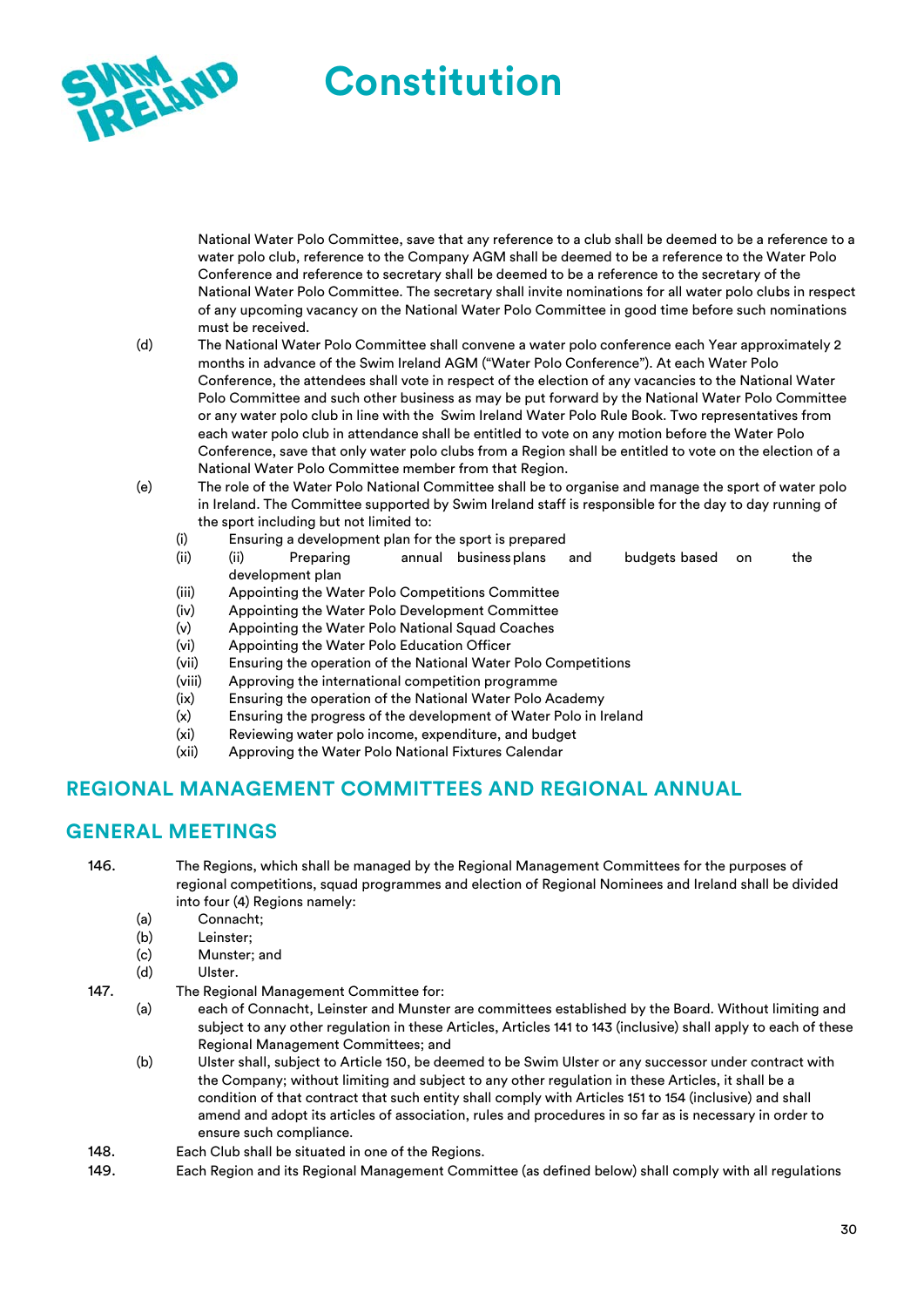

National Water Polo Committee, save that any reference to a club shall be deemed to be a reference to a water polo club, reference to the Company AGM shall be deemed to be a reference to the Water Polo Conference and reference to secretary shall be deemed to be a reference to the secretary of the National Water Polo Committee. The secretary shall invite nominations for all water polo clubs in respect of any upcoming vacancy on the National Water Polo Committee in good time before such nominations must be received.

- (d) The National Water Polo Committee shall convene a water polo conference each Year approximately 2 months in advance of the Swim Ireland AGM ("Water Polo Conference"). At each Water Polo Conference, the attendees shall vote in respect of the election of any vacancies to the National Water Polo Committee and such other business as may be put forward by the National Water Polo Committee or any water polo club in line with the Swim Ireland Water Polo Rule Book. Two representatives from each water polo club in attendance shall be entitled to vote on any motion before the Water Polo Conference, save that only water polo clubs from a Region shall be entitled to vote on the election of a National Water Polo Committee member from that Region.
- (e) The role of the Water Polo National Committee shall be to organise and manage the sport of water polo in Ireland. The Committee supported by Swim Ireland staff is responsible for the day to day running of the sport including but not limited to:
	- (i) Ensuring a development plan for the sport is prepared
	- (ii) (ii) Preparing annual business plans and budgets based on the development plan
	- (iii) Appointing the Water Polo Competitions Committee
	- (iv) Appointing the Water Polo Development Committee
	- (v) Appointing the Water Polo National Squad Coaches
	- (vi) Appointing the Water Polo Education Officer
	- (vii) Ensuring the operation of the National Water Polo Competitions
	- (viii) Approving the international competition programme
	- (ix) Ensuring the operation of the National Water Polo Academy
	- (x) Ensuring the progress of the development of Water Polo in Ireland
	- (xi) Reviewing water polo income, expenditure, and budget
	- (xii) Approving the Water Polo National Fixtures Calendar

#### **REGIONAL MANAGEMENT COMMITTEES AND REGIONAL ANNUAL**

#### **GENERAL MEETINGS**

146. The Regions, which shall be managed by the Regional Management Committees for the purposes of regional competitions, squad programmes and election of Regional Nominees and Ireland shall be divided into four (4) Regions namely:

- (a) Connacht;
- (b) Leinster;
- (c) Munster; and

#### (d) Ulster.

- 147. The Regional Management Committee for:
	- (a) each of Connacht, Leinster and Munster are committees established by the Board. Without limiting and subject to any other regulation in these Articles, Articles 141 to 143 (inclusive) shall apply to each of these Regional Management Committees; and
	- (b) Ulster shall, subject to Article 150, be deemed to be Swim Ulster or any successor under contract with the Company; without limiting and subject to any other regulation in these Articles, it shall be a condition of that contract that such entity shall comply with Articles 151 to 154 (inclusive) and shall amend and adopt its articles of association, rules and procedures in so far as is necessary in order to ensure such compliance.
- 148. Each Club shall be situated in one of the Regions.
- 149. Each Region and its Regional Management Committee (as defined below) shall comply with all regulations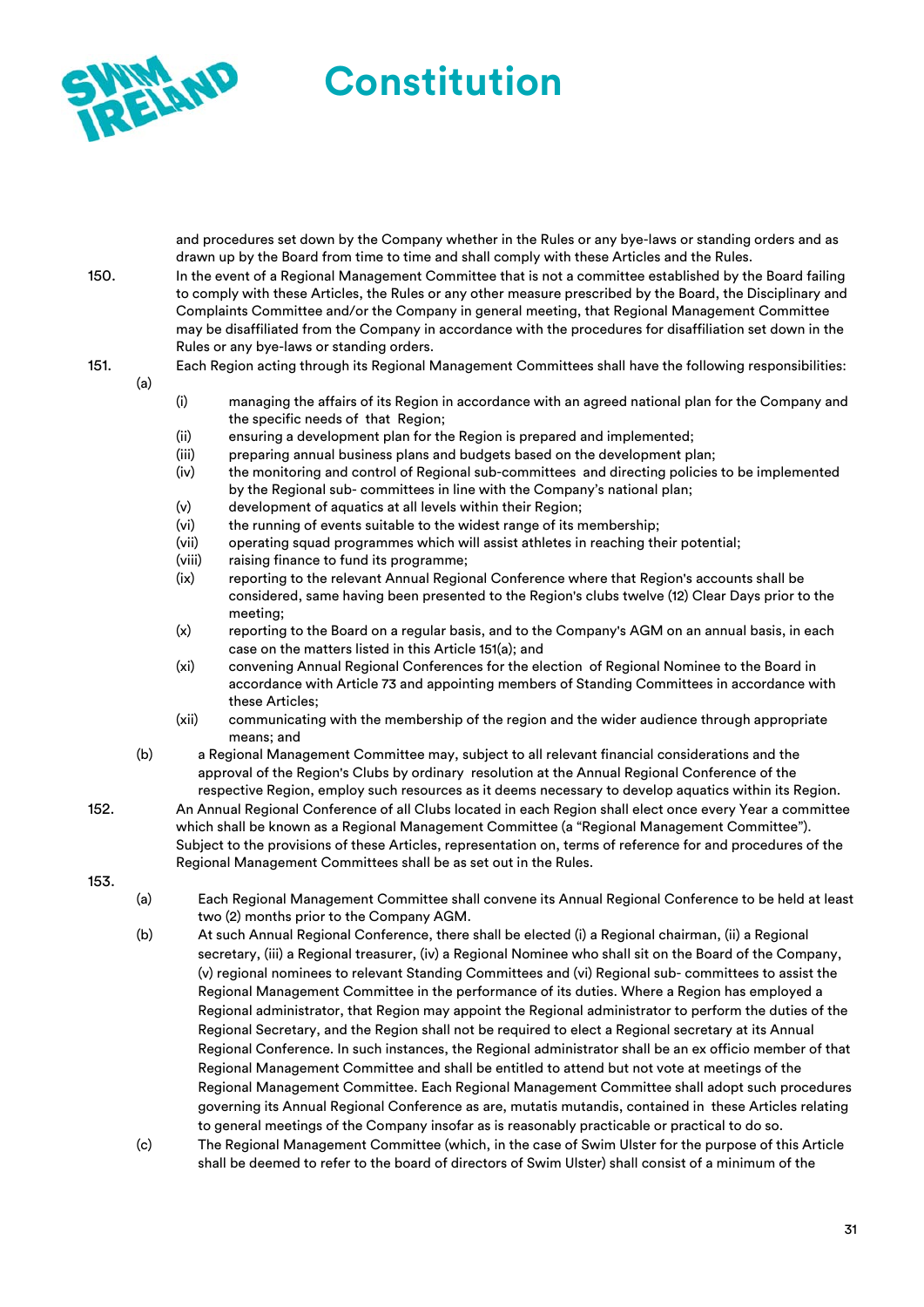

and procedures set down by the Company whether in the Rules or any bye-laws or standing orders and as drawn up by the Board from time to time and shall comply with these Articles and the Rules. 150. In the event of a Regional Management Committee that is not a committee established by the Board failing

to comply with these Articles, the Rules or any other measure prescribed by the Board, the Disciplinary and Complaints Committee and/or the Company in general meeting, that Regional Management Committee may be disaffiliated from the Company in accordance with the procedures for disaffiliation set down in the Rules or any bye-laws or standing orders.

151. Each Region acting through its Regional Management Committees shall have the following responsibilities: (a)

- (i) managing the affairs of its Region in accordance with an agreed national plan for the Company and the specific needs of that Region;
- (ii) ensuring a development plan for the Region is prepared and implemented;
- (iii) preparing annual business plans and budgets based on the development plan;
- (iv) the monitoring and control of Regional sub-committees and directing policies to be implemented by the Regional sub- committees in line with the Company's national plan;
- (v) development of aquatics at all levels within their Region;
- (vi) the running of events suitable to the widest range of its membership;
- (vii) operating squad programmes which will assist athletes in reaching their potential;
- (viii) raising finance to fund its programme;
- (ix) reporting to the relevant Annual Regional Conference where that Region's accounts shall be considered, same having been presented to the Region's clubs twelve (12) Clear Days prior to the meeting;
- (x) reporting to the Board on a regular basis, and to the Company's AGM on an annual basis, in each case on the matters listed in this Article 151(a); and
- (xi) convening Annual Regional Conferences for the election of Regional Nominee to the Board in accordance with Article 73 and appointing members of Standing Committees in accordance with these Articles;
- (xii) communicating with the membership of the region and the wider audience through appropriate means; and
- (b) a Regional Management Committee may, subject to all relevant financial considerations and the approval of the Region's Clubs by ordinary resolution at the Annual Regional Conference of the respective Region, employ such resources as it deems necessary to develop aquatics within its Region.
- 152. An Annual Regional Conference of all Clubs located in each Region shall elect once every Year a committee which shall be known as a Regional Management Committee (a "Regional Management Committee"). Subject to the provisions of these Articles, representation on, terms of reference for and procedures of the Regional Management Committees shall be as set out in the Rules.
- 153.
- (a) Each Regional Management Committee shall convene its Annual Regional Conference to be held at least two (2) months prior to the Company AGM.
- (b) At such Annual Regional Conference, there shall be elected (i) a Regional chairman, (ii) a Regional secretary, (iii) a Regional treasurer, (iv) a Regional Nominee who shall sit on the Board of the Company, (v) regional nominees to relevant Standing Committees and (vi) Regional sub- committees to assist the Regional Management Committee in the performance of its duties. Where a Region has employed a Regional administrator, that Region may appoint the Regional administrator to perform the duties of the Regional Secretary, and the Region shall not be required to elect a Regional secretary at its Annual Regional Conference. In such instances, the Regional administrator shall be an ex officio member of that Regional Management Committee and shall be entitled to attend but not vote at meetings of the Regional Management Committee. Each Regional Management Committee shall adopt such procedures governing its Annual Regional Conference as are, mutatis mutandis, contained in these Articles relating to general meetings of the Company insofar as is reasonably practicable or practical to do so.
- (c) The Regional Management Committee (which, in the case of Swim Ulster for the purpose of this Article shall be deemed to refer to the board of directors of Swim Ulster) shall consist of a minimum of the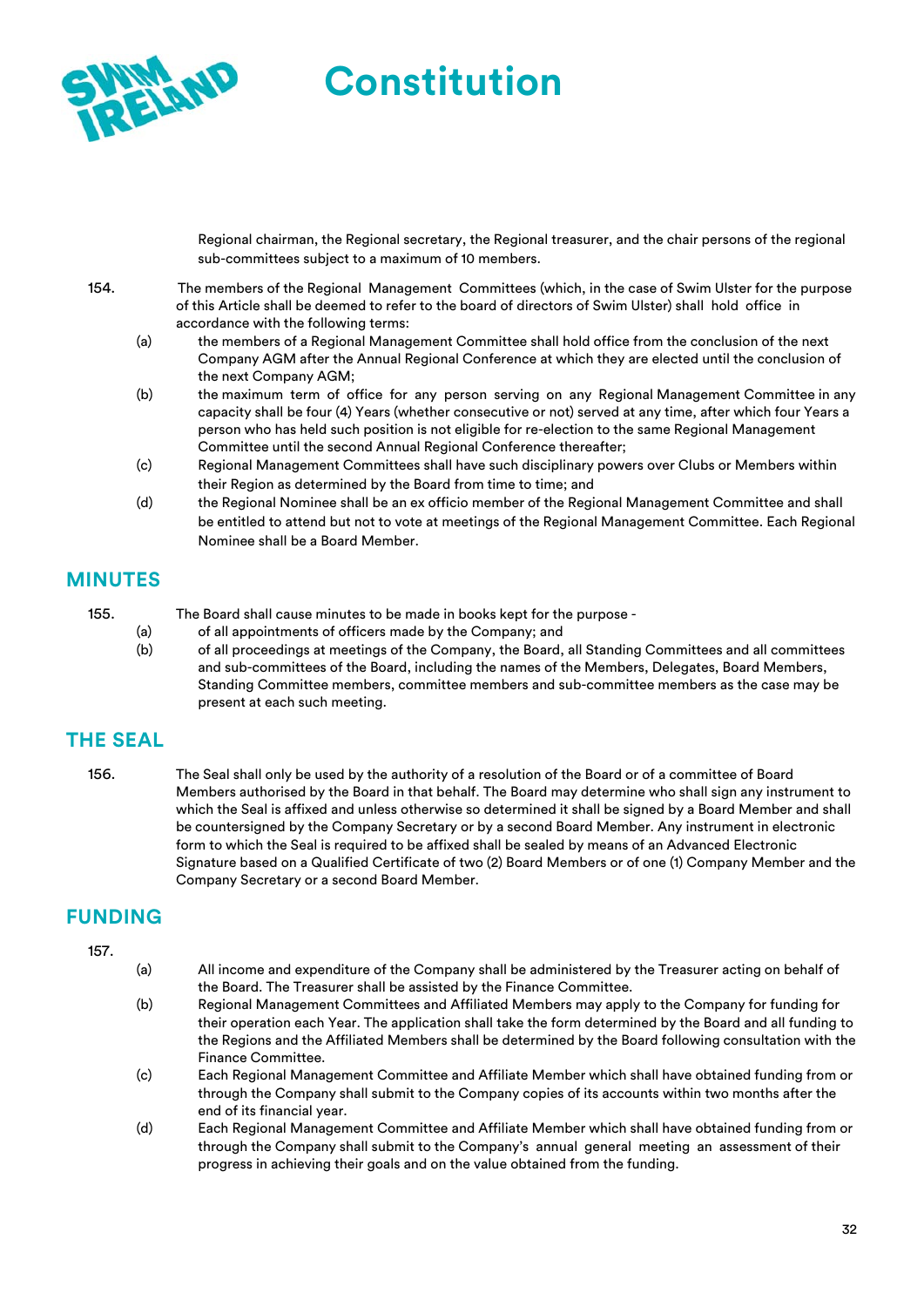

Regional chairman, the Regional secretary, the Regional treasurer, and the chair persons of the regional sub-committees subject to a maximum of 10 members.

- 154. The members of the Regional Management Committees (which, in the case of Swim Ulster for the purpose of this Article shall be deemed to refer to the board of directors of Swim Ulster) shall hold office in accordance with the following terms:
	- (a) the members of a Regional Management Committee shall hold office from the conclusion of the next Company AGM after the Annual Regional Conference at which they are elected until the conclusion of the next Company AGM;
	- (b) the maximum term of office for any person serving on any Regional Management Committee in any capacity shall be four (4) Years (whether consecutive or not) served at any time, after which four Years a person who has held such position is not eligible for re-election to the same Regional Management Committee until the second Annual Regional Conference thereafter;
	- (c) Regional Management Committees shall have such disciplinary powers over Clubs or Members within their Region as determined by the Board from time to time; and
	- (d) the Regional Nominee shall be an ex officio member of the Regional Management Committee and shall be entitled to attend but not to vote at meetings of the Regional Management Committee. Each Regional Nominee shall be a Board Member.

### **MINUTES**

- 155. The Board shall cause minutes to be made in books kept for the purpose
	- (a) of all appointments of officers made by the Company; and
	- (b) of all proceedings at meetings of the Company, the Board, all Standing Committees and all committees and sub-committees of the Board, including the names of the Members, Delegates, Board Members, Standing Committee members, committee members and sub-committee members as the case may be present at each such meeting.

# **THE SEAL**

156. The Seal shall only be used by the authority of a resolution of the Board or of a committee of Board Members authorised by the Board in that behalf. The Board may determine who shall sign any instrument to which the Seal is affixed and unless otherwise so determined it shall be signed by a Board Member and shall be countersigned by the Company Secretary or by a second Board Member. Any instrument in electronic form to which the Seal is required to be affixed shall be sealed by means of an Advanced Electronic Signature based on a Qualified Certificate of two (2) Board Members or of one (1) Company Member and the Company Secretary or a second Board Member.

# **FUNDING**

#### 157.

- (a) All income and expenditure of the Company shall be administered by the Treasurer acting on behalf of the Board. The Treasurer shall be assisted by the Finance Committee.
- (b) Regional Management Committees and Affiliated Members may apply to the Company for funding for their operation each Year. The application shall take the form determined by the Board and all funding to the Regions and the Affiliated Members shall be determined by the Board following consultation with the Finance Committee.
- (c) Each Regional Management Committee and Affiliate Member which shall have obtained funding from or through the Company shall submit to the Company copies of its accounts within two months after the end of its financial year.
- (d) Each Regional Management Committee and Affiliate Member which shall have obtained funding from or through the Company shall submit to the Company's annual general meeting an assessment of their progress in achieving their goals and on the value obtained from the funding.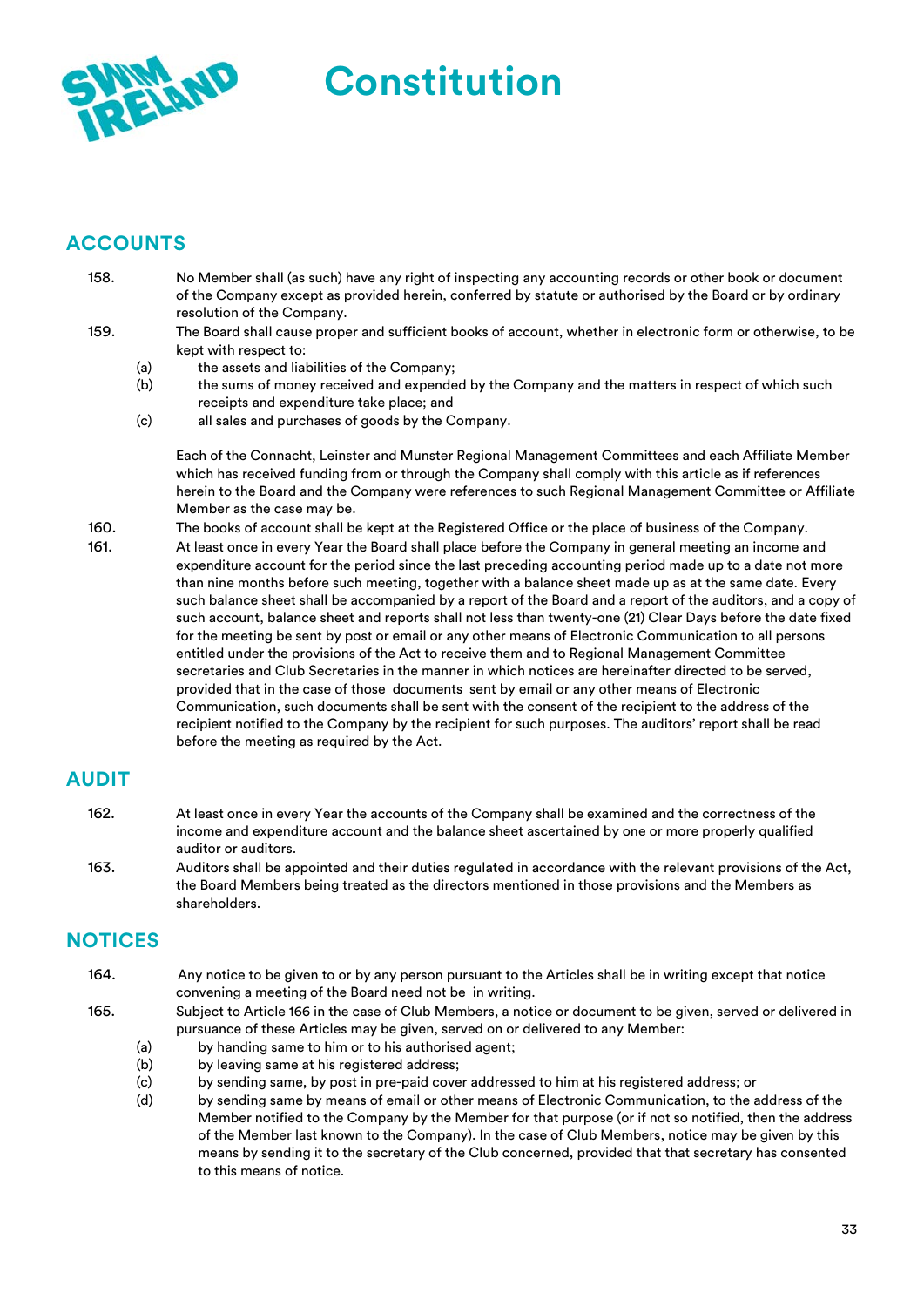

# **ACCOUNTS**

- 158. No Member shall (as such) have any right of inspecting any accounting records or other book or document of the Company except as provided herein, conferred by statute or authorised by the Board or by ordinary resolution of the Company.
- 159. The Board shall cause proper and sufficient books of account, whether in electronic form or otherwise, to be kept with respect to:
	- (a) the assets and liabilities of the Company;
	- (b) the sums of money received and expended by the Company and the matters in respect of which such receipts and expenditure take place; and
	- (c) all sales and purchases of goods by the Company.

Each of the Connacht, Leinster and Munster Regional Management Committees and each Affiliate Member which has received funding from or through the Company shall comply with this article as if references herein to the Board and the Company were references to such Regional Management Committee or Affiliate Member as the case may be.

160. The books of account shall be kept at the Registered Office or the place of business of the Company. 161. At least once in every Year the Board shall place before the Company in general meeting an income and expenditure account for the period since the last preceding accounting period made up to a date not more than nine months before such meeting, together with a balance sheet made up as at the same date. Every such balance sheet shall be accompanied by a report of the Board and a report of the auditors, and a copy of such account, balance sheet and reports shall not less than twenty-one (21) Clear Days before the date fixed for the meeting be sent by post or email or any other means of Electronic Communication to all persons entitled under the provisions of the Act to receive them and to Regional Management Committee secretaries and Club Secretaries in the manner in which notices are hereinafter directed to be served, provided that in the case of those documents sent by email or any other means of Electronic Communication, such documents shall be sent with the consent of the recipient to the address of the recipient notified to the Company by the recipient for such purposes. The auditors' report shall be read

# **AUDIT**

- 162. At least once in every Year the accounts of the Company shall be examined and the correctness of the income and expenditure account and the balance sheet ascertained by one or more properly qualified auditor or auditors.
- 163. Auditors shall be appointed and their duties regulated in accordance with the relevant provisions of the Act, the Board Members being treated as the directors mentioned in those provisions and the Members as shareholders.

# **NOTICES**

- 164. Any notice to be given to or by any person pursuant to the Articles shall be in writing except that notice convening a meeting of the Board need not be in writing.
- 165. Subject to Article 166 in the case of Club Members, a notice or document to be given, served or delivered in pursuance of these Articles may be given, served on or delivered to any Member:
	- (a) by handing same to him or to his authorised agent;
	- (b) by leaving same at his registered address;

before the meeting as required by the Act.

- (c) by sending same, by post in pre-paid cover addressed to him at his registered address; or
- (d) by sending same by means of email or other means of Electronic Communication, to the address of the Member notified to the Company by the Member for that purpose (or if not so notified, then the address of the Member last known to the Company). In the case of Club Members, notice may be given by this means by sending it to the secretary of the Club concerned, provided that that secretary has consented to this means of notice.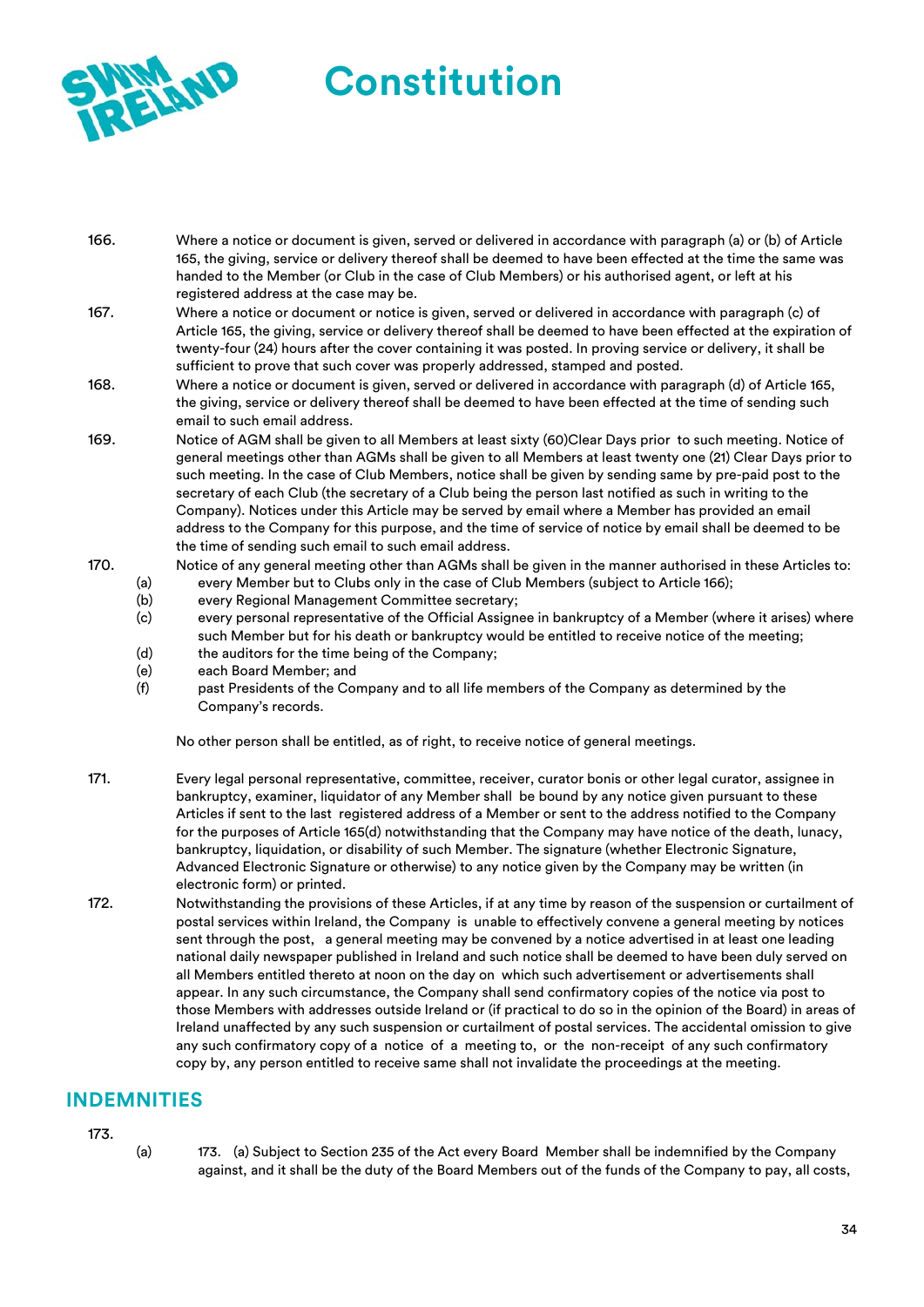

- 166. Where a notice or document is given, served or delivered in accordance with paragraph (a) or (b) of Article 165, the giving, service or delivery thereof shall be deemed to have been effected at the time the same was handed to the Member (or Club in the case of Club Members) or his authorised agent, or left at his registered address at the case may be.
- 167. Where a notice or document or notice is given, served or delivered in accordance with paragraph (c) of Article 165, the giving, service or delivery thereof shall be deemed to have been effected at the expiration of twenty-four (24) hours after the cover containing it was posted. In proving service or delivery, it shall be sufficient to prove that such cover was properly addressed, stamped and posted.
- 168. Where a notice or document is given, served or delivered in accordance with paragraph (d) of Article 165, the giving, service or delivery thereof shall be deemed to have been effected at the time of sending such email to such email address.
- 169. Notice of AGM shall be given to all Members at least sixty (60)Clear Days prior to such meeting. Notice of general meetings other than AGMs shall be given to all Members at least twenty one (21) Clear Days prior to such meeting. In the case of Club Members, notice shall be given by sending same by pre-paid post to the secretary of each Club (the secretary of a Club being the person last notified as such in writing to the Company). Notices under this Article may be served by email where a Member has provided an email address to the Company for this purpose, and the time of service of notice by email shall be deemed to be the time of sending such email to such email address.
- 170. Notice of any general meeting other than AGMs shall be given in the manner authorised in these Articles to: (a) every Member but to Clubs only in the case of Club Members (subject to Article 166);
	- (b) every Regional Management Committee secretary;
	- (c) every personal representative of the Official Assignee in bankruptcy of a Member (where it arises) where such Member but for his death or bankruptcy would be entitled to receive notice of the meeting;
	- (d) the auditors for the time being of the Company;
	- (e) each Board Member; and
	- (f) past Presidents of the Company and to all life members of the Company as determined by the Company's records.

No other person shall be entitled, as of right, to receive notice of general meetings.

- 171. Every legal personal representative, committee, receiver, curator bonis or other legal curator, assignee in bankruptcy, examiner, liquidator of any Member shall be bound by any notice given pursuant to these Articles if sent to the last registered address of a Member or sent to the address notified to the Company for the purposes of Article 165(d) notwithstanding that the Company may have notice of the death, lunacy, bankruptcy, liquidation, or disability of such Member. The signature (whether Electronic Signature, Advanced Electronic Signature or otherwise) to any notice given by the Company may be written (in electronic form) or printed.
- 172. Notwithstanding the provisions of these Articles, if at any time by reason of the suspension or curtailment of postal services within Ireland, the Company is unable to effectively convene a general meeting by notices sent through the post, a general meeting may be convened by a notice advertised in at least one leading national daily newspaper published in Ireland and such notice shall be deemed to have been duly served on all Members entitled thereto at noon on the day on which such advertisement or advertisements shall appear. In any such circumstance, the Company shall send confirmatory copies of the notice via post to those Members with addresses outside Ireland or (if practical to do so in the opinion of the Board) in areas of Ireland unaffected by any such suspension or curtailment of postal services. The accidental omission to give any such confirmatory copy of a notice of a meeting to, or the non-receipt of any such confirmatory copy by, any person entitled to receive same shall not invalidate the proceedings at the meeting.

### **INDEMNITIES**

173.

(a) 173. (a) Subject to Section 235 of the Act every Board Member shall be indemnified by the Company against, and it shall be the duty of the Board Members out of the funds of the Company to pay, all costs,